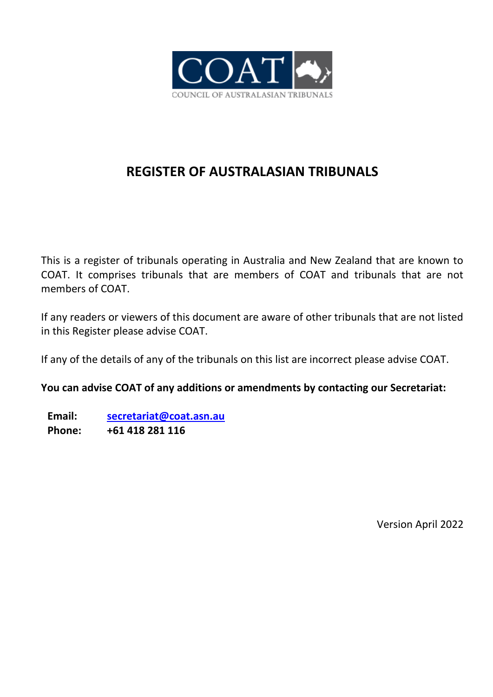

## **REGISTER OF AUSTRALASIAN TRIBUNALS**

This is a register of tribunals operating in Australia and New Zealand that are known to COAT. It comprises tribunals that are members of COAT and tribunals that are not members of COAT.

If any readers or viewers of this document are aware of other tribunals that are not listed in this Register please advise COAT.

If any of the details of any of the tribunals on this list are incorrect please advise COAT.

**You can advise COAT of any additions or amendments by contacting our Secretariat:**

**Email: [secretariat@coat.asn.au](mailto:secretariat@coat.gov.au) Phone: +61 418 281 116**

Version April 2022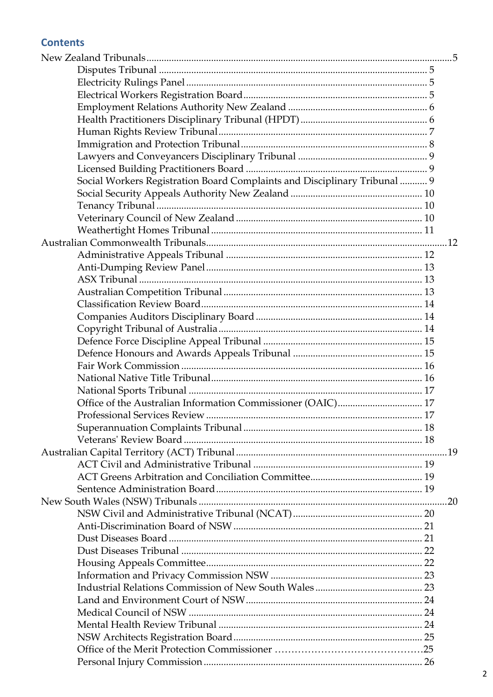## **Contents**

| Social Workers Registration Board Complaints and Disciplinary Tribunal  9 |     |
|---------------------------------------------------------------------------|-----|
|                                                                           |     |
|                                                                           |     |
|                                                                           |     |
|                                                                           |     |
|                                                                           |     |
|                                                                           |     |
|                                                                           |     |
|                                                                           |     |
|                                                                           |     |
|                                                                           |     |
|                                                                           |     |
|                                                                           |     |
|                                                                           |     |
|                                                                           |     |
|                                                                           |     |
|                                                                           |     |
|                                                                           |     |
| Office of the Australian Information Commissioner (OAIC) 17               |     |
|                                                                           |     |
|                                                                           |     |
|                                                                           |     |
|                                                                           |     |
|                                                                           |     |
|                                                                           |     |
|                                                                           |     |
|                                                                           | .20 |
|                                                                           |     |
|                                                                           |     |
|                                                                           |     |
|                                                                           |     |
|                                                                           |     |
|                                                                           |     |
|                                                                           |     |
|                                                                           |     |
|                                                                           |     |
|                                                                           |     |
|                                                                           |     |
|                                                                           |     |
|                                                                           |     |
|                                                                           |     |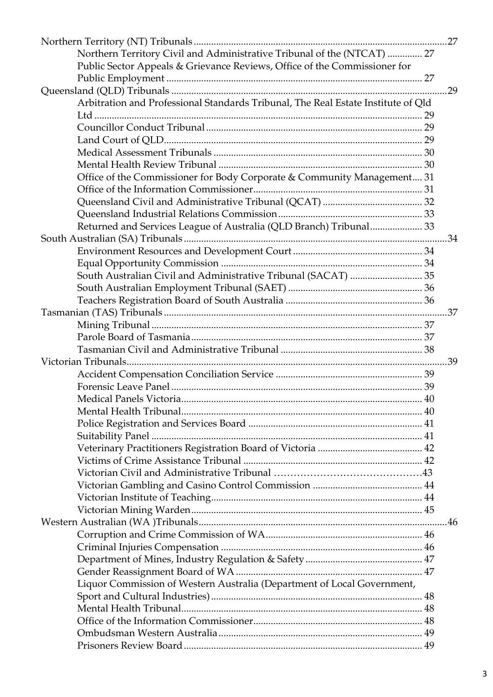| Northern Territory Civil and Administrative Tribunal of the (NTCAT)  27           |  |
|-----------------------------------------------------------------------------------|--|
| Public Sector Appeals & Grievance Reviews, Office of the Commissioner for         |  |
|                                                                                   |  |
|                                                                                   |  |
| Arbitration and Professional Standards Tribunal, The Real Estate Institute of Qld |  |
|                                                                                   |  |
|                                                                                   |  |
|                                                                                   |  |
|                                                                                   |  |
|                                                                                   |  |
| Office of the Commissioner for Body Corporate & Community Management 31           |  |
|                                                                                   |  |
|                                                                                   |  |
|                                                                                   |  |
| Returned and Services League of Australia (QLD Branch) Tribunal 33                |  |
|                                                                                   |  |
|                                                                                   |  |
|                                                                                   |  |
|                                                                                   |  |
|                                                                                   |  |
|                                                                                   |  |
|                                                                                   |  |
|                                                                                   |  |
|                                                                                   |  |
|                                                                                   |  |
|                                                                                   |  |
|                                                                                   |  |
|                                                                                   |  |
|                                                                                   |  |
|                                                                                   |  |
|                                                                                   |  |
|                                                                                   |  |
|                                                                                   |  |
|                                                                                   |  |
|                                                                                   |  |
|                                                                                   |  |
|                                                                                   |  |
|                                                                                   |  |
|                                                                                   |  |
|                                                                                   |  |
|                                                                                   |  |
|                                                                                   |  |
|                                                                                   |  |
|                                                                                   |  |
| Liquor Commission of Western Australia (Department of Local Government,           |  |
|                                                                                   |  |
|                                                                                   |  |
|                                                                                   |  |
|                                                                                   |  |
|                                                                                   |  |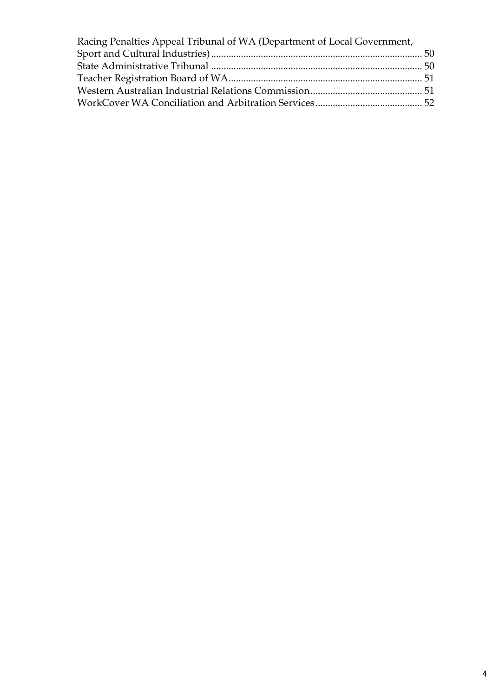| Racing Penalties Appeal Tribunal of WA (Department of Local Government, |  |
|-------------------------------------------------------------------------|--|
|                                                                         |  |
|                                                                         |  |
|                                                                         |  |
|                                                                         |  |
|                                                                         |  |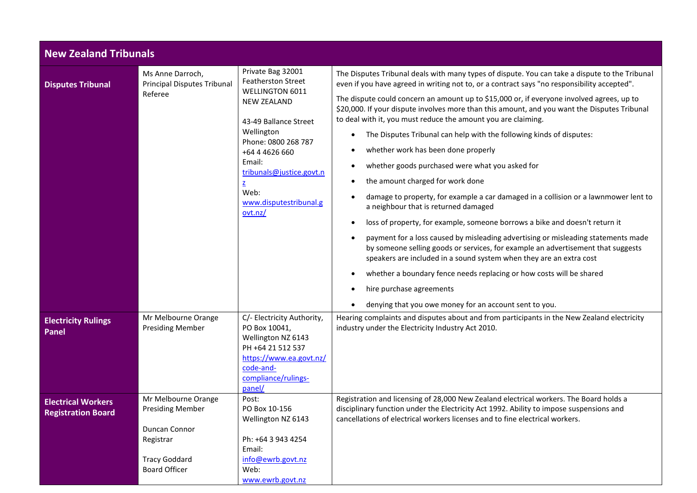<span id="page-4-3"></span><span id="page-4-2"></span><span id="page-4-1"></span><span id="page-4-0"></span>

|                                                        | <b>New Zealand Tribunals</b>                                                                                                 |                                                                                                                                                                                                                                                                 |                                                                                                                                                                                                                                                                                                                                                                                                                                                                                                                                                                                                                                                                                                                                                                                                                                                                                                                                                                                                                                                                                                                                                                                                                                                                                                            |  |
|--------------------------------------------------------|------------------------------------------------------------------------------------------------------------------------------|-----------------------------------------------------------------------------------------------------------------------------------------------------------------------------------------------------------------------------------------------------------------|------------------------------------------------------------------------------------------------------------------------------------------------------------------------------------------------------------------------------------------------------------------------------------------------------------------------------------------------------------------------------------------------------------------------------------------------------------------------------------------------------------------------------------------------------------------------------------------------------------------------------------------------------------------------------------------------------------------------------------------------------------------------------------------------------------------------------------------------------------------------------------------------------------------------------------------------------------------------------------------------------------------------------------------------------------------------------------------------------------------------------------------------------------------------------------------------------------------------------------------------------------------------------------------------------------|--|
| <b>Disputes Tribunal</b>                               | Ms Anne Darroch,<br><b>Principal Disputes Tribunal</b><br>Referee                                                            | Private Bag 32001<br><b>Featherston Street</b><br>WELLINGTON 6011<br><b>NEW ZEALAND</b><br>43-49 Ballance Street<br>Wellington<br>Phone: 0800 268 787<br>+64 4 4626 660<br>Email:<br>tribunals@justice.govt.n<br>z<br>Web:<br>www.disputestribunal.g<br>ovt.nz/ | The Disputes Tribunal deals with many types of dispute. You can take a dispute to the Tribunal<br>even if you have agreed in writing not to, or a contract says "no responsibility accepted".<br>The dispute could concern an amount up to \$15,000 or, if everyone involved agrees, up to<br>\$20,000. If your dispute involves more than this amount, and you want the Disputes Tribunal<br>to deal with it, you must reduce the amount you are claiming.<br>The Disputes Tribunal can help with the following kinds of disputes:<br>whether work has been done properly<br>whether goods purchased were what you asked for<br>the amount charged for work done<br>damage to property, for example a car damaged in a collision or a lawnmower lent to<br>a neighbour that is returned damaged<br>loss of property, for example, someone borrows a bike and doesn't return it<br>$\bullet$<br>payment for a loss caused by misleading advertising or misleading statements made<br>by someone selling goods or services, for example an advertisement that suggests<br>speakers are included in a sound system when they are an extra cost<br>whether a boundary fence needs replacing or how costs will be shared<br>hire purchase agreements<br>denying that you owe money for an account sent to you. |  |
| <b>Electricity Rulings</b><br><b>Panel</b>             | Mr Melbourne Orange<br><b>Presiding Member</b>                                                                               | C/- Electricity Authority,<br>PO Box 10041,<br>Wellington NZ 6143<br>PH +64 21 512 537<br>https://www.ea.govt.nz/<br>code-and-<br>compliance/rulings-<br>panel/                                                                                                 | Hearing complaints and disputes about and from participants in the New Zealand electricity<br>industry under the Electricity Industry Act 2010.                                                                                                                                                                                                                                                                                                                                                                                                                                                                                                                                                                                                                                                                                                                                                                                                                                                                                                                                                                                                                                                                                                                                                            |  |
| <b>Electrical Workers</b><br><b>Registration Board</b> | Mr Melbourne Orange<br><b>Presiding Member</b><br>Duncan Connor<br>Registrar<br><b>Tracy Goddard</b><br><b>Board Officer</b> | Post:<br>PO Box 10-156<br>Wellington NZ 6143<br>Ph: +64 3 943 4254<br>Email:<br>info@ewrb.govt.nz<br>Web:<br>www.ewrb.govt.nz                                                                                                                                   | Registration and licensing of 28,000 New Zealand electrical workers. The Board holds a<br>disciplinary function under the Electricity Act 1992. Ability to impose suspensions and<br>cancellations of electrical workers licenses and to fine electrical workers.                                                                                                                                                                                                                                                                                                                                                                                                                                                                                                                                                                                                                                                                                                                                                                                                                                                                                                                                                                                                                                          |  |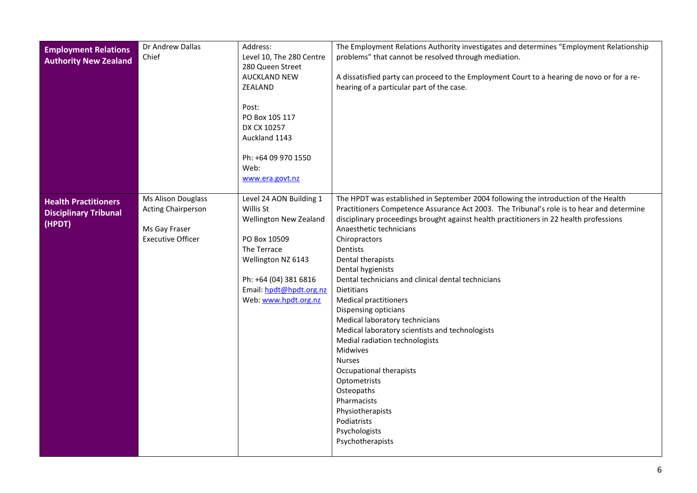<span id="page-5-1"></span><span id="page-5-0"></span>

| <b>Employment Relations</b><br><b>Authority New Zealand</b>           | Dr Andrew Dallas<br>Chief                                                                           | Address:<br>Level 10, The 280 Centre<br>280 Queen Street<br><b>AUCKLAND NEW</b><br>ZEALAND<br>Post:<br>PO Box 105 117<br>DX CX 10257<br>Auckland 1143<br>Ph: +64 09 970 1550<br>Web:<br>www.era.govt.nz | The Employment Relations Authority investigates and determines "Employment Relationship<br>problems" that cannot be resolved through mediation.<br>A dissatisfied party can proceed to the Employment Court to a hearing de novo or for a re-<br>hearing of a particular part of the case.                                                                                                                                                                                                                                                                                                                                                                                                                                                                                                                                 |
|-----------------------------------------------------------------------|-----------------------------------------------------------------------------------------------------|---------------------------------------------------------------------------------------------------------------------------------------------------------------------------------------------------------|----------------------------------------------------------------------------------------------------------------------------------------------------------------------------------------------------------------------------------------------------------------------------------------------------------------------------------------------------------------------------------------------------------------------------------------------------------------------------------------------------------------------------------------------------------------------------------------------------------------------------------------------------------------------------------------------------------------------------------------------------------------------------------------------------------------------------|
| <b>Health Practitioners</b><br><b>Disciplinary Tribunal</b><br>(HPDT) | <b>Ms Alison Douglass</b><br><b>Acting Chairperson</b><br>Ms Gay Fraser<br><b>Executive Officer</b> | Level 24 AON Building 1<br>Willis St<br>Wellington New Zealand<br>PO Box 10509<br>The Terrace<br>Wellington NZ 6143<br>Ph: +64 (04) 381 6816<br>Email: hpdt@hpdt.org.nz<br>Web: www.hpdt.org.nz         | The HPDT was established in September 2004 following the introduction of the Health<br>Practitioners Competence Assurance Act 2003. The Tribunal's role is to hear and determine<br>disciplinary proceedings brought against health practitioners in 22 health professions<br>Anaesthetic technicians<br>Chiropractors<br>Dentists<br>Dental therapists<br>Dental hygienists<br>Dental technicians and clinical dental technicians<br><b>Dietitians</b><br><b>Medical practitioners</b><br>Dispensing opticians<br>Medical laboratory technicians<br>Medical laboratory scientists and technologists<br>Medial radiation technologists<br><b>Midwives</b><br><b>Nurses</b><br>Occupational therapists<br>Optometrists<br>Osteopaths<br>Pharmacists<br>Physiotherapists<br>Podiatrists<br>Psychologists<br>Psychotherapists |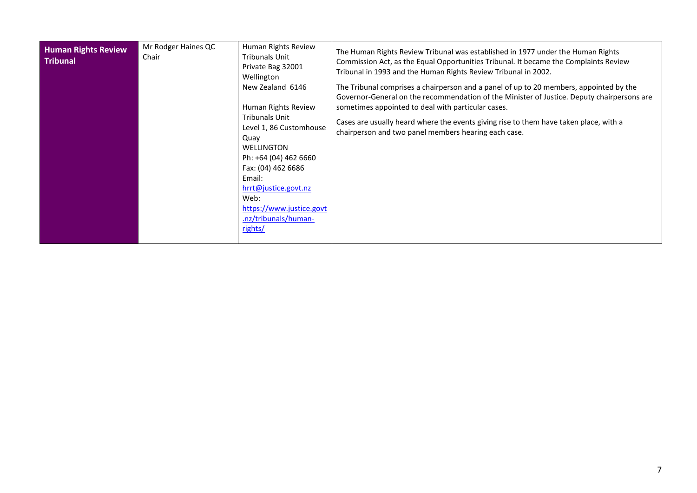<span id="page-6-0"></span>

| <b>Human Rights Review</b><br><b>Tribunal</b> | Mr Rodger Haines QC<br>Chair | Human Rights Review<br><b>Tribunals Unit</b><br>Private Bag 32001<br>Wellington<br>New Zealand 6146<br>Human Rights Review<br><b>Tribunals Unit</b><br>Level 1, 86 Customhouse<br>Quay<br><b>WELLINGTON</b><br>Ph: +64 (04) 462 6660<br>Fax: (04) 462 6686<br>Email:<br>hrrt@justice.govt.nz<br>Web:<br>https://www.justice.govt<br>.nz/tribunals/human-<br>rights/ | The Human Rights Review Tribunal was established in 1977 under the Human Rights<br>Commission Act, as the Equal Opportunities Tribunal. It became the Complaints Review<br>Tribunal in 1993 and the Human Rights Review Tribunal in 2002.<br>The Tribunal comprises a chairperson and a panel of up to 20 members, appointed by the<br>Governor-General on the recommendation of the Minister of Justice. Deputy chairpersons are<br>sometimes appointed to deal with particular cases.<br>Cases are usually heard where the events giving rise to them have taken place, with a<br>chairperson and two panel members hearing each case. |
|-----------------------------------------------|------------------------------|---------------------------------------------------------------------------------------------------------------------------------------------------------------------------------------------------------------------------------------------------------------------------------------------------------------------------------------------------------------------|------------------------------------------------------------------------------------------------------------------------------------------------------------------------------------------------------------------------------------------------------------------------------------------------------------------------------------------------------------------------------------------------------------------------------------------------------------------------------------------------------------------------------------------------------------------------------------------------------------------------------------------|
|-----------------------------------------------|------------------------------|---------------------------------------------------------------------------------------------------------------------------------------------------------------------------------------------------------------------------------------------------------------------------------------------------------------------------------------------------------------------|------------------------------------------------------------------------------------------------------------------------------------------------------------------------------------------------------------------------------------------------------------------------------------------------------------------------------------------------------------------------------------------------------------------------------------------------------------------------------------------------------------------------------------------------------------------------------------------------------------------------------------------|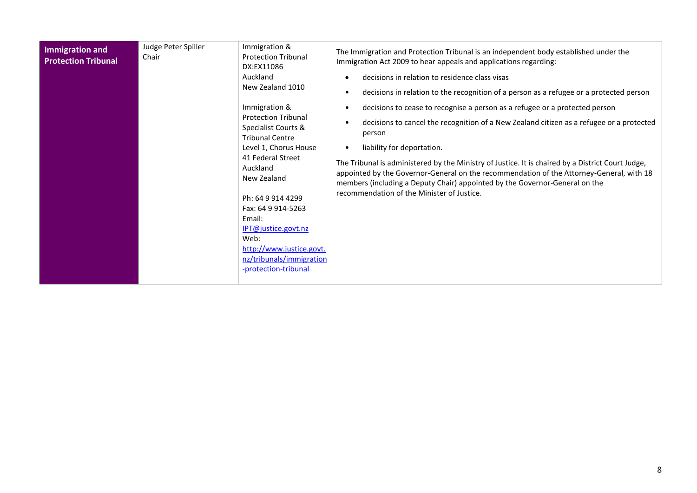<span id="page-7-0"></span>

| Immigration and<br><b>Protection Tribunal</b> | Judge Peter Spiller<br>Chair | Immigration &<br><b>Protection Tribunal</b><br>DX:EX11086<br>Auckland<br>New Zealand 1010<br>Immigration &<br><b>Protection Tribunal</b><br>Specialist Courts &<br><b>Tribunal Centre</b><br>Level 1, Chorus House<br>41 Federal Street<br>Auckland<br>New Zealand<br>Ph: 64 9 914 4299<br>Fax: 64 9 914-5263<br>Email:<br>IPT@justice.govt.nz<br>Web:<br>http://www.justice.govt.<br>nz/tribunals/immigration<br>-protection-tribunal | The Immigration and Protection Tribunal is an independent body established under the<br>Immigration Act 2009 to hear appeals and applications regarding:<br>decisions in relation to residence class visas<br>decisions in relation to the recognition of a person as a refugee or a protected person<br>decisions to cease to recognise a person as a refugee or a protected person<br>decisions to cancel the recognition of a New Zealand citizen as a refugee or a protected<br>person<br>liability for deportation.<br>The Tribunal is administered by the Ministry of Justice. It is chaired by a District Court Judge,<br>appointed by the Governor-General on the recommendation of the Attorney-General, with 18<br>members (including a Deputy Chair) appointed by the Governor-General on the<br>recommendation of the Minister of Justice. |
|-----------------------------------------------|------------------------------|----------------------------------------------------------------------------------------------------------------------------------------------------------------------------------------------------------------------------------------------------------------------------------------------------------------------------------------------------------------------------------------------------------------------------------------|--------------------------------------------------------------------------------------------------------------------------------------------------------------------------------------------------------------------------------------------------------------------------------------------------------------------------------------------------------------------------------------------------------------------------------------------------------------------------------------------------------------------------------------------------------------------------------------------------------------------------------------------------------------------------------------------------------------------------------------------------------------------------------------------------------------------------------------------------------|
|-----------------------------------------------|------------------------------|----------------------------------------------------------------------------------------------------------------------------------------------------------------------------------------------------------------------------------------------------------------------------------------------------------------------------------------------------------------------------------------------------------------------------------------|--------------------------------------------------------------------------------------------------------------------------------------------------------------------------------------------------------------------------------------------------------------------------------------------------------------------------------------------------------------------------------------------------------------------------------------------------------------------------------------------------------------------------------------------------------------------------------------------------------------------------------------------------------------------------------------------------------------------------------------------------------------------------------------------------------------------------------------------------------|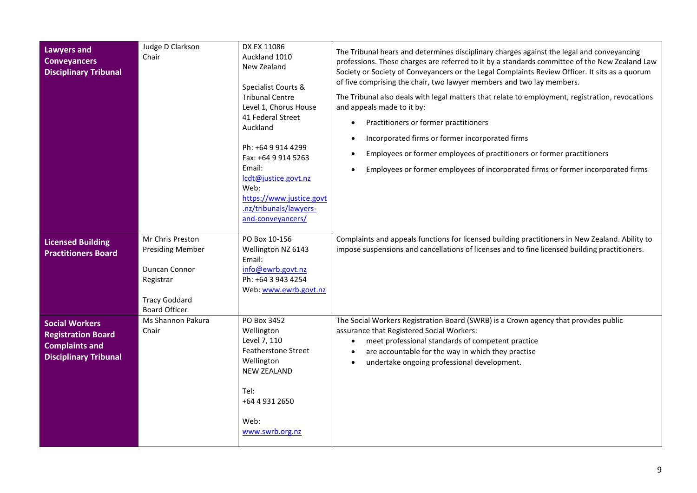<span id="page-8-2"></span><span id="page-8-1"></span><span id="page-8-0"></span>

| <b>Lawyers and</b><br><b>Conveyancers</b><br><b>Disciplinary Tribunal</b>                                   | Judge D Clarkson<br>Chair                                                                                                 | DX EX 11086<br>Auckland 1010<br>New Zealand<br>Specialist Courts &<br><b>Tribunal Centre</b><br>Level 1, Chorus House<br>41 Federal Street<br>Auckland<br>Ph: +64 9 914 4299<br>Fax: +64 9 914 5263<br>Email:<br>lcdt@justice.govt.nz<br>Web:<br>https://www.justice.govt<br>.nz/tribunals/lawyers-<br>and-conveyancers/ | The Tribunal hears and determines disciplinary charges against the legal and conveyancing<br>professions. These charges are referred to it by a standards committee of the New Zealand Law<br>Society or Society of Conveyancers or the Legal Complaints Review Officer. It sits as a quorum<br>of five comprising the chair, two lawyer members and two lay members.<br>The Tribunal also deals with legal matters that relate to employment, registration, revocations<br>and appeals made to it by:<br>Practitioners or former practitioners<br>$\bullet$<br>Incorporated firms or former incorporated firms<br>$\bullet$<br>Employees or former employees of practitioners or former practitioners<br>$\bullet$<br>Employees or former employees of incorporated firms or former incorporated firms<br>$\bullet$ |
|-------------------------------------------------------------------------------------------------------------|---------------------------------------------------------------------------------------------------------------------------|--------------------------------------------------------------------------------------------------------------------------------------------------------------------------------------------------------------------------------------------------------------------------------------------------------------------------|----------------------------------------------------------------------------------------------------------------------------------------------------------------------------------------------------------------------------------------------------------------------------------------------------------------------------------------------------------------------------------------------------------------------------------------------------------------------------------------------------------------------------------------------------------------------------------------------------------------------------------------------------------------------------------------------------------------------------------------------------------------------------------------------------------------------|
| <b>Licensed Building</b><br><b>Practitioners Board</b>                                                      | Mr Chris Preston<br><b>Presiding Member</b><br>Duncan Connor<br>Registrar<br><b>Tracy Goddard</b><br><b>Board Officer</b> | PO Box 10-156<br>Wellington NZ 6143<br>Email:<br>info@ewrb.govt.nz<br>Ph: +64 3 943 4254<br>Web: www.ewrb.govt.nz                                                                                                                                                                                                        | Complaints and appeals functions for licensed building practitioners in New Zealand. Ability to<br>impose suspensions and cancellations of licenses and to fine licensed building practitioners.                                                                                                                                                                                                                                                                                                                                                                                                                                                                                                                                                                                                                     |
| <b>Social Workers</b><br><b>Registration Board</b><br><b>Complaints and</b><br><b>Disciplinary Tribunal</b> | Ms Shannon Pakura<br>Chair                                                                                                | PO Box 3452<br>Wellington<br>Level 7, 110<br><b>Featherstone Street</b><br>Wellington<br><b>NEW ZEALAND</b><br>Tel:<br>+64 4 931 2650<br>Web:<br>www.swrb.org.nz                                                                                                                                                         | The Social Workers Registration Board (SWRB) is a Crown agency that provides public<br>assurance that Registered Social Workers:<br>meet professional standards of competent practice<br>$\bullet$<br>are accountable for the way in which they practise<br>$\bullet$<br>undertake ongoing professional development.<br>$\bullet$                                                                                                                                                                                                                                                                                                                                                                                                                                                                                    |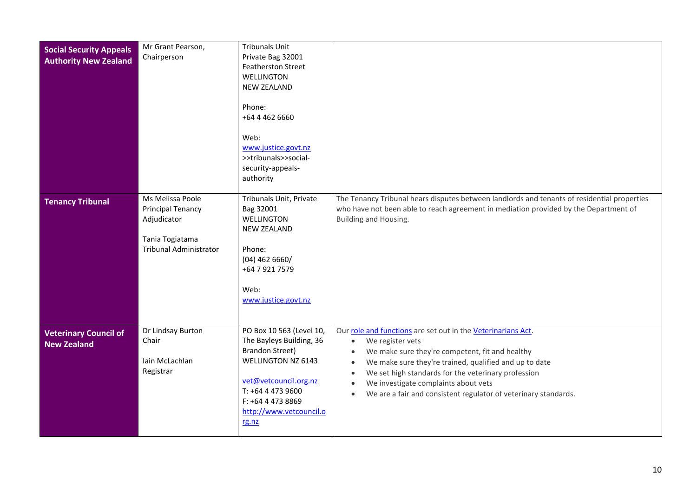<span id="page-9-2"></span><span id="page-9-1"></span><span id="page-9-0"></span>

| <b>Social Security Appeals</b><br><b>Authority New Zealand</b> | Mr Grant Pearson,<br>Chairperson                                                                                | <b>Tribunals Unit</b><br>Private Bag 32001<br><b>Featherston Street</b><br><b>WELLINGTON</b><br><b>NEW ZEALAND</b><br>Phone:<br>+64 4 462 6660<br>Web:<br>www.justice.govt.nz<br>>>tribunals>>social-<br>security-appeals-<br>authority |                                                                                                                                                                                                                                                                                                                                                                                                                                               |
|----------------------------------------------------------------|-----------------------------------------------------------------------------------------------------------------|-----------------------------------------------------------------------------------------------------------------------------------------------------------------------------------------------------------------------------------------|-----------------------------------------------------------------------------------------------------------------------------------------------------------------------------------------------------------------------------------------------------------------------------------------------------------------------------------------------------------------------------------------------------------------------------------------------|
| <b>Tenancy Tribunal</b>                                        | Ms Melissa Poole<br><b>Principal Tenancy</b><br>Adjudicator<br>Tania Togiatama<br><b>Tribunal Administrator</b> | Tribunals Unit, Private<br>Bag 32001<br>WELLINGTON<br><b>NEW ZEALAND</b><br>Phone:<br>$(04)$ 462 6660/<br>+64 7 921 7579<br>Web:<br>www.justice.govt.nz                                                                                 | The Tenancy Tribunal hears disputes between landlords and tenants of residential properties<br>who have not been able to reach agreement in mediation provided by the Department of<br>Building and Housing.                                                                                                                                                                                                                                  |
| <b>Veterinary Council of</b><br><b>New Zealand</b>             | Dr Lindsay Burton<br>Chair<br>Iain McLachlan<br>Registrar                                                       | PO Box 10 563 (Level 10,<br>The Bayleys Building, 36<br><b>Brandon Street)</b><br><b>WELLINGTON NZ 6143</b><br>vet@vetcouncil.org.nz<br>T: +64 4 473 9600<br>F: +64 4 473 8869<br>http://www.vetcouncil.o<br>rg.nz                      | Our role and functions are set out in the Veterinarians Act.<br>We register vets<br>$\bullet$<br>We make sure they're competent, fit and healthy<br>$\bullet$<br>We make sure they're trained, qualified and up to date<br>$\bullet$<br>We set high standards for the veterinary profession<br>$\bullet$<br>We investigate complaints about vets<br>$\bullet$<br>We are a fair and consistent regulator of veterinary standards.<br>$\bullet$ |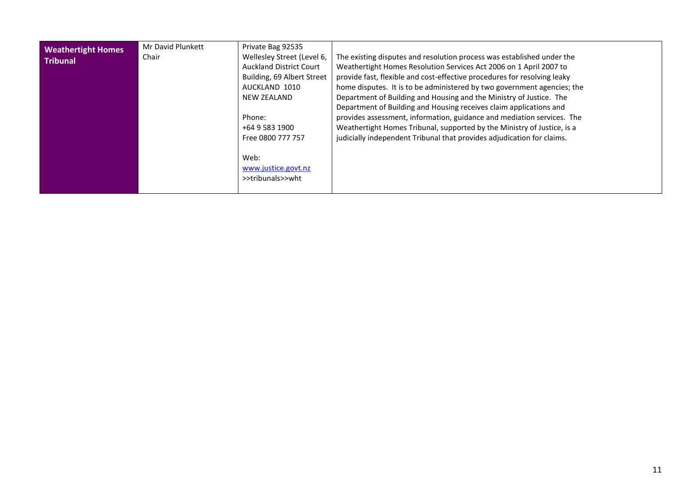<span id="page-10-0"></span>

| <b>Weathertight Homes</b><br><b>Tribunal</b> | Mr David Plunkett<br>Chair | Private Bag 92535<br>Wellesley Street (Level 6,<br><b>Auckland District Court</b><br>Building, 69 Albert Street<br>AUCKLAND 1010<br><b>NEW ZEALAND</b><br>Phone:<br>+64 9 583 1900<br>Free 0800 777 757<br>Web:<br>www.justice.govt.nz<br>>>tribunals>>wht | The existing disputes and resolution process was established under the<br>Weathertight Homes Resolution Services Act 2006 on 1 April 2007 to<br>provide fast, flexible and cost-effective procedures for resolving leaky<br>home disputes. It is to be administered by two government agencies; the<br>Department of Building and Housing and the Ministry of Justice. The<br>Department of Building and Housing receives claim applications and<br>provides assessment, information, guidance and mediation services. The<br>Weathertight Homes Tribunal, supported by the Ministry of Justice, is a<br>judicially independent Tribunal that provides adjudication for claims. |
|----------------------------------------------|----------------------------|------------------------------------------------------------------------------------------------------------------------------------------------------------------------------------------------------------------------------------------------------------|---------------------------------------------------------------------------------------------------------------------------------------------------------------------------------------------------------------------------------------------------------------------------------------------------------------------------------------------------------------------------------------------------------------------------------------------------------------------------------------------------------------------------------------------------------------------------------------------------------------------------------------------------------------------------------|
|                                              |                            |                                                                                                                                                                                                                                                            |                                                                                                                                                                                                                                                                                                                                                                                                                                                                                                                                                                                                                                                                                 |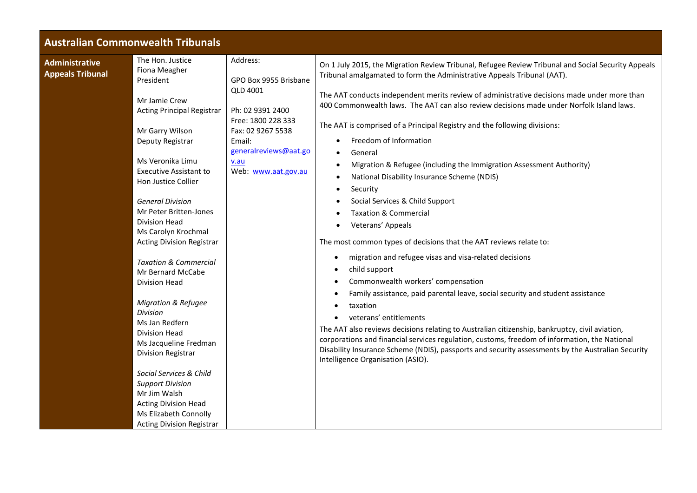## **Australian Commonwealth Tribunals**

<span id="page-11-1"></span><span id="page-11-0"></span>

| <b>Administrative</b><br><b>Appeals Tribunal</b> | The Hon. Justice<br>Fiona Meagher<br>President<br>Mr Jamie Crew<br><b>Acting Principal Registrar</b><br>Mr Garry Wilson<br>Deputy Registrar<br>Ms Veronika Limu<br><b>Executive Assistant to</b><br>Hon Justice Collier<br><b>General Division</b><br>Mr Peter Britten-Jones<br><b>Division Head</b><br>Ms Carolyn Krochmal<br><b>Acting Division Registrar</b><br><b>Taxation &amp; Commercial</b><br>Mr Bernard McCabe<br>Division Head<br><b>Migration &amp; Refugee</b><br>Division<br>Ms Jan Redfern<br>Division Head<br>Ms Jacqueline Fredman | Address:<br>GPO Box 9955 Brisbane<br><b>QLD 4001</b><br>Ph: 02 9391 2400<br>Free: 1800 228 333<br>Fax: 02 9267 5538<br>Email:<br>generalreviews@aat.go<br>v.au<br>Web: www.aat.gov.au | On 1 July 2015, the Migration Review Tribunal, Refugee Review Tribunal and Social Security Appeals<br>Tribunal amalgamated to form the Administrative Appeals Tribunal (AAT).<br>The AAT conducts independent merits review of administrative decisions made under more than<br>400 Commonwealth laws. The AAT can also review decisions made under Norfolk Island laws.<br>The AAT is comprised of a Principal Registry and the following divisions:<br>Freedom of Information<br>General<br>Migration & Refugee (including the Immigration Assessment Authority)<br>National Disability Insurance Scheme (NDIS)<br>Security<br>Social Services & Child Support<br><b>Taxation &amp; Commercial</b><br>Veterans' Appeals<br>The most common types of decisions that the AAT reviews relate to:<br>migration and refugee visas and visa-related decisions<br>$\bullet$<br>child support<br>Commonwealth workers' compensation<br>Family assistance, paid parental leave, social security and student assistance<br>taxation<br>veterans' entitlements<br>The AAT also reviews decisions relating to Australian citizenship, bankruptcy, civil aviation,<br>corporations and financial services regulation, customs, freedom of information, the National |
|--------------------------------------------------|-----------------------------------------------------------------------------------------------------------------------------------------------------------------------------------------------------------------------------------------------------------------------------------------------------------------------------------------------------------------------------------------------------------------------------------------------------------------------------------------------------------------------------------------------------|---------------------------------------------------------------------------------------------------------------------------------------------------------------------------------------|----------------------------------------------------------------------------------------------------------------------------------------------------------------------------------------------------------------------------------------------------------------------------------------------------------------------------------------------------------------------------------------------------------------------------------------------------------------------------------------------------------------------------------------------------------------------------------------------------------------------------------------------------------------------------------------------------------------------------------------------------------------------------------------------------------------------------------------------------------------------------------------------------------------------------------------------------------------------------------------------------------------------------------------------------------------------------------------------------------------------------------------------------------------------------------------------------------------------------------------------------------|
|                                                  | <b>Division Registrar</b><br>Social Services & Child<br><b>Support Division</b><br>Mr Jim Walsh<br><b>Acting Division Head</b><br>Ms Elizabeth Connolly<br><b>Acting Division Registrar</b>                                                                                                                                                                                                                                                                                                                                                         |                                                                                                                                                                                       | Disability Insurance Scheme (NDIS), passports and security assessments by the Australian Security<br>Intelligence Organisation (ASIO).                                                                                                                                                                                                                                                                                                                                                                                                                                                                                                                                                                                                                                                                                                                                                                                                                                                                                                                                                                                                                                                                                                                   |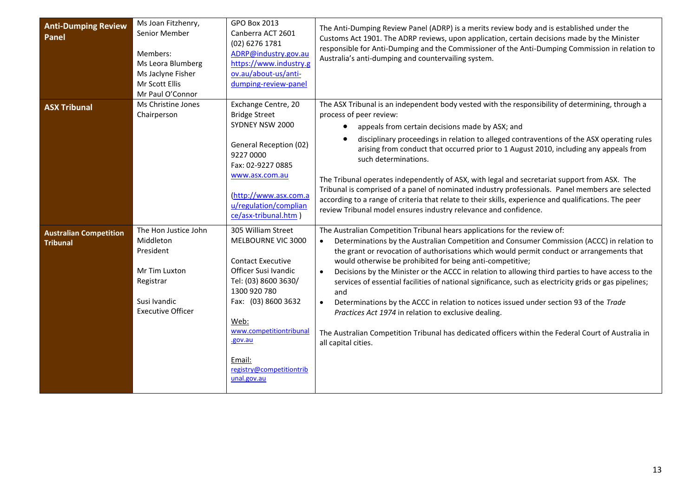<span id="page-12-2"></span><span id="page-12-1"></span><span id="page-12-0"></span>

| <b>Anti-Dumping Review</b><br><b>Panel</b>       | Ms Joan Fitzhenry,<br>Senior Member<br>Members:<br>Ms Leora Blumberg<br>Ms Jaclyne Fisher<br>Mr Scott Ellis<br>Mr Paul O'Connor | <b>GPO Box 2013</b><br>Canberra ACT 2601<br>(02) 6276 1781<br>ADRP@industry.gov.au<br>https://www.industry.g<br>ov.au/about-us/anti-<br>dumping-review-panel                                                                                                   | The Anti-Dumping Review Panel (ADRP) is a merits review body and is established under the<br>Customs Act 1901. The ADRP reviews, upon application, certain decisions made by the Minister<br>responsible for Anti-Dumping and the Commissioner of the Anti-Dumping Commission in relation to<br>Australia's anti-dumping and countervailing system.                                                                                                                                                                                                                                                                                                                                                                                                                                                                                                               |
|--------------------------------------------------|---------------------------------------------------------------------------------------------------------------------------------|----------------------------------------------------------------------------------------------------------------------------------------------------------------------------------------------------------------------------------------------------------------|-------------------------------------------------------------------------------------------------------------------------------------------------------------------------------------------------------------------------------------------------------------------------------------------------------------------------------------------------------------------------------------------------------------------------------------------------------------------------------------------------------------------------------------------------------------------------------------------------------------------------------------------------------------------------------------------------------------------------------------------------------------------------------------------------------------------------------------------------------------------|
| <b>ASX Tribunal</b>                              | Ms Christine Jones<br>Chairperson                                                                                               | Exchange Centre, 20<br><b>Bridge Street</b><br>SYDNEY NSW 2000<br>General Reception (02)<br>9227 0000<br>Fax: 02-9227 0885<br>www.asx.com.au<br>(http://www.asx.com.a<br>u/regulation/complian<br>ce/asx-tribunal.htm)                                         | The ASX Tribunal is an independent body vested with the responsibility of determining, through a<br>process of peer review:<br>appeals from certain decisions made by ASX; and<br>$\bullet$<br>disciplinary proceedings in relation to alleged contraventions of the ASX operating rules<br>arising from conduct that occurred prior to 1 August 2010, including any appeals from<br>such determinations.<br>The Tribunal operates independently of ASX, with legal and secretariat support from ASX. The<br>Tribunal is comprised of a panel of nominated industry professionals. Panel members are selected<br>according to a range of criteria that relate to their skills, experience and qualifications. The peer<br>review Tribunal model ensures industry relevance and confidence.                                                                        |
| <b>Australian Competition</b><br><b>Tribunal</b> | The Hon Justice John<br>Middleton<br>President<br>Mr Tim Luxton<br>Registrar<br>Susi Ivandic<br><b>Executive Officer</b>        | 305 William Street<br>MELBOURNE VIC 3000<br><b>Contact Executive</b><br>Officer Susi Ivandic<br>Tel: (03) 8600 3630/<br>1300 920 780<br>Fax: (03) 8600 3632<br>Web:<br>www.competitiontribunal<br>.gov.au<br>Email:<br>registry@competitiontrib<br>unal.gov.au | The Australian Competition Tribunal hears applications for the review of:<br>Determinations by the Australian Competition and Consumer Commission (ACCC) in relation to<br>the grant or revocation of authorisations which would permit conduct or arrangements that<br>would otherwise be prohibited for being anti-competitive;<br>Decisions by the Minister or the ACCC in relation to allowing third parties to have access to the<br>$\bullet$<br>services of essential facilities of national significance, such as electricity grids or gas pipelines;<br>and<br>Determinations by the ACCC in relation to notices issued under section 93 of the Trade<br>$\bullet$<br>Practices Act 1974 in relation to exclusive dealing.<br>The Australian Competition Tribunal has dedicated officers within the Federal Court of Australia in<br>all capital cities. |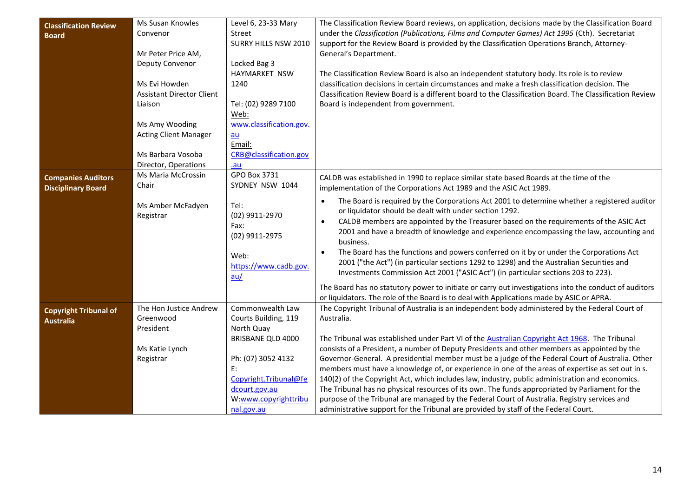<span id="page-13-2"></span><span id="page-13-1"></span><span id="page-13-0"></span>

| <b>Classification Review</b><br><b>Board</b>           | Ms Susan Knowles<br>Convenor<br>Mr Peter Price AM,<br>Deputy Convenor<br>Ms Evi Howden<br><b>Assistant Director Client</b><br>Liaison<br>Ms Amy Wooding<br><b>Acting Client Manager</b><br>Ms Barbara Vosoba | Level 6, 23-33 Mary<br>Street<br><b>SURRY HILLS NSW 2010</b><br>Locked Bag 3<br>HAYMARKET NSW<br>1240<br>Tel: (02) 9289 7100<br>Web:<br>www.classification.gov.<br>$au$<br>Email:<br>CRB@classification.gov | The Classification Review Board reviews, on application, decisions made by the Classification Board<br>under the Classification (Publications, Films and Computer Games) Act 1995 (Cth). Secretariat<br>support for the Review Board is provided by the Classification Operations Branch, Attorney-<br>General's Department.<br>The Classification Review Board is also an independent statutory body. Its role is to review<br>classification decisions in certain circumstances and make a fresh classification decision. The<br>Classification Review Board is a different board to the Classification Board. The Classification Review<br>Board is independent from government. |
|--------------------------------------------------------|--------------------------------------------------------------------------------------------------------------------------------------------------------------------------------------------------------------|-------------------------------------------------------------------------------------------------------------------------------------------------------------------------------------------------------------|-------------------------------------------------------------------------------------------------------------------------------------------------------------------------------------------------------------------------------------------------------------------------------------------------------------------------------------------------------------------------------------------------------------------------------------------------------------------------------------------------------------------------------------------------------------------------------------------------------------------------------------------------------------------------------------|
|                                                        | Director, Operations<br>Ms Maria McCrossin                                                                                                                                                                   | .au<br>GPO Box 3731                                                                                                                                                                                         |                                                                                                                                                                                                                                                                                                                                                                                                                                                                                                                                                                                                                                                                                     |
| <b>Companies Auditors</b><br><b>Disciplinary Board</b> | Chair                                                                                                                                                                                                        | SYDNEY NSW 1044                                                                                                                                                                                             | CALDB was established in 1990 to replace similar state based Boards at the time of the<br>implementation of the Corporations Act 1989 and the ASIC Act 1989.                                                                                                                                                                                                                                                                                                                                                                                                                                                                                                                        |
|                                                        | Ms Amber McFadyen<br>Registrar                                                                                                                                                                               | Tel:<br>(02) 9911-2970<br>Fax:<br>(02) 9911-2975<br>Web:<br>https://www.cadb.gov.<br>au/                                                                                                                    | The Board is required by the Corporations Act 2001 to determine whether a registered auditor<br>$\bullet$<br>or liquidator should be dealt with under section 1292.<br>CALDB members are appointed by the Treasurer based on the requirements of the ASIC Act<br>$\bullet$<br>2001 and have a breadth of knowledge and experience encompassing the law, accounting and<br>business.<br>The Board has the functions and powers conferred on it by or under the Corporations Act<br>2001 ("the Act") (in particular sections 1292 to 1298) and the Australian Securities and<br>Investments Commission Act 2001 ("ASIC Act") (in particular sections 203 to 223).                     |
|                                                        |                                                                                                                                                                                                              |                                                                                                                                                                                                             | The Board has no statutory power to initiate or carry out investigations into the conduct of auditors<br>or liquidators. The role of the Board is to deal with Applications made by ASIC or APRA.                                                                                                                                                                                                                                                                                                                                                                                                                                                                                   |
| <b>Copyright Tribunal of</b><br><b>Australia</b>       | The Hon Justice Andrew<br>Greenwood<br>President<br>Ms Katie Lynch                                                                                                                                           | Commonwealth Law<br>Courts Building, 119<br>North Quay<br><b>BRISBANE QLD 4000</b>                                                                                                                          | The Copyright Tribunal of Australia is an independent body administered by the Federal Court of<br>Australia.<br>The Tribunal was established under Part VI of the Australian Copyright Act 1968. The Tribunal<br>consists of a President, a number of Deputy Presidents and other members as appointed by the                                                                                                                                                                                                                                                                                                                                                                      |
|                                                        | Registrar                                                                                                                                                                                                    | Ph: (07) 3052 4132<br>E:<br>Copyright.Tribunal@fe<br>dcourt.gov.au<br>W:www.copyrighttribu<br>nal.gov.au                                                                                                    | Governor-General. A presidential member must be a judge of the Federal Court of Australia. Other<br>members must have a knowledge of, or experience in one of the areas of expertise as set out in s.<br>140(2) of the Copyright Act, which includes law, industry, public administration and economics.<br>The Tribunal has no physical resources of its own. The funds appropriated by Parliament for the<br>purpose of the Tribunal are managed by the Federal Court of Australia. Registry services and<br>administrative support for the Tribunal are provided by staff of the Federal Court.                                                                                  |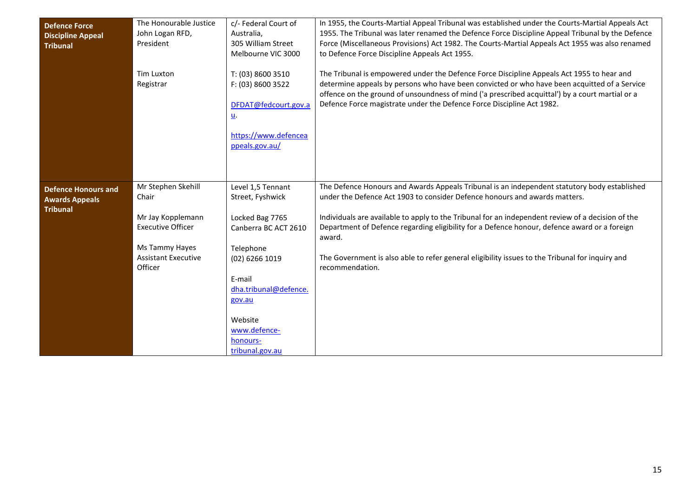<span id="page-14-1"></span><span id="page-14-0"></span>

| <b>Defence Force</b><br><b>Discipline Appeal</b><br><b>Tribunal</b>    | The Honourable Justice<br>John Logan RFD,<br>President<br><b>Tim Luxton</b><br>Registrar                                                | c/- Federal Court of<br>Australia,<br>305 William Street<br>Melbourne VIC 3000<br>T: (03) 8600 3510<br>F: (03) 8600 3522<br>DFDAT@fedcourt.gov.a<br><u>u</u> .<br>https://www.defencea<br>ppeals.gov.au/               | In 1955, the Courts-Martial Appeal Tribunal was established under the Courts-Martial Appeals Act<br>1955. The Tribunal was later renamed the Defence Force Discipline Appeal Tribunal by the Defence<br>Force (Miscellaneous Provisions) Act 1982. The Courts-Martial Appeals Act 1955 was also renamed<br>to Defence Force Discipline Appeals Act 1955.<br>The Tribunal is empowered under the Defence Force Discipline Appeals Act 1955 to hear and<br>determine appeals by persons who have been convicted or who have been acquitted of a Service<br>offence on the ground of unsoundness of mind ('a prescribed acquittal') by a court martial or a<br>Defence Force magistrate under the Defence Force Discipline Act 1982. |
|------------------------------------------------------------------------|-----------------------------------------------------------------------------------------------------------------------------------------|------------------------------------------------------------------------------------------------------------------------------------------------------------------------------------------------------------------------|-----------------------------------------------------------------------------------------------------------------------------------------------------------------------------------------------------------------------------------------------------------------------------------------------------------------------------------------------------------------------------------------------------------------------------------------------------------------------------------------------------------------------------------------------------------------------------------------------------------------------------------------------------------------------------------------------------------------------------------|
| <b>Defence Honours and</b><br><b>Awards Appeals</b><br><b>Tribunal</b> | Mr Stephen Skehill<br>Chair<br>Mr Jay Kopplemann<br><b>Executive Officer</b><br>Ms Tammy Hayes<br><b>Assistant Executive</b><br>Officer | Level 1,5 Tennant<br>Street, Fyshwick<br>Locked Bag 7765<br>Canberra BC ACT 2610<br>Telephone<br>(02) 6266 1019<br>E-mail<br>dha.tribunal@defence.<br>gov.au<br>Website<br>www.defence-<br>honours-<br>tribunal.gov.au | The Defence Honours and Awards Appeals Tribunal is an independent statutory body established<br>under the Defence Act 1903 to consider Defence honours and awards matters.<br>Individuals are available to apply to the Tribunal for an independent review of a decision of the<br>Department of Defence regarding eligibility for a Defence honour, defence award or a foreign<br>award.<br>The Government is also able to refer general eligibility issues to the Tribunal for inquiry and<br>recommendation.                                                                                                                                                                                                                   |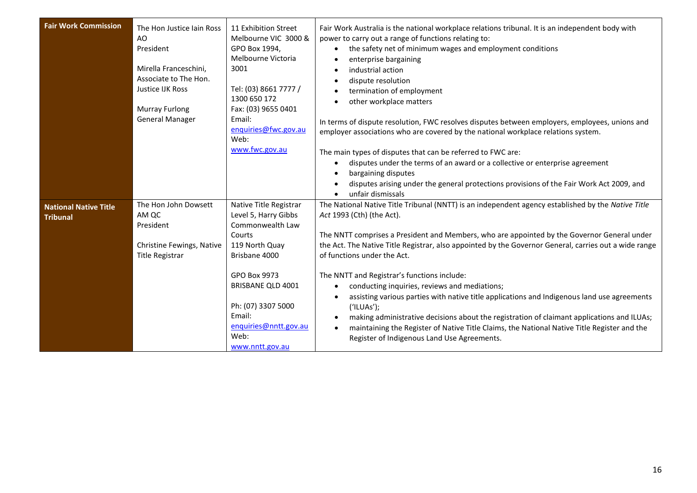<span id="page-15-1"></span><span id="page-15-0"></span>

| <b>Fair Work Commission</b>                     | The Hon Justice Jain Ross<br>AO<br>President<br>Mirella Franceschini,<br>Associate to The Hon.<br>Justice IJK Ross<br><b>Murray Furlong</b><br><b>General Manager</b> | 11 Exhibition Street<br>Melbourne VIC 3000 &<br>GPO Box 1994,<br>Melbourne Victoria<br>3001<br>Tel: (03) 8661 7777 /<br>1300 650 172<br>Fax: (03) 9655 0401<br>Email:<br>enquiries@fwc.gov.au<br>Web:<br>www.fwc.gov.au                  | Fair Work Australia is the national workplace relations tribunal. It is an independent body with<br>power to carry out a range of functions relating to:<br>the safety net of minimum wages and employment conditions<br>enterprise bargaining<br>industrial action<br>dispute resolution<br>termination of employment<br>other workplace matters<br>In terms of dispute resolution, FWC resolves disputes between employers, employees, unions and<br>employer associations who are covered by the national workplace relations system.<br>The main types of disputes that can be referred to FWC are:<br>disputes under the terms of an award or a collective or enterprise agreement<br>bargaining disputes<br>disputes arising under the general protections provisions of the Fair Work Act 2009, and<br>unfair dismissals |
|-------------------------------------------------|-----------------------------------------------------------------------------------------------------------------------------------------------------------------------|------------------------------------------------------------------------------------------------------------------------------------------------------------------------------------------------------------------------------------------|---------------------------------------------------------------------------------------------------------------------------------------------------------------------------------------------------------------------------------------------------------------------------------------------------------------------------------------------------------------------------------------------------------------------------------------------------------------------------------------------------------------------------------------------------------------------------------------------------------------------------------------------------------------------------------------------------------------------------------------------------------------------------------------------------------------------------------|
| <b>National Native Title</b><br><b>Tribunal</b> | The Hon John Dowsett<br>AM QC<br>President<br>Christine Fewings, Native<br><b>Title Registrar</b>                                                                     | Native Title Registrar<br>Level 5, Harry Gibbs<br>Commonwealth Law<br>Courts<br>119 North Quay<br>Brisbane 4000<br>GPO Box 9973<br>BRISBANE QLD 4001<br>Ph: (07) 3307 5000<br>Email:<br>enquiries@nntt.gov.au<br>Web:<br>www.nntt.gov.au | The National Native Title Tribunal (NNTT) is an independent agency established by the Native Title<br>Act 1993 (Cth) (the Act).<br>The NNTT comprises a President and Members, who are appointed by the Governor General under<br>the Act. The Native Title Registrar, also appointed by the Governor General, carries out a wide range<br>of functions under the Act.<br>The NNTT and Registrar's functions include:<br>conducting inquiries, reviews and mediations;<br>assisting various parties with native title applications and Indigenous land use agreements<br>(′ILUAs′);<br>making administrative decisions about the registration of claimant applications and ILUAs;<br>maintaining the Register of Native Title Claims, the National Native Title Register and the<br>Register of Indigenous Land Use Agreements. |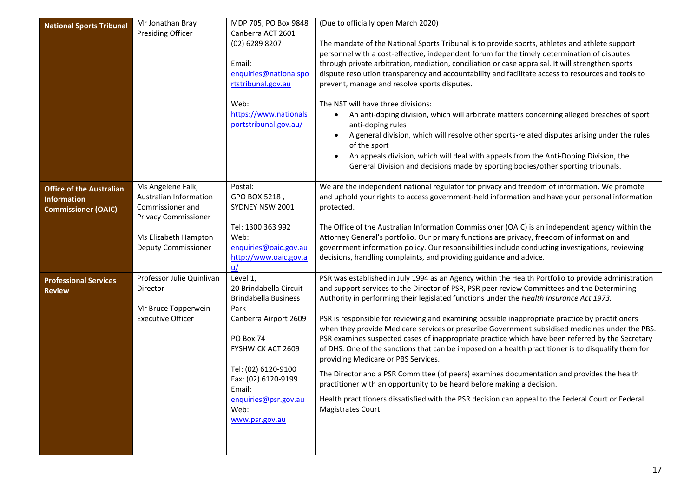<span id="page-16-2"></span><span id="page-16-1"></span><span id="page-16-0"></span>

| <b>National Sports Tribunal</b> | Mr Jonathan Bray            | MDP 705, PO Box 9848                                  | (Due to officially open March 2020)                                                                                                                                                                |
|---------------------------------|-----------------------------|-------------------------------------------------------|----------------------------------------------------------------------------------------------------------------------------------------------------------------------------------------------------|
|                                 | <b>Presiding Officer</b>    | Canberra ACT 2601<br>(02) 6289 8207                   |                                                                                                                                                                                                    |
|                                 |                             |                                                       | The mandate of the National Sports Tribunal is to provide sports, athletes and athlete support<br>personnel with a cost-effective, independent forum for the timely determination of disputes      |
|                                 |                             | Email:                                                | through private arbitration, mediation, conciliation or case appraisal. It will strengthen sports                                                                                                  |
|                                 |                             | enquiries@nationalspo                                 | dispute resolution transparency and accountability and facilitate access to resources and tools to                                                                                                 |
|                                 |                             | rtstribunal.gov.au                                    | prevent, manage and resolve sports disputes.                                                                                                                                                       |
|                                 |                             | Web:                                                  | The NST will have three divisions:                                                                                                                                                                 |
|                                 |                             | https://www.nationals<br>portstribunal.gov.au/        | An anti-doping division, which will arbitrate matters concerning alleged breaches of sport<br>$\bullet$<br>anti-doping rules                                                                       |
|                                 |                             |                                                       | A general division, which will resolve other sports-related disputes arising under the rules<br>$\bullet$<br>of the sport                                                                          |
|                                 |                             |                                                       | An appeals division, which will deal with appeals from the Anti-Doping Division, the<br>$\bullet$                                                                                                  |
|                                 |                             |                                                       | General Division and decisions made by sporting bodies/other sporting tribunals.                                                                                                                   |
| <b>Office of the Australian</b> | Ms Angelene Falk,           | Postal:                                               | We are the independent national regulator for privacy and freedom of information. We promote                                                                                                       |
| <b>Information</b>              | Australian Information      | GPO BOX 5218,                                         | and uphold your rights to access government-held information and have your personal information                                                                                                    |
| <b>Commissioner (OAIC)</b>      | Commissioner and            | SYDNEY NSW 2001                                       | protected.                                                                                                                                                                                         |
|                                 | <b>Privacy Commissioner</b> | Tel: 1300 363 992                                     | The Office of the Australian Information Commissioner (OAIC) is an independent agency within the                                                                                                   |
|                                 | Ms Elizabeth Hampton        | Web:                                                  | Attorney General's portfolio. Our primary functions are privacy, freedom of information and                                                                                                        |
|                                 | Deputy Commissioner         | enquiries@oaic.gov.au                                 | government information policy. Our responsibilities include conducting investigations, reviewing                                                                                                   |
|                                 |                             | http://www.oaic.gov.a                                 | decisions, handling complaints, and providing guidance and advice.                                                                                                                                 |
|                                 |                             | u/                                                    |                                                                                                                                                                                                    |
| <b>Professional Services</b>    | Professor Julie Quinlivan   | Level 1,                                              | PSR was established in July 1994 as an Agency within the Health Portfolio to provide administration                                                                                                |
| <b>Review</b>                   | Director                    | 20 Brindabella Circuit<br><b>Brindabella Business</b> | and support services to the Director of PSR, PSR peer review Committees and the Determining<br>Authority in performing their legislated functions under the Health Insurance Act 1973.             |
|                                 | Mr Bruce Topperwein         | Park                                                  |                                                                                                                                                                                                    |
|                                 | <b>Executive Officer</b>    | Canberra Airport 2609                                 | PSR is responsible for reviewing and examining possible inappropriate practice by practitioners<br>when they provide Medicare services or prescribe Government subsidised medicines under the PBS. |
|                                 |                             | PO Box 74                                             | PSR examines suspected cases of inappropriate practice which have been referred by the Secretary                                                                                                   |
|                                 |                             | FYSHWICK ACT 2609                                     | of DHS. One of the sanctions that can be imposed on a health practitioner is to disqualify them for<br>providing Medicare or PBS Services.                                                         |
|                                 |                             | Tel: (02) 6120-9100                                   | The Director and a PSR Committee (of peers) examines documentation and provides the health                                                                                                         |
|                                 |                             | Fax: (02) 6120-9199<br>Email:                         | practitioner with an opportunity to be heard before making a decision.                                                                                                                             |
|                                 |                             | enquiries@psr.gov.au                                  | Health practitioners dissatisfied with the PSR decision can appeal to the Federal Court or Federal                                                                                                 |
|                                 |                             | Web:                                                  | Magistrates Court.                                                                                                                                                                                 |
|                                 |                             | www.psr.gov.au                                        |                                                                                                                                                                                                    |
|                                 |                             |                                                       |                                                                                                                                                                                                    |
|                                 |                             |                                                       |                                                                                                                                                                                                    |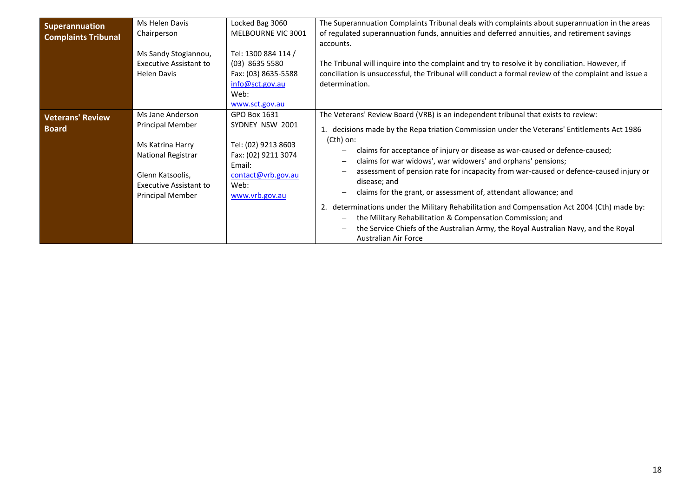<span id="page-17-1"></span><span id="page-17-0"></span>

| <b>Superannuation</b><br><b>Complaints Tribunal</b> | Ms Helen Davis<br>Chairperson<br>Ms Sandy Stogiannou,<br><b>Executive Assistant to</b><br><b>Helen Davis</b>                                                          | Locked Bag 3060<br><b>MELBOURNE VIC 3001</b><br>Tel: 1300 884 114 /<br>$(03)$ 8635 5580<br>Fax: (03) 8635-5588<br>info@sct.gov.au<br>Web:<br>www.sct.gov.au | The Superannuation Complaints Tribunal deals with complaints about superannuation in the areas<br>of regulated superannuation funds, annuities and deferred annuities, and retirement savings<br>accounts.<br>The Tribunal will inquire into the complaint and try to resolve it by conciliation. However, if<br>conciliation is unsuccessful, the Tribunal will conduct a formal review of the complaint and issue a<br>determination.                                                                                                                                                                                                                                                                                                                                                                        |
|-----------------------------------------------------|-----------------------------------------------------------------------------------------------------------------------------------------------------------------------|-------------------------------------------------------------------------------------------------------------------------------------------------------------|----------------------------------------------------------------------------------------------------------------------------------------------------------------------------------------------------------------------------------------------------------------------------------------------------------------------------------------------------------------------------------------------------------------------------------------------------------------------------------------------------------------------------------------------------------------------------------------------------------------------------------------------------------------------------------------------------------------------------------------------------------------------------------------------------------------|
| <b>Veterans' Review</b><br><b>Board</b>             | Ms Jane Anderson<br><b>Principal Member</b><br>Ms Katrina Harry<br>National Registrar<br>Glenn Katsoolis,<br><b>Executive Assistant to</b><br><b>Principal Member</b> | GPO Box 1631<br>SYDNEY NSW 2001<br>Tel: (02) 9213 8603<br>Fax: (02) 9211 3074<br>Email:<br>contact@vrb.gov.au<br>Web:<br>www.vrb.gov.au                     | The Veterans' Review Board (VRB) is an independent tribunal that exists to review:<br>1. decisions made by the Repa triation Commission under the Veterans' Entitlements Act 1986<br>(Cth) on:<br>claims for acceptance of injury or disease as war-caused or defence-caused;<br>claims for war widows', war widowers' and orphans' pensions;<br>assessment of pension rate for incapacity from war-caused or defence-caused injury or<br>disease; and<br>claims for the grant, or assessment of, attendant allowance; and<br>2. determinations under the Military Rehabilitation and Compensation Act 2004 (Cth) made by:<br>the Military Rehabilitation & Compensation Commission; and<br>the Service Chiefs of the Australian Army, the Royal Australian Navy, and the Royal<br><b>Australian Air Force</b> |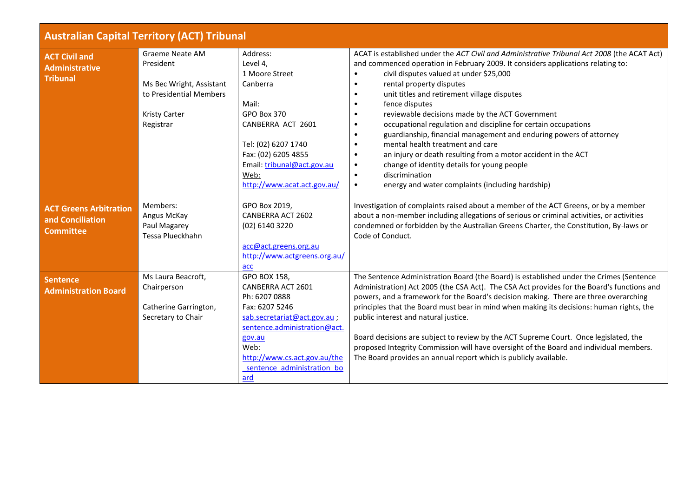<span id="page-18-3"></span><span id="page-18-2"></span><span id="page-18-1"></span><span id="page-18-0"></span>

| <b>Australian Capital Territory (ACT) Tribunal</b>                    |                                                                                                                                 |                                                                                                                                                                                                                            |                                                                                                                                                                                                                                                                                                                                                                                                                                                                                                                                                                                                                                                                                                                                                                                                                                                      |  |
|-----------------------------------------------------------------------|---------------------------------------------------------------------------------------------------------------------------------|----------------------------------------------------------------------------------------------------------------------------------------------------------------------------------------------------------------------------|------------------------------------------------------------------------------------------------------------------------------------------------------------------------------------------------------------------------------------------------------------------------------------------------------------------------------------------------------------------------------------------------------------------------------------------------------------------------------------------------------------------------------------------------------------------------------------------------------------------------------------------------------------------------------------------------------------------------------------------------------------------------------------------------------------------------------------------------------|--|
| <b>ACT Civil and</b><br><b>Administrative</b><br><b>Tribunal</b>      | <b>Graeme Neate AM</b><br>President<br>Ms Bec Wright, Assistant<br>to Presidential Members<br><b>Kristy Carter</b><br>Registrar | Address:<br>Level 4,<br>1 Moore Street<br>Canberra<br>Mail:<br><b>GPO Box 370</b><br>CANBERRA ACT 2601<br>Tel: (02) 6207 1740<br>Fax: (02) 6205 4855<br>Email: tribunal@act.gov.au<br>Web:<br>http://www.acat.act.gov.au/  | ACAT is established under the ACT Civil and Administrative Tribunal Act 2008 (the ACAT Act)<br>and commenced operation in February 2009. It considers applications relating to:<br>civil disputes valued at under \$25,000<br>$\bullet$<br>rental property disputes<br>$\bullet$<br>unit titles and retirement village disputes<br>$\bullet$<br>fence disputes<br>$\bullet$<br>reviewable decisions made by the ACT Government<br>occupational regulation and discipline for certain occupations<br>guardianship, financial management and enduring powers of attorney<br>mental health treatment and care<br>an injury or death resulting from a motor accident in the ACT<br>$\bullet$<br>change of identity details for young people<br>$\bullet$<br>discrimination<br>$\bullet$<br>energy and water complaints (including hardship)<br>$\bullet$ |  |
| <b>ACT Greens Arbitration</b><br>and Conciliation<br><b>Committee</b> | Members:<br>Angus McKay<br>Paul Magarey<br>Tessa Plueckhahn                                                                     | GPO Box 2019,<br>CANBERRA ACT 2602<br>(02) 6140 3220<br>acc@act.greens.org.au<br>http://www.actgreens.org.au/<br>acc                                                                                                       | Investigation of complaints raised about a member of the ACT Greens, or by a member<br>about a non-member including allegations of serious or criminal activities, or activities<br>condemned or forbidden by the Australian Greens Charter, the Constitution, By-laws or<br>Code of Conduct.                                                                                                                                                                                                                                                                                                                                                                                                                                                                                                                                                        |  |
| <b>Sentence</b><br><b>Administration Board</b>                        | Ms Laura Beacroft,<br>Chairperson<br>Catherine Garrington,<br>Secretary to Chair                                                | GPO BOX 158,<br>CANBERRA ACT 2601<br>Ph: 6207 0888<br>Fax: 6207 5246<br>sab.secretariat@act.gov.au;<br>sentence.administration@act.<br>gov.au<br>Web:<br>http://www.cs.act.gov.au/the<br>sentence administration bo<br>ard | The Sentence Administration Board (the Board) is established under the Crimes (Sentence<br>Administration) Act 2005 (the CSA Act). The CSA Act provides for the Board's functions and<br>powers, and a framework for the Board's decision making. There are three overarching<br>principles that the Board must bear in mind when making its decisions: human rights, the<br>public interest and natural justice.<br>Board decisions are subject to review by the ACT Supreme Court. Once legislated, the<br>proposed Integrity Commission will have oversight of the Board and individual members.<br>The Board provides an annual report which is publicly available.                                                                                                                                                                              |  |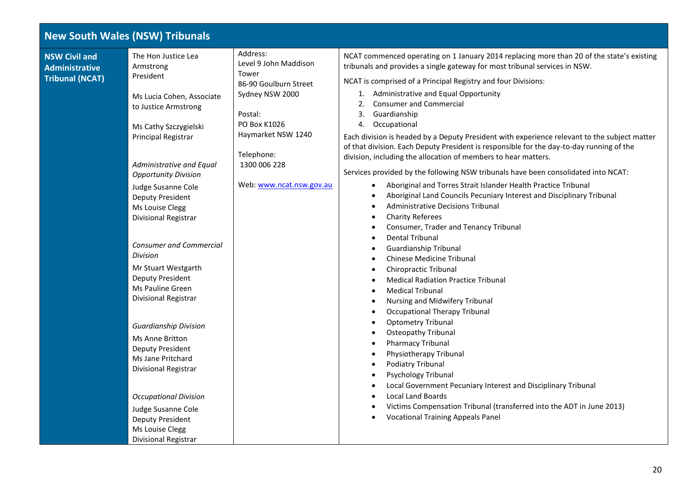## <span id="page-19-0"></span>**New South Wales (NSW) Tribunals NSW Civil and Administrative Tribunal (NCAT)** The Hon Justice Lea Armstrong President Ms Lucia Cohen, Associate to Justice Armstrong Ms Cathy Szczygielski Principal Registrar *Administrative and Equal Opportunity Division*  Judge Susanne Cole Deputy President Ms Louise Clegg Divisional Registrar *Consumer and Commercial Division* Mr Stuart Westgarth Deputy President Ms Pauline Green Divisional Registrar *Guardianship Division* Ms Anne Britton Deputy President Ms Jane Pritchard Divisional Registrar *Occupational Division* Judge Susanne Cole Deputy President Address: Level 9 John Maddison Tower 86-90 Goulburn Street Sydney NSW 2000 Postal: PO Box K1026 Haymarket NSW 1240 Telephone: 1300 006 228 Web[: www.ncat.nsw.gov.au](http://www.ncat.nsw.gov.au/) NCAT commenced operating on 1 January 2014 replacing more than 20 of the state's existing tribunals and provides a single gateway for most tribunal services in NSW. NCAT is comprised of a Principal Registry and four Divisions: 1. Administrative and Equal Opportunity 2. Consumer and Commercial 3. Guardianship 4. Occupational Each division is headed by a Deputy President with experience relevant to the subject matter of that division. Each Deputy President is responsible for the day-to-day running of the division, including the allocation of members to hear matters. Services provided by the following NSW tribunals have been consolidated into NCAT: • Aboriginal and Torres Strait Islander Health Practice Tribunal • Aboriginal Land Councils Pecuniary Interest and Disciplinary Tribunal • Administrative Decisions Tribunal • Charity Referees • Consumer, Trader and Tenancy Tribunal • Dental Tribunal • Guardianship Tribunal • Chinese Medicine Tribunal • Chiropractic Tribunal • Medical Radiation Practice Tribunal • Medical Tribunal • Nursing and Midwifery Tribunal • Occupational Therapy Tribunal • Optometry Tribunal • Osteopathy Tribunal • Pharmacy Tribunal • Physiotherapy Tribunal • Podiatry Tribunal • Psychology Tribunal • Local Government Pecuniary Interest and Disciplinary Tribunal • Local Land Boards • Victims Compensation Tribunal (transferred into the ADT in June 2013) • Vocational Training Appeals Panel

<span id="page-19-1"></span>Ms Louise Clegg Divisional Registrar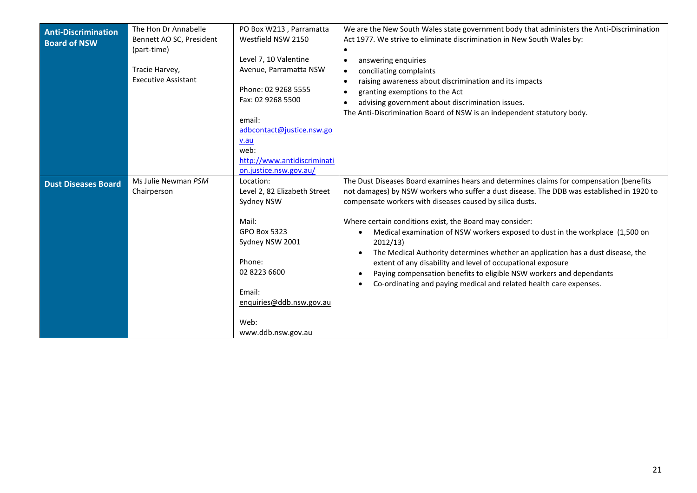<span id="page-20-1"></span><span id="page-20-0"></span>

| <b>Anti-Discrimination</b><br><b>Board of NSW</b> | The Hon Dr Annabelle<br>Bennett AO SC, President<br>(part-time)<br>Tracie Harvey,<br><b>Executive Assistant</b> | PO Box W213, Parramatta<br>Westfield NSW 2150<br>Level 7, 10 Valentine<br>Avenue, Parramatta NSW<br>Phone: 02 9268 5555<br>Fax: 02 9268 5500<br>email:<br>adbcontact@justice.nsw.go<br>v.au<br>web:<br>http://www.antidiscriminati | We are the New South Wales state government body that administers the Anti-Discrimination<br>Act 1977. We strive to eliminate discrimination in New South Wales by:<br>$\bullet$<br>answering enquiries<br>$\bullet$<br>conciliating complaints<br>$\bullet$<br>raising awareness about discrimination and its impacts<br>$\bullet$<br>granting exemptions to the Act<br>$\bullet$<br>advising government about discrimination issues.<br>$\bullet$<br>The Anti-Discrimination Board of NSW is an independent statutory body.                                                                                                                                                                                       |
|---------------------------------------------------|-----------------------------------------------------------------------------------------------------------------|------------------------------------------------------------------------------------------------------------------------------------------------------------------------------------------------------------------------------------|---------------------------------------------------------------------------------------------------------------------------------------------------------------------------------------------------------------------------------------------------------------------------------------------------------------------------------------------------------------------------------------------------------------------------------------------------------------------------------------------------------------------------------------------------------------------------------------------------------------------------------------------------------------------------------------------------------------------|
| <b>Dust Diseases Board</b>                        | Ms Julie Newman PSM<br>Chairperson                                                                              | on.justice.nsw.gov.au/<br>Location:<br>Level 2, 82 Elizabeth Street<br>Sydney NSW<br>Mail:<br><b>GPO Box 5323</b><br>Sydney NSW 2001<br>Phone:<br>02 8223 6600<br>Email:<br>enquiries@ddb.nsw.gov.au<br>Web:<br>www.ddb.nsw.gov.au | The Dust Diseases Board examines hears and determines claims for compensation (benefits<br>not damages) by NSW workers who suffer a dust disease. The DDB was established in 1920 to<br>compensate workers with diseases caused by silica dusts.<br>Where certain conditions exist, the Board may consider:<br>Medical examination of NSW workers exposed to dust in the workplace (1,500 on<br>$\bullet$<br>2012/13<br>The Medical Authority determines whether an application has a dust disease, the<br>extent of any disability and level of occupational exposure<br>Paying compensation benefits to eligible NSW workers and dependants<br>Co-ordinating and paying medical and related health care expenses. |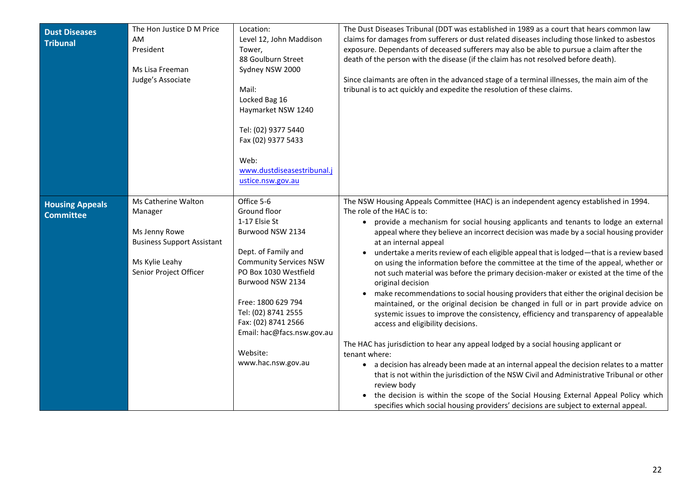<span id="page-21-1"></span><span id="page-21-0"></span>

| <b>Dust Diseases</b><br><b>Tribunal</b>    | The Hon Justice D M Price<br>AM<br>President<br>Ms Lisa Freeman<br>Judge's Associate                                             | Location:<br>Level 12, John Maddison<br>Tower,<br>88 Goulburn Street<br>Sydney NSW 2000<br>Mail:<br>Locked Bag 16<br>Haymarket NSW 1240<br>Tel: (02) 9377 5440<br>Fax (02) 9377 5433<br>Web:<br>www.dustdiseasestribunal.j<br>ustice.nsw.gov.au                                                          | The Dust Diseases Tribunal (DDT was established in 1989 as a court that hears common law<br>claims for damages from sufferers or dust related diseases including those linked to asbestos<br>exposure. Dependants of deceased sufferers may also be able to pursue a claim after the<br>death of the person with the disease (if the claim has not resolved before death).<br>Since claimants are often in the advanced stage of a terminal illnesses, the main aim of the<br>tribunal is to act quickly and expedite the resolution of these claims.                                                                                                                                                                                                                                                                                                                                                                                                                                                                                                                                                                                                                                                                                                                                                                                                                                                                                       |
|--------------------------------------------|----------------------------------------------------------------------------------------------------------------------------------|----------------------------------------------------------------------------------------------------------------------------------------------------------------------------------------------------------------------------------------------------------------------------------------------------------|---------------------------------------------------------------------------------------------------------------------------------------------------------------------------------------------------------------------------------------------------------------------------------------------------------------------------------------------------------------------------------------------------------------------------------------------------------------------------------------------------------------------------------------------------------------------------------------------------------------------------------------------------------------------------------------------------------------------------------------------------------------------------------------------------------------------------------------------------------------------------------------------------------------------------------------------------------------------------------------------------------------------------------------------------------------------------------------------------------------------------------------------------------------------------------------------------------------------------------------------------------------------------------------------------------------------------------------------------------------------------------------------------------------------------------------------|
| <b>Housing Appeals</b><br><b>Committee</b> | Ms Catherine Walton<br>Manager<br>Ms Jenny Rowe<br><b>Business Support Assistant</b><br>Ms Kylie Leahy<br>Senior Project Officer | Office 5-6<br>Ground floor<br>1-17 Elsie St<br>Burwood NSW 2134<br>Dept. of Family and<br><b>Community Services NSW</b><br>PO Box 1030 Westfield<br>Burwood NSW 2134<br>Free: 1800 629 794<br>Tel: (02) 8741 2555<br>Fax: (02) 8741 2566<br>Email: hac@facs.nsw.gov.au<br>Website:<br>www.hac.nsw.gov.au | The NSW Housing Appeals Committee (HAC) is an independent agency established in 1994.<br>The role of the HAC is to:<br>• provide a mechanism for social housing applicants and tenants to lodge an external<br>appeal where they believe an incorrect decision was made by a social housing provider<br>at an internal appeal<br>undertake a merits review of each eligible appeal that is lodged-that is a review based<br>on using the information before the committee at the time of the appeal, whether or<br>not such material was before the primary decision-maker or existed at the time of the<br>original decision<br>make recommendations to social housing providers that either the original decision be<br>maintained, or the original decision be changed in full or in part provide advice on<br>systemic issues to improve the consistency, efficiency and transparency of appealable<br>access and eligibility decisions.<br>The HAC has jurisdiction to hear any appeal lodged by a social housing applicant or<br>tenant where:<br>• a decision has already been made at an internal appeal the decision relates to a matter<br>that is not within the jurisdiction of the NSW Civil and Administrative Tribunal or other<br>review body<br>the decision is within the scope of the Social Housing External Appeal Policy which<br>specifies which social housing providers' decisions are subject to external appeal. |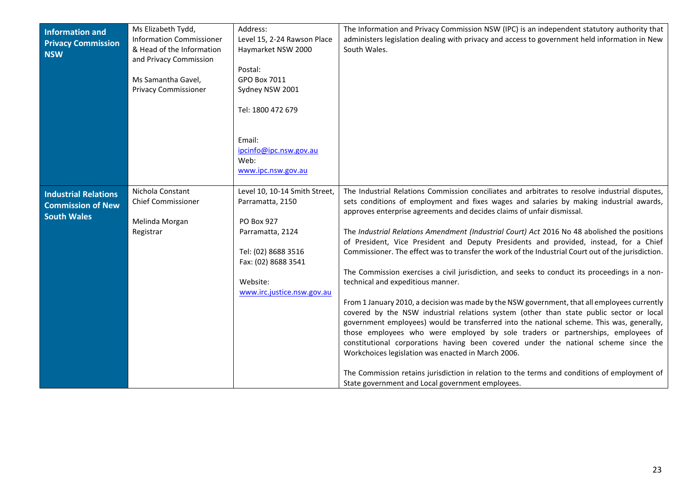<span id="page-22-1"></span><span id="page-22-0"></span>

| <b>Information and</b><br><b>Privacy Commission</b><br><b>NSW</b>             | Ms Elizabeth Tydd,<br><b>Information Commissioner</b><br>& Head of the Information<br>and Privacy Commission<br>Ms Samantha Gavel,<br><b>Privacy Commissioner</b> | Address:<br>Level 15, 2-24 Rawson Place<br>Haymarket NSW 2000<br>Postal:<br>GPO Box 7011<br>Sydney NSW 2001<br>Tel: 1800 472 679<br>Email:<br>ipcinfo@ipc.nsw.gov.au<br>Web:<br>www.ipc.nsw.gov.au | The Information and Privacy Commission NSW (IPC) is an independent statutory authority that<br>administers legislation dealing with privacy and access to government held information in New<br>South Wales.                                                                                                                                                                                                                                                                                                                                                                                                                                                                                                                                                                                                                                                                                                                                                                                                                                                                                                                                                                                                                                                                                                                                                                         |
|-------------------------------------------------------------------------------|-------------------------------------------------------------------------------------------------------------------------------------------------------------------|----------------------------------------------------------------------------------------------------------------------------------------------------------------------------------------------------|--------------------------------------------------------------------------------------------------------------------------------------------------------------------------------------------------------------------------------------------------------------------------------------------------------------------------------------------------------------------------------------------------------------------------------------------------------------------------------------------------------------------------------------------------------------------------------------------------------------------------------------------------------------------------------------------------------------------------------------------------------------------------------------------------------------------------------------------------------------------------------------------------------------------------------------------------------------------------------------------------------------------------------------------------------------------------------------------------------------------------------------------------------------------------------------------------------------------------------------------------------------------------------------------------------------------------------------------------------------------------------------|
| <b>Industrial Relations</b><br><b>Commission of New</b><br><b>South Wales</b> | Nichola Constant<br><b>Chief Commissioner</b><br>Melinda Morgan<br>Registrar                                                                                      | Level 10, 10-14 Smith Street,<br>Parramatta, 2150<br><b>PO Box 927</b><br>Parramatta, 2124<br>Tel: (02) 8688 3516<br>Fax: (02) 8688 3541<br>Website:<br>www.irc.justice.nsw.gov.au                 | The Industrial Relations Commission conciliates and arbitrates to resolve industrial disputes,<br>sets conditions of employment and fixes wages and salaries by making industrial awards,<br>approves enterprise agreements and decides claims of unfair dismissal.<br>The Industrial Relations Amendment (Industrial Court) Act 2016 No 48 abolished the positions<br>of President, Vice President and Deputy Presidents and provided, instead, for a Chief<br>Commissioner. The effect was to transfer the work of the Industrial Court out of the jurisdiction.<br>The Commission exercises a civil jurisdiction, and seeks to conduct its proceedings in a non-<br>technical and expeditious manner.<br>From 1 January 2010, a decision was made by the NSW government, that all employees currently<br>covered by the NSW industrial relations system (other than state public sector or local<br>government employees) would be transferred into the national scheme. This was, generally,<br>those employees who were employed by sole traders or partnerships, employees of<br>constitutional corporations having been covered under the national scheme since the<br>Workchoices legislation was enacted in March 2006.<br>The Commission retains jurisdiction in relation to the terms and conditions of employment of<br>State government and Local government employees. |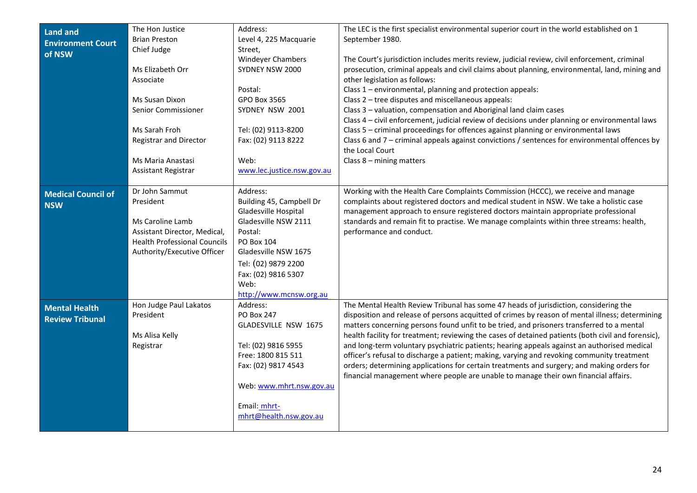<span id="page-23-2"></span><span id="page-23-1"></span><span id="page-23-0"></span>

| <b>Land and</b><br><b>Environment Court</b><br>of NSW | The Hon Justice<br><b>Brian Preston</b><br>Chief Judge<br>Ms Elizabeth Orr<br>Associate<br>Ms Susan Dixon<br>Senior Commissioner<br>Ms Sarah Froh<br><b>Registrar and Director</b><br>Ms Maria Anastasi<br>Assistant Registrar | Address:<br>Level 4, 225 Macquarie<br>Street,<br><b>Windeyer Chambers</b><br>SYDNEY NSW 2000<br>Postal:<br><b>GPO Box 3565</b><br>SYDNEY NSW 2001<br>Tel: (02) 9113-8200<br>Fax: (02) 9113 8222<br>Web:<br>www.lec.justice.nsw.gov.au | The LEC is the first specialist environmental superior court in the world established on 1<br>September 1980.<br>The Court's jurisdiction includes merits review, judicial review, civil enforcement, criminal<br>prosecution, criminal appeals and civil claims about planning, environmental, land, mining and<br>other legislation as follows:<br>Class 1 - environmental, planning and protection appeals:<br>Class 2 - tree disputes and miscellaneous appeals:<br>Class 3 - valuation, compensation and Aboriginal land claim cases<br>Class 4 - civil enforcement, judicial review of decisions under planning or environmental laws<br>Class 5 - criminal proceedings for offences against planning or environmental laws<br>Class 6 and 7 - criminal appeals against convictions / sentences for environmental offences by<br>the Local Court<br>Class $8 -$ mining matters |
|-------------------------------------------------------|--------------------------------------------------------------------------------------------------------------------------------------------------------------------------------------------------------------------------------|---------------------------------------------------------------------------------------------------------------------------------------------------------------------------------------------------------------------------------------|--------------------------------------------------------------------------------------------------------------------------------------------------------------------------------------------------------------------------------------------------------------------------------------------------------------------------------------------------------------------------------------------------------------------------------------------------------------------------------------------------------------------------------------------------------------------------------------------------------------------------------------------------------------------------------------------------------------------------------------------------------------------------------------------------------------------------------------------------------------------------------------|
| <b>Medical Council of</b><br><b>NSW</b>               | Dr John Sammut<br>President<br>Ms Caroline Lamb<br>Assistant Director, Medical,<br><b>Health Professional Councils</b><br>Authority/Executive Officer                                                                          | Address:<br>Building 45, Campbell Dr<br>Gladesville Hospital<br>Gladesville NSW 2111<br>Postal:<br>PO Box 104<br>Gladesville NSW 1675<br>Tel: (02) 9879 2200<br>Fax: (02) 9816 5307<br>Web:<br>http://www.mcnsw.org.au                | Working with the Health Care Complaints Commission (HCCC), we receive and manage<br>complaints about registered doctors and medical student in NSW. We take a holistic case<br>management approach to ensure registered doctors maintain appropriate professional<br>standards and remain fit to practise. We manage complaints within three streams: health,<br>performance and conduct.                                                                                                                                                                                                                                                                                                                                                                                                                                                                                            |
| <b>Mental Health</b><br><b>Review Tribunal</b>        | Hon Judge Paul Lakatos<br>President<br>Ms Alisa Kelly<br>Registrar                                                                                                                                                             | Address:<br><b>PO Box 247</b><br>GLADESVILLE NSW 1675<br>Tel: (02) 9816 5955<br>Free: 1800 815 511<br>Fax: (02) 9817 4543<br>Web: www.mhrt.nsw.gov.au<br>Email: mhrt-<br>mhrt@health.nsw.gov.au                                       | The Mental Health Review Tribunal has some 47 heads of jurisdiction, considering the<br>disposition and release of persons acquitted of crimes by reason of mental illness; determining<br>matters concerning persons found unfit to be tried, and prisoners transferred to a mental<br>health facility for treatment; reviewing the cases of detained patients (both civil and forensic),<br>and long-term voluntary psychiatric patients; hearing appeals against an authorised medical<br>officer's refusal to discharge a patient; making, varying and revoking community treatment<br>orders; determining applications for certain treatments and surgery; and making orders for<br>financial management where people are unable to manage their own financial affairs.                                                                                                         |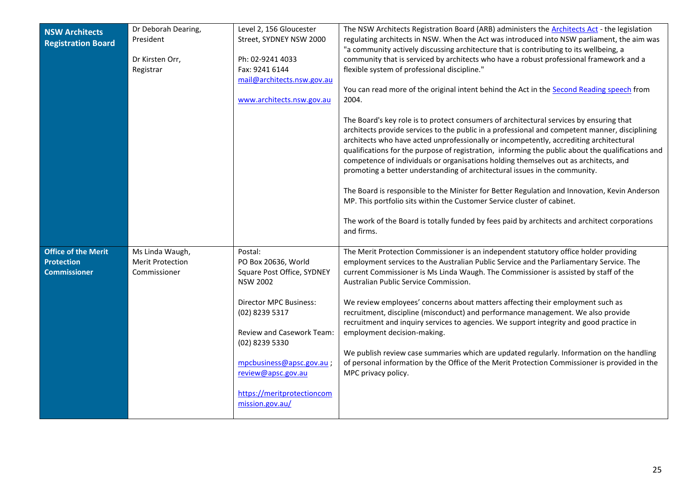<span id="page-24-0"></span>

| <b>NSW Architects</b><br><b>Registration Board</b>                     | Dr Deborah Dearing,<br>President<br>Dr Kirsten Orr,<br>Registrar | Level 2, 156 Gloucester<br>Street, SYDNEY NSW 2000<br>Ph: 02-9241 4033<br>Fax: 9241 6144<br>mail@architects.nsw.gov.au<br>www.architects.nsw.gov.au                                                                                                                          | The NSW Architects Registration Board (ARB) administers the Architects Act - the legislation<br>regulating architects in NSW. When the Act was introduced into NSW parliament, the aim was<br>"a community actively discussing architecture that is contributing to its wellbeing, a<br>community that is serviced by architects who have a robust professional framework and a<br>flexible system of professional discipline."<br>You can read more of the original intent behind the Act in the Second Reading speech from<br>2004.<br>The Board's key role is to protect consumers of architectural services by ensuring that<br>architects provide services to the public in a professional and competent manner, disciplining<br>architects who have acted unprofessionally or incompetently, accrediting architectural<br>qualifications for the purpose of registration, informing the public about the qualifications and<br>competence of individuals or organisations holding themselves out as architects, and<br>promoting a better understanding of architectural issues in the community.<br>The Board is responsible to the Minister for Better Regulation and Innovation, Kevin Anderson<br>MP. This portfolio sits within the Customer Service cluster of cabinet.<br>The work of the Board is totally funded by fees paid by architects and architect corporations<br>and firms. |
|------------------------------------------------------------------------|------------------------------------------------------------------|------------------------------------------------------------------------------------------------------------------------------------------------------------------------------------------------------------------------------------------------------------------------------|----------------------------------------------------------------------------------------------------------------------------------------------------------------------------------------------------------------------------------------------------------------------------------------------------------------------------------------------------------------------------------------------------------------------------------------------------------------------------------------------------------------------------------------------------------------------------------------------------------------------------------------------------------------------------------------------------------------------------------------------------------------------------------------------------------------------------------------------------------------------------------------------------------------------------------------------------------------------------------------------------------------------------------------------------------------------------------------------------------------------------------------------------------------------------------------------------------------------------------------------------------------------------------------------------------------------------------------------------------------------------------------------------|
| <b>Office of the Merit</b><br><b>Protection</b><br><b>Commissioner</b> | Ms Linda Waugh,<br><b>Merit Protection</b><br>Commissioner       | Postal:<br>PO Box 20636, World<br>Square Post Office, SYDNEY<br><b>NSW 2002</b><br>Director MPC Business:<br>(02) 8239 5317<br>Review and Casework Team:<br>(02) 8239 5330<br>mpcbusiness@apsc.gov.au<br>review@apsc.gov.au<br>https://meritprotectioncom<br>mission.gov.au/ | The Merit Protection Commissioner is an independent statutory office holder providing<br>employment services to the Australian Public Service and the Parliamentary Service. The<br>current Commissioner is Ms Linda Waugh. The Commissioner is assisted by staff of the<br>Australian Public Service Commission.<br>We review employees' concerns about matters affecting their employment such as<br>recruitment, discipline (misconduct) and performance management. We also provide<br>recruitment and inquiry services to agencies. We support integrity and good practice in<br>employment decision-making.<br>We publish review case summaries which are updated regularly. Information on the handling<br>of personal information by the Office of the Merit Protection Commissioner is provided in the<br>MPC privacy policy.                                                                                                                                                                                                                                                                                                                                                                                                                                                                                                                                                             |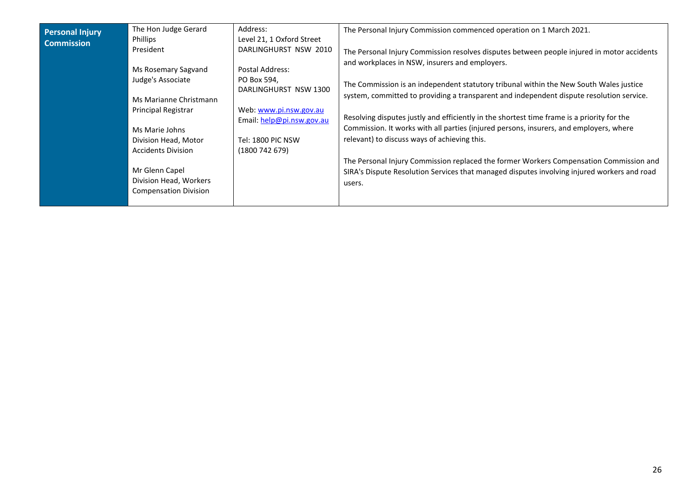<span id="page-25-0"></span>

| <b>Personal Injury</b><br><b>Commission</b> | The Hon Judge Gerard<br><b>Phillips</b><br>President<br>Ms Rosemary Sagvand<br>Judge's Associate<br>Ms Marianne Christmann<br>Principal Registrar<br>Ms Marie Johns<br>Division Head, Motor<br><b>Accidents Division</b><br>Mr Glenn Capel<br>Division Head, Workers<br><b>Compensation Division</b> | Address:<br>Level 21, 1 Oxford Street<br>DARLINGHURST NSW 2010<br>Postal Address:<br>PO Box 594,<br>DARLINGHURST NSW 1300<br>Web: www.pi.nsw.gov.au<br>Email: $help@pi.nsw.gov.au$<br>Tel: 1800 PIC NSW<br>(1800742679) | The Personal Injury Commission commenced operation on 1 March 2021.<br>The Personal Injury Commission resolves disputes between people injured in motor accidents<br>and workplaces in NSW, insurers and employers.<br>The Commission is an independent statutory tribunal within the New South Wales justice<br>system, committed to providing a transparent and independent dispute resolution service.<br>Resolving disputes justly and efficiently in the shortest time frame is a priority for the<br>Commission. It works with all parties (injured persons, insurers, and employers, where<br>relevant) to discuss ways of achieving this.<br>The Personal Injury Commission replaced the former Workers Compensation Commission and<br>SIRA's Dispute Resolution Services that managed disputes involving injured workers and road<br>users. |
|---------------------------------------------|------------------------------------------------------------------------------------------------------------------------------------------------------------------------------------------------------------------------------------------------------------------------------------------------------|-------------------------------------------------------------------------------------------------------------------------------------------------------------------------------------------------------------------------|------------------------------------------------------------------------------------------------------------------------------------------------------------------------------------------------------------------------------------------------------------------------------------------------------------------------------------------------------------------------------------------------------------------------------------------------------------------------------------------------------------------------------------------------------------------------------------------------------------------------------------------------------------------------------------------------------------------------------------------------------------------------------------------------------------------------------------------------------|
|---------------------------------------------|------------------------------------------------------------------------------------------------------------------------------------------------------------------------------------------------------------------------------------------------------------------------------------------------------|-------------------------------------------------------------------------------------------------------------------------------------------------------------------------------------------------------------------------|------------------------------------------------------------------------------------------------------------------------------------------------------------------------------------------------------------------------------------------------------------------------------------------------------------------------------------------------------------------------------------------------------------------------------------------------------------------------------------------------------------------------------------------------------------------------------------------------------------------------------------------------------------------------------------------------------------------------------------------------------------------------------------------------------------------------------------------------------|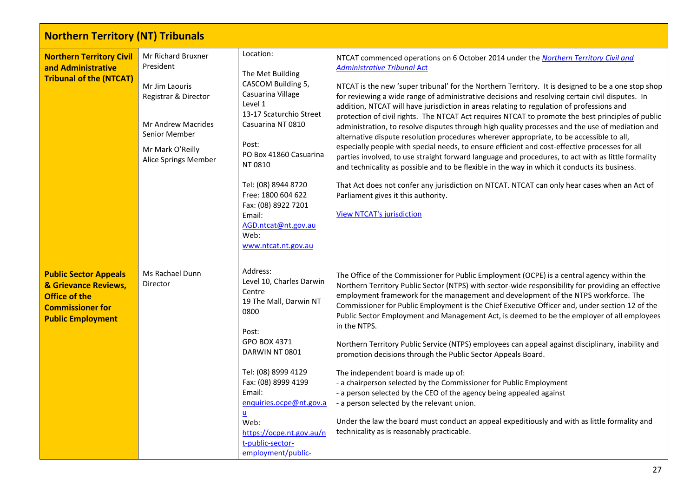<span id="page-26-2"></span><span id="page-26-1"></span><span id="page-26-0"></span>

| <b>Northern Territory (NT) Tribunals</b>                                                                                            |                                                                                                                                                              |                                                                                                                                                                                                                                                                                                                       |                                                                                                                                                                                                                                                                                                                                                                                                                                                                                                                                                                                                                                                                                                                                                                                                                                                                                                                                                                                                                                                                                                                                                                                                                         |  |
|-------------------------------------------------------------------------------------------------------------------------------------|--------------------------------------------------------------------------------------------------------------------------------------------------------------|-----------------------------------------------------------------------------------------------------------------------------------------------------------------------------------------------------------------------------------------------------------------------------------------------------------------------|-------------------------------------------------------------------------------------------------------------------------------------------------------------------------------------------------------------------------------------------------------------------------------------------------------------------------------------------------------------------------------------------------------------------------------------------------------------------------------------------------------------------------------------------------------------------------------------------------------------------------------------------------------------------------------------------------------------------------------------------------------------------------------------------------------------------------------------------------------------------------------------------------------------------------------------------------------------------------------------------------------------------------------------------------------------------------------------------------------------------------------------------------------------------------------------------------------------------------|--|
| <b>Northern Territory Civil</b><br>and Administrative<br><b>Tribunal of the (NTCAT)</b>                                             | Mr Richard Bruxner<br>President<br>Mr Jim Laouris<br>Registrar & Director<br>Mr Andrew Macrides<br>Senior Member<br>Mr Mark O'Reilly<br>Alice Springs Member | Location:<br>The Met Building<br>CASCOM Building 5,<br>Casuarina Village<br>Level 1<br>13-17 Scaturchio Street<br>Casuarina NT 0810<br>Post:<br>PO Box 41860 Casuarina<br>NT 0810<br>Tel: (08) 8944 8720<br>Free: 1800 604 622<br>Fax: (08) 8922 7201<br>Email:<br>AGD.ntcat@nt.gov.au<br>Web:<br>www.ntcat.nt.gov.au | NTCAT commenced operations on 6 October 2014 under the Northern Territory Civil and<br><b>Administrative Tribunal Act</b><br>NTCAT is the new 'super tribunal' for the Northern Territory. It is designed to be a one stop shop<br>for reviewing a wide range of administrative decisions and resolving certain civil disputes. In<br>addition, NTCAT will have jurisdiction in areas relating to regulation of professions and<br>protection of civil rights. The NTCAT Act requires NTCAT to promote the best principles of public<br>administration, to resolve disputes through high quality processes and the use of mediation and<br>alternative dispute resolution procedures wherever appropriate, to be accessible to all,<br>especially people with special needs, to ensure efficient and cost-effective processes for all<br>parties involved, to use straight forward language and procedures, to act with as little formality<br>and technicality as possible and to be flexible in the way in which it conducts its business.<br>That Act does not confer any jurisdiction on NTCAT. NTCAT can only hear cases when an Act of<br>Parliament gives it this authority.<br><b>View NTCAT's jurisdiction</b> |  |
| <b>Public Sector Appeals</b><br>& Grievance Reviews,<br><b>Office of the</b><br><b>Commissioner for</b><br><b>Public Employment</b> | Ms Rachael Dunn<br>Director                                                                                                                                  | Address:<br>Level 10, Charles Darwin<br>Centre<br>19 The Mall, Darwin NT<br>0800<br>Post:<br>GPO BOX 4371<br>DARWIN NT 0801<br>Tel: (08) 8999 4129<br>Fax: (08) 8999 4199<br>Email:<br>enquiries.ocpe@nt.gov.a<br><u>u</u><br>Web:<br>https://ocpe.nt.gov.au/n<br>t-public-sector-<br>employment/public-              | The Office of the Commissioner for Public Employment (OCPE) is a central agency within the<br>Northern Territory Public Sector (NTPS) with sector-wide responsibility for providing an effective<br>employment framework for the management and development of the NTPS workforce. The<br>Commissioner for Public Employment is the Chief Executive Officer and, under section 12 of the<br>Public Sector Employment and Management Act, is deemed to be the employer of all employees<br>in the NTPS.<br>Northern Territory Public Service (NTPS) employees can appeal against disciplinary, inability and<br>promotion decisions through the Public Sector Appeals Board.<br>The independent board is made up of:<br>- a chairperson selected by the Commissioner for Public Employment<br>- a person selected by the CEO of the agency being appealed against<br>- a person selected by the relevant union.<br>Under the law the board must conduct an appeal expeditiously and with as little formality and<br>technicality as is reasonably practicable.                                                                                                                                                           |  |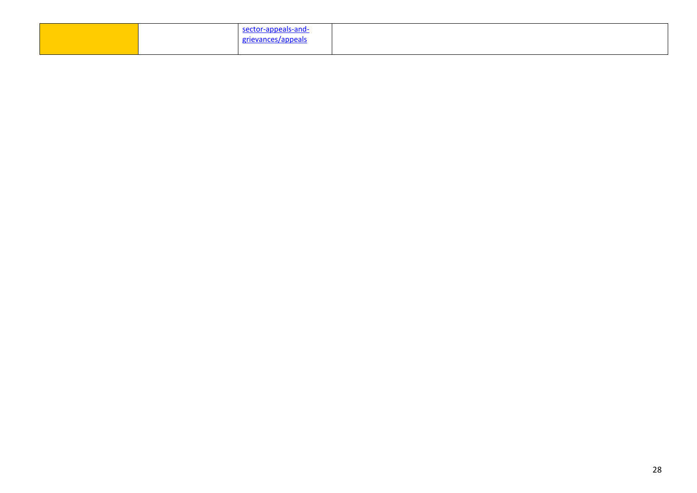|  | eals-and-<br><i>"</i> √anner"<br>, <b>.</b> |  |
|--|---------------------------------------------|--|
|  |                                             |  |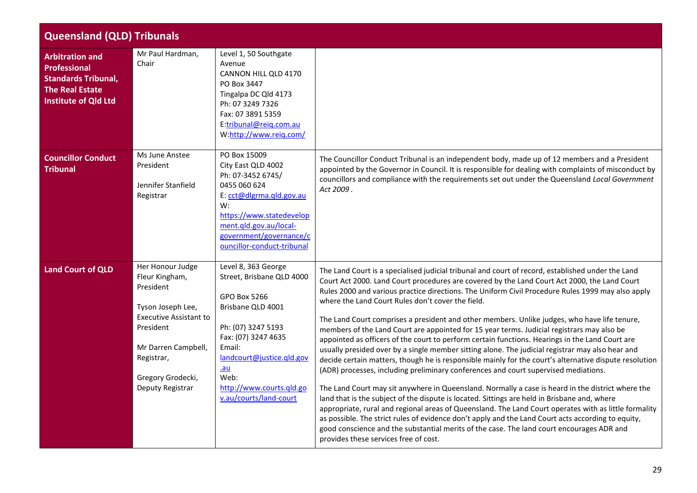<span id="page-28-3"></span><span id="page-28-2"></span><span id="page-28-1"></span><span id="page-28-0"></span>

|                                                                                                                                      | <b>Queensland (QLD) Tribunals</b>                                                                                                                                                                |                                                                                                                                                                                                                                                 |                                                                                                                                                                                                                                                                                                                                                                                                                                                                                                                                                                                                                                                                                                                                                                                                                                                                                                                                                                                                                                                                                                                                                                                                                                                                                                                                                                                                                                                                                                                             |  |
|--------------------------------------------------------------------------------------------------------------------------------------|--------------------------------------------------------------------------------------------------------------------------------------------------------------------------------------------------|-------------------------------------------------------------------------------------------------------------------------------------------------------------------------------------------------------------------------------------------------|-----------------------------------------------------------------------------------------------------------------------------------------------------------------------------------------------------------------------------------------------------------------------------------------------------------------------------------------------------------------------------------------------------------------------------------------------------------------------------------------------------------------------------------------------------------------------------------------------------------------------------------------------------------------------------------------------------------------------------------------------------------------------------------------------------------------------------------------------------------------------------------------------------------------------------------------------------------------------------------------------------------------------------------------------------------------------------------------------------------------------------------------------------------------------------------------------------------------------------------------------------------------------------------------------------------------------------------------------------------------------------------------------------------------------------------------------------------------------------------------------------------------------------|--|
| <b>Arbitration and</b><br><b>Professional</b><br><b>Standards Tribunal,</b><br><b>The Real Estate</b><br><b>Institute of Qld Ltd</b> | Mr Paul Hardman,<br>Chair                                                                                                                                                                        | Level 1, 50 Southgate<br>Avenue<br>CANNON HILL QLD 4170<br>PO Box 3447<br>Tingalpa DC Qld 4173<br>Ph: 07 3249 7326<br>Fax: 07 3891 5359<br>E:tribunal@reiq.com.au<br>W:http://www.reiq.com/                                                     |                                                                                                                                                                                                                                                                                                                                                                                                                                                                                                                                                                                                                                                                                                                                                                                                                                                                                                                                                                                                                                                                                                                                                                                                                                                                                                                                                                                                                                                                                                                             |  |
| <b>Councillor Conduct</b><br><b>Tribunal</b>                                                                                         | Ms June Anstee<br>President<br>Jennifer Stanfield<br>Registrar                                                                                                                                   | PO Box 15009<br>City East QLD 4002<br>Ph: 07-3452 6745/<br>0455 060 624<br>E: cct@dlgrma.qld.gov.au<br>W:<br>https://www.statedevelop<br>ment.qld.gov.au/local-<br>government/governance/c<br>ouncillor-conduct-tribunal                        | The Councillor Conduct Tribunal is an independent body, made up of 12 members and a President<br>appointed by the Governor in Council. It is responsible for dealing with complaints of misconduct by<br>councillors and compliance with the requirements set out under the Queensland Local Government<br>Act 2009.                                                                                                                                                                                                                                                                                                                                                                                                                                                                                                                                                                                                                                                                                                                                                                                                                                                                                                                                                                                                                                                                                                                                                                                                        |  |
| <b>Land Court of QLD</b>                                                                                                             | Her Honour Judge<br>Fleur Kingham,<br>President<br>Tyson Joseph Lee,<br><b>Executive Assistant to</b><br>President<br>Mr Darren Campbell,<br>Registrar,<br>Gregory Grodecki,<br>Deputy Registrar | Level 8, 363 George<br>Street, Brisbane QLD 4000<br>GPO Box 5266<br>Brisbane QLD 4001<br>Ph: (07) 3247 5193<br>Fax: (07) 3247 4635<br>Email:<br>landcourt@justice.gld.gov<br>$au$<br>Web:<br>http://www.courts.qld.go<br>v.au/courts/land-court | The Land Court is a specialised judicial tribunal and court of record, established under the Land<br>Court Act 2000. Land Court procedures are covered by the Land Court Act 2000, the Land Court<br>Rules 2000 and various practice directions. The Uniform Civil Procedure Rules 1999 may also apply<br>where the Land Court Rules don't cover the field.<br>The Land Court comprises a president and other members. Unlike judges, who have life tenure,<br>members of the Land Court are appointed for 15 year terms. Judicial registrars may also be<br>appointed as officers of the court to perform certain functions. Hearings in the Land Court are<br>usually presided over by a single member sitting alone. The judicial registrar may also hear and<br>decide certain matters, though he is responsible mainly for the court's alternative dispute resolution<br>(ADR) processes, including preliminary conferences and court supervised mediations.<br>The Land Court may sit anywhere in Queensland. Normally a case is heard in the district where the<br>land that is the subject of the dispute is located. Sittings are held in Brisbane and, where<br>appropriate, rural and regional areas of Queensland. The Land Court operates with as little formality<br>as possible. The strict rules of evidence don't apply and the Land Court acts according to equity,<br>good conscience and the substantial merits of the case. The land court encourages ADR and<br>provides these services free of cost. |  |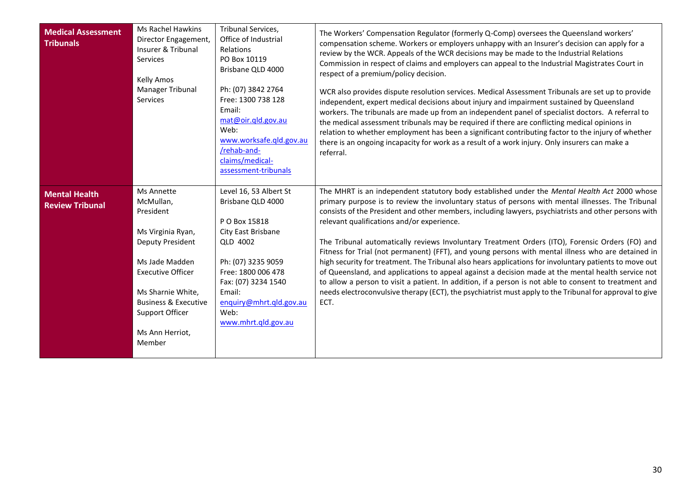<span id="page-29-1"></span><span id="page-29-0"></span>

| <b>Medical Assessment</b><br><b>Tribunals</b>  | <b>Ms Rachel Hawkins</b><br>Director Engagement,<br>Insurer & Tribunal<br>Services<br>Kelly Amos<br>Manager Tribunal<br>Services                                                                              | Tribunal Services,<br>Office of Industrial<br>Relations<br>PO Box 10119<br>Brisbane QLD 4000<br>Ph: (07) 3842 2764<br>Free: 1300 738 128<br>Email:<br>mat@oir.gld.gov.au<br>Web:<br>www.worksafe.gld.gov.au<br>/rehab-and-<br>claims/medical-<br>assessment-tribunals | The Workers' Compensation Regulator (formerly Q-Comp) oversees the Queensland workers'<br>compensation scheme. Workers or employers unhappy with an Insurer's decision can apply for a<br>review by the WCR. Appeals of the WCR decisions may be made to the Industrial Relations<br>Commission in respect of claims and employers can appeal to the Industrial Magistrates Court in<br>respect of a premium/policy decision.<br>WCR also provides dispute resolution services. Medical Assessment Tribunals are set up to provide<br>independent, expert medical decisions about injury and impairment sustained by Queensland<br>workers. The tribunals are made up from an independent panel of specialist doctors. A referral to<br>the medical assessment tribunals may be required if there are conflicting medical opinions in<br>relation to whether employment has been a significant contributing factor to the injury of whether<br>there is an ongoing incapacity for work as a result of a work injury. Only insurers can make a<br>referral. |
|------------------------------------------------|---------------------------------------------------------------------------------------------------------------------------------------------------------------------------------------------------------------|-----------------------------------------------------------------------------------------------------------------------------------------------------------------------------------------------------------------------------------------------------------------------|------------------------------------------------------------------------------------------------------------------------------------------------------------------------------------------------------------------------------------------------------------------------------------------------------------------------------------------------------------------------------------------------------------------------------------------------------------------------------------------------------------------------------------------------------------------------------------------------------------------------------------------------------------------------------------------------------------------------------------------------------------------------------------------------------------------------------------------------------------------------------------------------------------------------------------------------------------------------------------------------------------------------------------------------------------|
| <b>Mental Health</b><br><b>Review Tribunal</b> | Ms Annette<br>McMullan,<br>President<br>Ms Virginia Ryan,<br><b>Deputy President</b><br>Ms Jade Madden<br><b>Executive Officer</b><br>Ms Sharnie White,<br><b>Business &amp; Executive</b><br>Support Officer | Level 16, 53 Albert St<br>Brisbane QLD 4000<br>P O Box 15818<br>City East Brisbane<br>QLD 4002<br>Ph: (07) 3235 9059<br>Free: 1800 006 478<br>Fax: (07) 3234 1540<br>Email:<br>enquiry@mhrt.qld.gov.au<br>Web:<br>www.mhrt.gld.gov.au                                 | The MHRT is an independent statutory body established under the Mental Health Act 2000 whose<br>primary purpose is to review the involuntary status of persons with mental illnesses. The Tribunal<br>consists of the President and other members, including lawyers, psychiatrists and other persons with<br>relevant qualifications and/or experience.<br>The Tribunal automatically reviews Involuntary Treatment Orders (ITO), Forensic Orders (FO) and<br>Fitness for Trial (not permanent) (FFT), and young persons with mental illness who are detained in<br>high security for treatment. The Tribunal also hears applications for involuntary patients to move out<br>of Queensland, and applications to appeal against a decision made at the mental health service not<br>to allow a person to visit a patient. In addition, if a person is not able to consent to treatment and<br>needs electroconvulsive therapy (ECT), the psychiatrist must apply to the Tribunal for approval to give<br>ECT.                                             |
|                                                | Ms Ann Herriot,<br>Member                                                                                                                                                                                     |                                                                                                                                                                                                                                                                       |                                                                                                                                                                                                                                                                                                                                                                                                                                                                                                                                                                                                                                                                                                                                                                                                                                                                                                                                                                                                                                                            |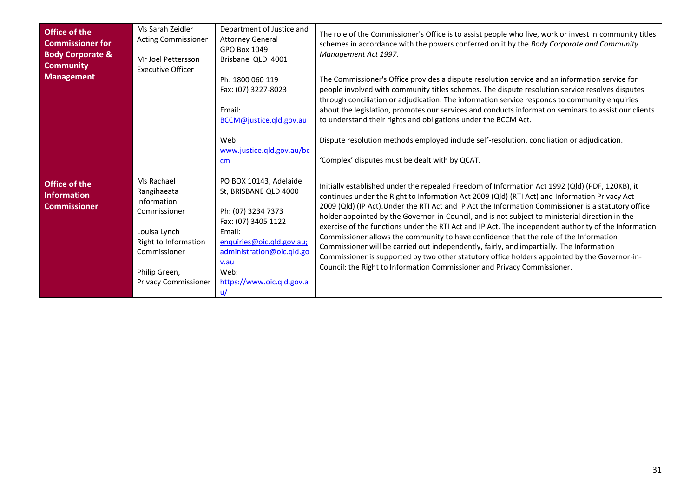<span id="page-30-1"></span><span id="page-30-0"></span>

| Office of the<br><b>Commissioner for</b><br><b>Body Corporate &amp;</b><br><b>Community</b><br><b>Management</b> | Ms Sarah Zeidler<br>Acting Commissioner<br>Mr Joel Pettersson<br><b>Executive Officer</b>                                                                        | Department of Justice and<br><b>Attorney General</b><br>GPO Box 1049<br>Brisbane QLD 4001<br>Ph: 1800 060 119<br>Fax: (07) 3227-8023<br>Email:<br>BCCM@justice.qld.gov.au<br>Web:<br>www.justice.qld.gov.au/bc<br>$\mathsf{cm}$ | The role of the Commissioner's Office is to assist people who live, work or invest in community titles<br>schemes in accordance with the powers conferred on it by the Body Corporate and Community<br>Management Act 1997.<br>The Commissioner's Office provides a dispute resolution service and an information service for<br>people involved with community titles schemes. The dispute resolution service resolves disputes<br>through conciliation or adjudication. The information service responds to community enquiries<br>about the legislation, promotes our services and conducts information seminars to assist our clients<br>to understand their rights and obligations under the BCCM Act.<br>Dispute resolution methods employed include self-resolution, conciliation or adjudication.<br>'Complex' disputes must be dealt with by QCAT.                           |
|------------------------------------------------------------------------------------------------------------------|------------------------------------------------------------------------------------------------------------------------------------------------------------------|---------------------------------------------------------------------------------------------------------------------------------------------------------------------------------------------------------------------------------|---------------------------------------------------------------------------------------------------------------------------------------------------------------------------------------------------------------------------------------------------------------------------------------------------------------------------------------------------------------------------------------------------------------------------------------------------------------------------------------------------------------------------------------------------------------------------------------------------------------------------------------------------------------------------------------------------------------------------------------------------------------------------------------------------------------------------------------------------------------------------------------|
| <b>Office of the</b><br><b>Information</b><br>Commissioner                                                       | Ms Rachael<br>Rangihaeata<br>Information<br>Commissioner<br>Louisa Lynch<br>Right to Information<br>Commissioner<br>Philip Green,<br><b>Privacy Commissioner</b> | PO BOX 10143, Adelaide<br>St, BRISBANE QLD 4000<br>Ph: (07) 3234 7373<br>Fax: (07) 3405 1122<br>Email:<br>enquiries@oic.gld.gov.au;<br>administration@oic.qld.go<br>v.au<br>Web:<br>https://www.oic.qld.gov.a                   | Initially established under the repealed Freedom of Information Act 1992 (Qld) (PDF, 120KB), it<br>continues under the Right to Information Act 2009 (Qld) (RTI Act) and Information Privacy Act<br>2009 (Qld) (IP Act). Under the RTI Act and IP Act the Information Commissioner is a statutory office<br>holder appointed by the Governor-in-Council, and is not subject to ministerial direction in the<br>exercise of the functions under the RTI Act and IP Act. The independent authority of the Information<br>Commissioner allows the community to have confidence that the role of the Information<br>Commissioner will be carried out independently, fairly, and impartially. The Information<br>Commissioner is supported by two other statutory office holders appointed by the Governor-in-<br>Council: the Right to Information Commissioner and Privacy Commissioner. |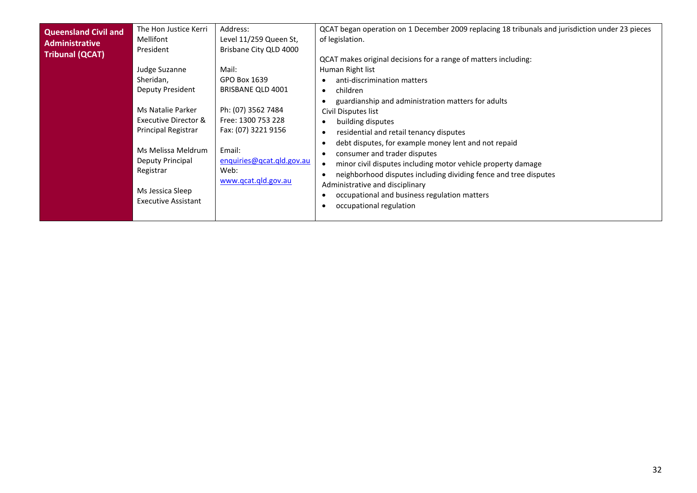<span id="page-31-0"></span>

| The Hon Justice Kerri<br>Address:<br><b>Queensland Civil and</b><br>Level 11/259 Queen St,<br>Mellifont<br><b>Administrative</b><br>Brisbane City QLD 4000<br>President<br><b>Tribunal (QCAT)</b><br>Judge Suzanne<br>Mail:<br>Sheridan,<br>GPO Box 1639<br>Deputy President<br><b>BRISBANE QLD 4001</b><br>Ph: (07) 3562 7484<br>Ms Natalie Parker<br><b>Executive Director &amp;</b><br>Free: 1300 753 228<br>Principal Registrar<br>Fax: (07) 3221 9156<br>Ms Melissa Meldrum<br>Email:<br>Deputy Principal<br>enquiries@qcat.qld.gov.au<br>Web:<br>Registrar<br>www.qcat.qld.gov.au<br>Ms Jessica Sleep<br><b>Executive Assistant</b> | QCAT began operation on 1 December 2009 replacing 18 tribunals and jurisdiction under 23 pieces<br>of legislation.<br>QCAT makes original decisions for a range of matters including:<br>Human Right list<br>anti-discrimination matters<br>children<br>$\bullet$<br>guardianship and administration matters for adults<br>Civil Disputes list<br>building disputes<br>$\bullet$<br>residential and retail tenancy disputes<br>$\bullet$<br>debt disputes, for example money lent and not repaid<br>consumer and trader disputes<br>minor civil disputes including motor vehicle property damage<br>$\bullet$<br>neighborhood disputes including dividing fence and tree disputes<br>Administrative and disciplinary<br>occupational and business regulation matters<br>occupational regulation |
|-------------------------------------------------------------------------------------------------------------------------------------------------------------------------------------------------------------------------------------------------------------------------------------------------------------------------------------------------------------------------------------------------------------------------------------------------------------------------------------------------------------------------------------------------------------------------------------------------------------------------------------------|-------------------------------------------------------------------------------------------------------------------------------------------------------------------------------------------------------------------------------------------------------------------------------------------------------------------------------------------------------------------------------------------------------------------------------------------------------------------------------------------------------------------------------------------------------------------------------------------------------------------------------------------------------------------------------------------------------------------------------------------------------------------------------------------------|
|-------------------------------------------------------------------------------------------------------------------------------------------------------------------------------------------------------------------------------------------------------------------------------------------------------------------------------------------------------------------------------------------------------------------------------------------------------------------------------------------------------------------------------------------------------------------------------------------------------------------------------------------|-------------------------------------------------------------------------------------------------------------------------------------------------------------------------------------------------------------------------------------------------------------------------------------------------------------------------------------------------------------------------------------------------------------------------------------------------------------------------------------------------------------------------------------------------------------------------------------------------------------------------------------------------------------------------------------------------------------------------------------------------------------------------------------------------|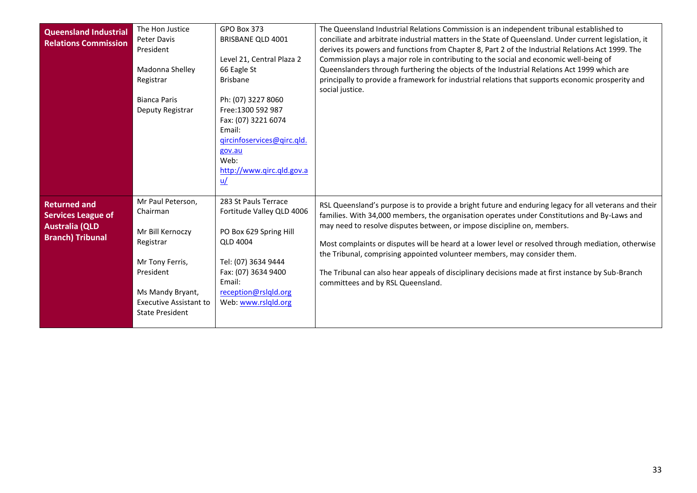<span id="page-32-1"></span><span id="page-32-0"></span>

| <b>Queensland Industrial</b><br><b>Relations Commission</b>                                          | The Hon Justice<br>Peter Davis<br>President<br>Madonna Shelley<br>Registrar<br><b>Bianca Paris</b><br>Deputy Registrar                                                        | GPO Box 373<br>BRISBANE QLD 4001<br>Level 21, Central Plaza 2<br>66 Eagle St<br><b>Brisbane</b><br>Ph: (07) 3227 8060<br>Free: 1300 592 987<br>Fax: (07) 3221 6074<br>Email:<br>gircinfoservices@girc.gld.<br>gov.au<br>Web:<br>http://www.qirc.qld.gov.a<br>$\underline{u}/$ | The Queensland Industrial Relations Commission is an independent tribunal established to<br>conciliate and arbitrate industrial matters in the State of Queensland. Under current legislation, it<br>derives its powers and functions from Chapter 8, Part 2 of the Industrial Relations Act 1999. The<br>Commission plays a major role in contributing to the social and economic well-being of<br>Queenslanders through furthering the objects of the Industrial Relations Act 1999 which are<br>principally to provide a framework for industrial relations that supports economic prosperity and<br>social justice. |
|------------------------------------------------------------------------------------------------------|-------------------------------------------------------------------------------------------------------------------------------------------------------------------------------|-------------------------------------------------------------------------------------------------------------------------------------------------------------------------------------------------------------------------------------------------------------------------------|-------------------------------------------------------------------------------------------------------------------------------------------------------------------------------------------------------------------------------------------------------------------------------------------------------------------------------------------------------------------------------------------------------------------------------------------------------------------------------------------------------------------------------------------------------------------------------------------------------------------------|
| <b>Returned and</b><br><b>Services League of</b><br><b>Australia (QLD</b><br><b>Branch) Tribunal</b> | Mr Paul Peterson,<br>Chairman<br>Mr Bill Kernoczy<br>Registrar<br>Mr Tony Ferris,<br>President<br>Ms Mandy Bryant,<br><b>Executive Assistant to</b><br><b>State President</b> | 283 St Pauls Terrace<br>Fortitude Valley QLD 4006<br>PO Box 629 Spring Hill<br><b>QLD 4004</b><br>Tel: (07) 3634 9444<br>Fax: (07) 3634 9400<br>Email:<br>reception@rslqld.org<br>Web: www.rslqld.org                                                                         | RSL Queensland's purpose is to provide a bright future and enduring legacy for all veterans and their<br>families. With 34,000 members, the organisation operates under Constitutions and By-Laws and<br>may need to resolve disputes between, or impose discipline on, members.<br>Most complaints or disputes will be heard at a lower level or resolved through mediation, otherwise<br>the Tribunal, comprising appointed volunteer members, may consider them.<br>The Tribunal can also hear appeals of disciplinary decisions made at first instance by Sub-Branch<br>committees and by RSL Queensland.           |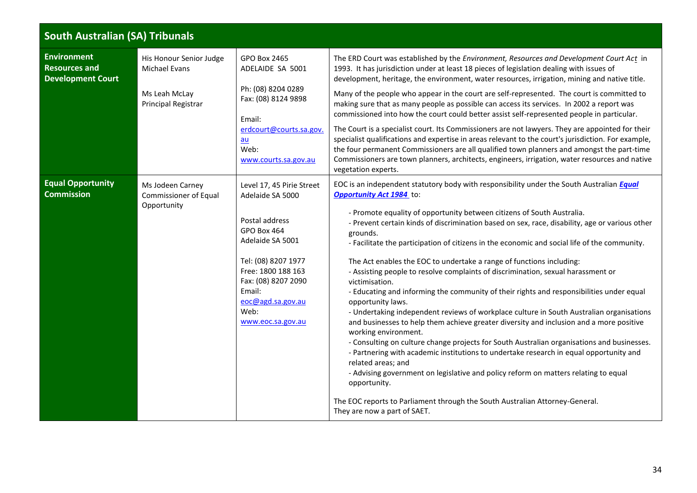<span id="page-33-2"></span><span id="page-33-1"></span><span id="page-33-0"></span>

| <b>South Australian (SA) Tribunals</b>                                 |                                                                                  |                                                                                                                                                                                                                                    |                                                                                                                                                                                                                                                                                                                                                                                                                                                                                                                                                                                                                                                                                                                                                                                                                                                                                                                                                                                                                                                                                                                                                                                                                                                                                                                                                                         |  |
|------------------------------------------------------------------------|----------------------------------------------------------------------------------|------------------------------------------------------------------------------------------------------------------------------------------------------------------------------------------------------------------------------------|-------------------------------------------------------------------------------------------------------------------------------------------------------------------------------------------------------------------------------------------------------------------------------------------------------------------------------------------------------------------------------------------------------------------------------------------------------------------------------------------------------------------------------------------------------------------------------------------------------------------------------------------------------------------------------------------------------------------------------------------------------------------------------------------------------------------------------------------------------------------------------------------------------------------------------------------------------------------------------------------------------------------------------------------------------------------------------------------------------------------------------------------------------------------------------------------------------------------------------------------------------------------------------------------------------------------------------------------------------------------------|--|
| <b>Environment</b><br><b>Resources and</b><br><b>Development Court</b> | His Honour Senior Judge<br>Michael Evans<br>Ms Leah McLay<br>Principal Registrar | GPO Box 2465<br>ADELAIDE SA 5001<br>Ph: (08) 8204 0289<br>Fax: (08) 8124 9898<br>Email:<br>erdcourt@courts.sa.gov.<br>$au$<br>Web:<br>www.courts.sa.gov.au                                                                         | The ERD Court was established by the Environment, Resources and Development Court Act in<br>1993. It has jurisdiction under at least 18 pieces of legislation dealing with issues of<br>development, heritage, the environment, water resources, irrigation, mining and native title.<br>Many of the people who appear in the court are self-represented. The court is committed to<br>making sure that as many people as possible can access its services. In 2002 a report was<br>commissioned into how the court could better assist self-represented people in particular.<br>The Court is a specialist court. Its Commissioners are not lawyers. They are appointed for their<br>specialist qualifications and expertise in areas relevant to the court's jurisdiction. For example,<br>the four permanent Commissioners are all qualified town planners and amongst the part-time<br>Commissioners are town planners, architects, engineers, irrigation, water resources and native<br>vegetation experts.                                                                                                                                                                                                                                                                                                                                                        |  |
| <b>Equal Opportunity</b><br><b>Commission</b>                          | Ms Jodeen Carney<br>Commissioner of Equal<br>Opportunity                         | Level 17, 45 Pirie Street<br>Adelaide SA 5000<br>Postal address<br>GPO Box 464<br>Adelaide SA 5001<br>Tel: (08) 8207 1977<br>Free: 1800 188 163<br>Fax: (08) 8207 2090<br>Email:<br>eoc@agd.sa.gov.au<br>Web:<br>www.eoc.sa.gov.au | EOC is an independent statutory body with responsibility under the South Australian <b>Equal</b><br>Opportunity Act 1984 to:<br>- Promote equality of opportunity between citizens of South Australia.<br>- Prevent certain kinds of discrimination based on sex, race, disability, age or various other<br>grounds.<br>- Facilitate the participation of citizens in the economic and social life of the community.<br>The Act enables the EOC to undertake a range of functions including:<br>- Assisting people to resolve complaints of discrimination, sexual harassment or<br>victimisation.<br>- Educating and informing the community of their rights and responsibilities under equal<br>opportunity laws.<br>- Undertaking independent reviews of workplace culture in South Australian organisations<br>and businesses to help them achieve greater diversity and inclusion and a more positive<br>working environment.<br>- Consulting on culture change projects for South Australian organisations and businesses.<br>- Partnering with academic institutions to undertake research in equal opportunity and<br>related areas; and<br>- Advising government on legislative and policy reform on matters relating to equal<br>opportunity.<br>The EOC reports to Parliament through the South Australian Attorney-General.<br>They are now a part of SAET. |  |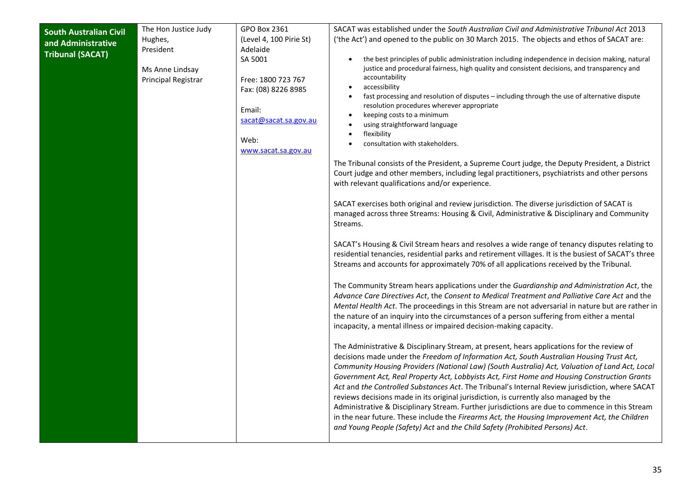<span id="page-34-0"></span>

| <b>South Australian Civil</b> | The Hon Justice Judy | GPO Box 2361            | SACAT was established under the South Australian Civil and Administrative Tribunal Act 2013                                                                                                      |
|-------------------------------|----------------------|-------------------------|--------------------------------------------------------------------------------------------------------------------------------------------------------------------------------------------------|
| and Administrative            | Hughes,              | (Level 4, 100 Pirie St) | ('the Act') and opened to the public on 30 March 2015. The objects and ethos of SACAT are:                                                                                                       |
| <b>Tribunal (SACAT)</b>       | President            | Adelaide                |                                                                                                                                                                                                  |
|                               |                      | SA 5001                 | the best principles of public administration including independence in decision making, natural                                                                                                  |
|                               | Ms Anne Lindsay      |                         | justice and procedural fairness, high quality and consistent decisions, and transparency and<br>accountability                                                                                   |
|                               | Principal Registrar  | Free: 1800 723 767      | accessibility                                                                                                                                                                                    |
|                               |                      | Fax: (08) 8226 8985     | fast processing and resolution of disputes - including through the use of alternative dispute                                                                                                    |
|                               |                      | Email:                  | resolution procedures wherever appropriate                                                                                                                                                       |
|                               |                      | sacat@sacat.sa.gov.au   | keeping costs to a minimum                                                                                                                                                                       |
|                               |                      |                         | using straightforward language                                                                                                                                                                   |
|                               |                      | Web:                    | flexibility                                                                                                                                                                                      |
|                               |                      | www.sacat.sa.gov.au     | consultation with stakeholders.                                                                                                                                                                  |
|                               |                      |                         | The Tribunal consists of the President, a Supreme Court judge, the Deputy President, a District                                                                                                  |
|                               |                      |                         | Court judge and other members, including legal practitioners, psychiatrists and other persons                                                                                                    |
|                               |                      |                         | with relevant qualifications and/or experience.                                                                                                                                                  |
|                               |                      |                         |                                                                                                                                                                                                  |
|                               |                      |                         | SACAT exercises both original and review jurisdiction. The diverse jurisdiction of SACAT is                                                                                                      |
|                               |                      |                         | managed across three Streams: Housing & Civil, Administrative & Disciplinary and Community                                                                                                       |
|                               |                      |                         | Streams.                                                                                                                                                                                         |
|                               |                      |                         |                                                                                                                                                                                                  |
|                               |                      |                         | SACAT's Housing & Civil Stream hears and resolves a wide range of tenancy disputes relating to                                                                                                   |
|                               |                      |                         | residential tenancies, residential parks and retirement villages. It is the busiest of SACAT's three<br>Streams and accounts for approximately 70% of all applications received by the Tribunal. |
|                               |                      |                         |                                                                                                                                                                                                  |
|                               |                      |                         | The Community Stream hears applications under the Guardianship and Administration Act, the                                                                                                       |
|                               |                      |                         | Advance Care Directives Act, the Consent to Medical Treatment and Palliative Care Act and the                                                                                                    |
|                               |                      |                         | Mental Health Act. The proceedings in this Stream are not adversarial in nature but are rather in                                                                                                |
|                               |                      |                         | the nature of an inquiry into the circumstances of a person suffering from either a mental                                                                                                       |
|                               |                      |                         | incapacity, a mental illness or impaired decision-making capacity.                                                                                                                               |
|                               |                      |                         |                                                                                                                                                                                                  |
|                               |                      |                         | The Administrative & Disciplinary Stream, at present, hears applications for the review of<br>decisions made under the Freedom of Information Act, South Australian Housing Trust Act,           |
|                               |                      |                         | Community Housing Providers (National Law) (South Australia) Act, Valuation of Land Act, Local                                                                                                   |
|                               |                      |                         | Government Act, Real Property Act, Lobbyists Act, First Home and Housing Construction Grants                                                                                                     |
|                               |                      |                         | Act and the Controlled Substances Act. The Tribunal's Internal Review jurisdiction, where SACAT                                                                                                  |
|                               |                      |                         | reviews decisions made in its original jurisdiction, is currently also managed by the                                                                                                            |
|                               |                      |                         | Administrative & Disciplinary Stream. Further jurisdictions are due to commence in this Stream                                                                                                   |
|                               |                      |                         | in the near future. These include the Firearms Act, the Housing Improvement Act, the Children                                                                                                    |
|                               |                      |                         | and Young People (Safety) Act and the Child Safety (Prohibited Persons) Act.                                                                                                                     |
|                               |                      |                         |                                                                                                                                                                                                  |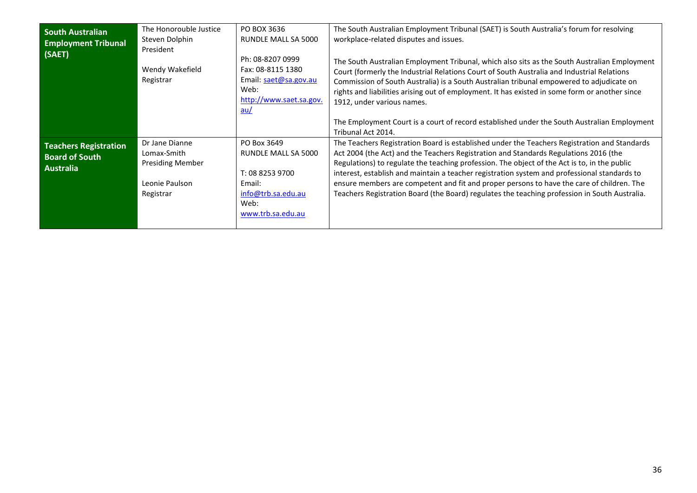<span id="page-35-1"></span><span id="page-35-0"></span>

| <b>South Australian</b><br><b>Employment Tribunal</b><br>(SAET)    | The Honorouble Justice<br>Steven Dolphin<br>President<br>Wendy Wakefield<br>Registrar   | PO BOX 3636<br>RUNDLE MALL SA 5000<br>Ph: 08-8207 0999<br>Fax: 08-8115 1380<br>Email: saet@sa.gov.au<br>Web:<br>http://www.saet.sa.gov.<br>au/ | The South Australian Employment Tribunal (SAET) is South Australia's forum for resolving<br>workplace-related disputes and issues.<br>The South Australian Employment Tribunal, which also sits as the South Australian Employment<br>Court (formerly the Industrial Relations Court of South Australia and Industrial Relations<br>Commission of South Australia) is a South Australian tribunal empowered to adjudicate on<br>rights and liabilities arising out of employment. It has existed in some form or another since<br>1912, under various names.<br>The Employment Court is a court of record established under the South Australian Employment |
|--------------------------------------------------------------------|-----------------------------------------------------------------------------------------|------------------------------------------------------------------------------------------------------------------------------------------------|-------------------------------------------------------------------------------------------------------------------------------------------------------------------------------------------------------------------------------------------------------------------------------------------------------------------------------------------------------------------------------------------------------------------------------------------------------------------------------------------------------------------------------------------------------------------------------------------------------------------------------------------------------------|
| <b>Teachers Registration</b><br><b>Board of South</b><br>Australia | Dr Jane Dianne<br>Lomax-Smith<br><b>Presiding Member</b><br>Leonie Paulson<br>Registrar | PO Box 3649<br>RUNDLE MALL SA 5000<br>T: 08 8253 9700<br>Email:<br>info@trb.sa.edu.au<br>Web:<br>www.trb.sa.edu.au                             | Tribunal Act 2014.<br>The Teachers Registration Board is established under the Teachers Registration and Standards<br>Act 2004 (the Act) and the Teachers Registration and Standards Regulations 2016 (the<br>Regulations) to regulate the teaching profession. The object of the Act is to, in the public<br>interest, establish and maintain a teacher registration system and professional standards to<br>ensure members are competent and fit and proper persons to have the care of children. The<br>Teachers Registration Board (the Board) regulates the teaching profession in South Australia.                                                    |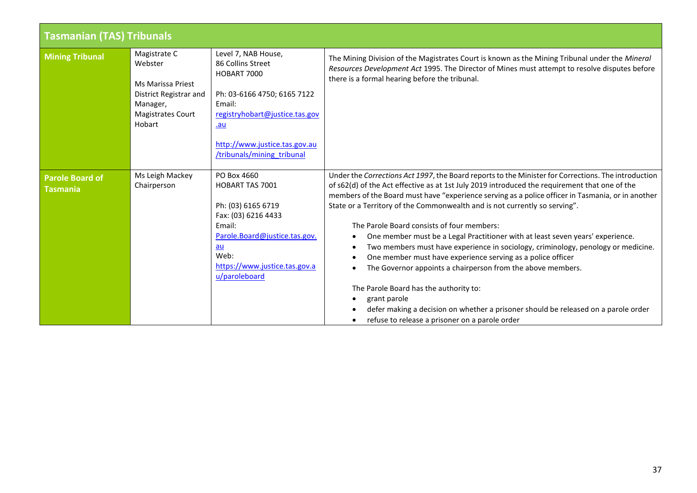<span id="page-36-2"></span><span id="page-36-1"></span><span id="page-36-0"></span>

| <b>Tasmanian (TAS) Tribunals</b>          |                                                                                                                          |                                                                                                                                                                                                          |                                                                                                                                                                                                                                                                                                                                                                                                                                                                                                                                                                                                                                                                                                                                                                                                                                                                                                                                                                                                       |  |
|-------------------------------------------|--------------------------------------------------------------------------------------------------------------------------|----------------------------------------------------------------------------------------------------------------------------------------------------------------------------------------------------------|-------------------------------------------------------------------------------------------------------------------------------------------------------------------------------------------------------------------------------------------------------------------------------------------------------------------------------------------------------------------------------------------------------------------------------------------------------------------------------------------------------------------------------------------------------------------------------------------------------------------------------------------------------------------------------------------------------------------------------------------------------------------------------------------------------------------------------------------------------------------------------------------------------------------------------------------------------------------------------------------------------|--|
| <b>Mining Tribunal</b>                    | Magistrate C<br>Webster<br>Ms Marissa Priest<br>District Registrar and<br>Manager,<br><b>Magistrates Court</b><br>Hobart | Level 7, NAB House,<br>86 Collins Street<br>HOBART 7000<br>Ph: 03-6166 4750; 6165 7122<br>Email:<br>registryhobart@justice.tas.gov<br>.au<br>http://www.justice.tas.gov.au<br>/tribunals/mining tribunal | The Mining Division of the Magistrates Court is known as the Mining Tribunal under the Mineral<br>Resources Development Act 1995. The Director of Mines must attempt to resolve disputes before<br>there is a formal hearing before the tribunal.                                                                                                                                                                                                                                                                                                                                                                                                                                                                                                                                                                                                                                                                                                                                                     |  |
| <b>Parole Board of</b><br><b>Tasmania</b> | Ms Leigh Mackey<br>Chairperson                                                                                           | PO Box 4660<br><b>HOBART TAS 7001</b><br>Ph: (03) 6165 6719<br>Fax: (03) 6216 4433<br>Email:<br>Parole.Board@justice.tas.gov.<br>au<br>Web:<br>https://www.justice.tas.gov.a<br>u/paroleboard            | Under the Corrections Act 1997, the Board reports to the Minister for Corrections. The introduction<br>of s62(d) of the Act effective as at 1st July 2019 introduced the requirement that one of the<br>members of the Board must have "experience serving as a police officer in Tasmania, or in another<br>State or a Territory of the Commonwealth and is not currently so serving".<br>The Parole Board consists of four members:<br>One member must be a Legal Practitioner with at least seven years' experience.<br>$\bullet$<br>Two members must have experience in sociology, criminology, penology or medicine.<br>$\bullet$<br>One member must have experience serving as a police officer<br>$\bullet$<br>The Governor appoints a chairperson from the above members.<br>$\bullet$<br>The Parole Board has the authority to:<br>grant parole<br>٠<br>defer making a decision on whether a prisoner should be released on a parole order<br>refuse to release a prisoner on a parole order |  |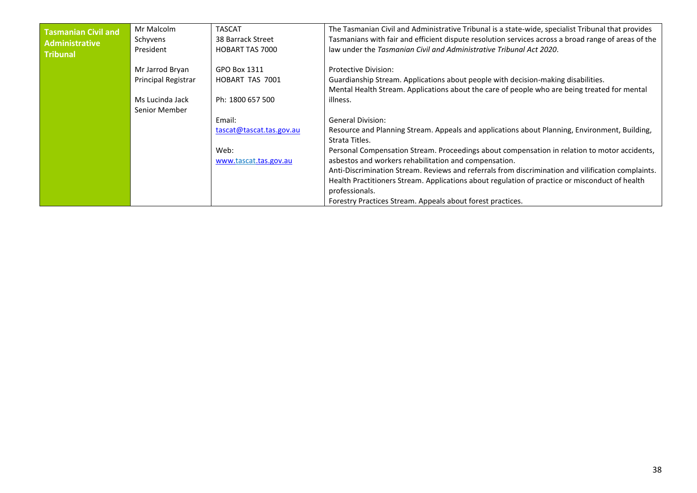<span id="page-37-0"></span>

| Tasmanian Civil and<br>Administrative<br><b>Tribunal</b> | Mr Malcolm<br>Schyvens<br>President | <b>TASCAT</b><br>38 Barrack Street<br><b>HOBART TAS 7000</b> | The Tasmanian Civil and Administrative Tribunal is a state-wide, specialist Tribunal that provides<br>Tasmanians with fair and efficient dispute resolution services across a broad range of areas of the<br>law under the Tasmanian Civil and Administrative Tribunal Act 2020. |
|----------------------------------------------------------|-------------------------------------|--------------------------------------------------------------|----------------------------------------------------------------------------------------------------------------------------------------------------------------------------------------------------------------------------------------------------------------------------------|
|                                                          | Mr Jarrod Bryan                     | GPO Box 1311                                                 | <b>Protective Division:</b>                                                                                                                                                                                                                                                      |
|                                                          | Principal Registrar                 | HOBART TAS 7001                                              | Guardianship Stream. Applications about people with decision-making disabilities.                                                                                                                                                                                                |
|                                                          |                                     |                                                              | Mental Health Stream. Applications about the care of people who are being treated for mental                                                                                                                                                                                     |
|                                                          | Ms Lucinda Jack                     | Ph: 1800 657 500                                             | illness.                                                                                                                                                                                                                                                                         |
|                                                          | Senior Member                       |                                                              |                                                                                                                                                                                                                                                                                  |
|                                                          |                                     | Email:                                                       | <b>General Division:</b>                                                                                                                                                                                                                                                         |
|                                                          |                                     | tascat@tascat.tas.gov.au                                     | Resource and Planning Stream. Appeals and applications about Planning, Environment, Building,<br>Strata Titles.                                                                                                                                                                  |
|                                                          |                                     | Web:                                                         | Personal Compensation Stream. Proceedings about compensation in relation to motor accidents,                                                                                                                                                                                     |
|                                                          |                                     | www.tascat.tas.gov.au                                        | asbestos and workers rehabilitation and compensation.                                                                                                                                                                                                                            |
|                                                          |                                     |                                                              | Anti-Discrimination Stream. Reviews and referrals from discrimination and vilification complaints.                                                                                                                                                                               |
|                                                          |                                     |                                                              | Health Practitioners Stream. Applications about regulation of practice or misconduct of health                                                                                                                                                                                   |
|                                                          |                                     |                                                              | professionals.                                                                                                                                                                                                                                                                   |
|                                                          |                                     |                                                              | Forestry Practices Stream. Appeals about forest practices.                                                                                                                                                                                                                       |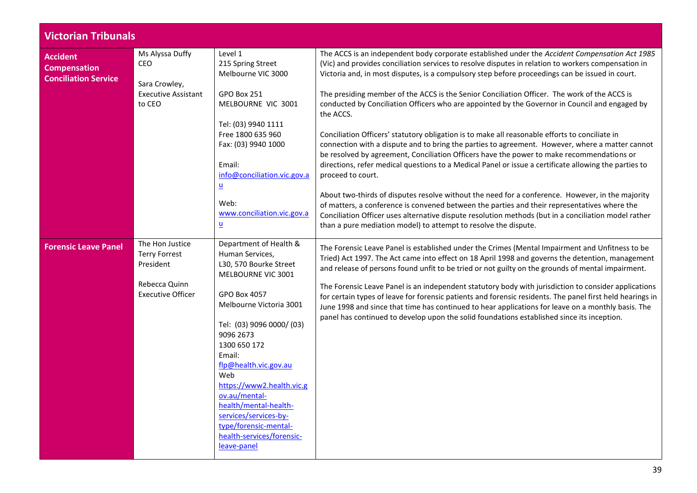<span id="page-38-2"></span><span id="page-38-1"></span><span id="page-38-0"></span>

| <b>Victorian Tribunals</b>                                            |                                                      |                                                                                                                                                                   |                                                                                                                                                                                                                                                                                                                                                                                                                              |
|-----------------------------------------------------------------------|------------------------------------------------------|-------------------------------------------------------------------------------------------------------------------------------------------------------------------|------------------------------------------------------------------------------------------------------------------------------------------------------------------------------------------------------------------------------------------------------------------------------------------------------------------------------------------------------------------------------------------------------------------------------|
| <b>Accident</b><br><b>Compensation</b><br><b>Conciliation Service</b> | Ms Alyssa Duffy<br>CEO<br>Sara Crowley,              | Level 1<br>215 Spring Street<br>Melbourne VIC 3000                                                                                                                | The ACCS is an independent body corporate established under the Accident Compensation Act 1985<br>(Vic) and provides conciliation services to resolve disputes in relation to workers compensation in<br>Victoria and, in most disputes, is a compulsory step before proceedings can be issued in court.                                                                                                                     |
|                                                                       | <b>Executive Assistant</b><br>to CEO                 | GPO Box 251<br>MELBOURNE VIC 3001                                                                                                                                 | The presiding member of the ACCS is the Senior Conciliation Officer. The work of the ACCS is<br>conducted by Conciliation Officers who are appointed by the Governor in Council and engaged by<br>the ACCS.                                                                                                                                                                                                                  |
|                                                                       |                                                      | Tel: (03) 9940 1111<br>Free 1800 635 960<br>Fax: (03) 9940 1000<br>Email:<br>info@conciliation.vic.gov.a                                                          | Conciliation Officers' statutory obligation is to make all reasonable efforts to conciliate in<br>connection with a dispute and to bring the parties to agreement. However, where a matter cannot<br>be resolved by agreement, Conciliation Officers have the power to make recommendations or<br>directions, refer medical questions to a Medical Panel or issue a certificate allowing the parties to<br>proceed to court. |
|                                                                       |                                                      | $\underline{\mathsf{u}}$<br>Web:<br>www.conciliation.vic.gov.a<br>$\underline{\mathsf{u}}$                                                                        | About two-thirds of disputes resolve without the need for a conference. However, in the majority<br>of matters, a conference is convened between the parties and their representatives where the<br>Conciliation Officer uses alternative dispute resolution methods (but in a conciliation model rather<br>than a pure mediation model) to attempt to resolve the dispute.                                                  |
| <b>Forensic Leave Panel</b>                                           | The Hon Justice<br><b>Terry Forrest</b><br>President | Department of Health &<br>Human Services,<br>L30, 570 Bourke Street<br>MELBOURNE VIC 3001                                                                         | The Forensic Leave Panel is established under the Crimes (Mental Impairment and Unfitness to be<br>Tried) Act 1997. The Act came into effect on 18 April 1998 and governs the detention, management<br>and release of persons found unfit to be tried or not guilty on the grounds of mental impairment.                                                                                                                     |
|                                                                       | Rebecca Quinn<br><b>Executive Officer</b>            | GPO Box 4057<br>Melbourne Victoria 3001<br>Tel: (03) 9096 0000/ (03)<br>9096 2673<br>1300 650 172<br>Email:<br>flp@health.vic.gov.au<br>Web                       | The Forensic Leave Panel is an independent statutory body with jurisdiction to consider applications<br>for certain types of leave for forensic patients and forensic residents. The panel first held hearings in<br>June 1998 and since that time has continued to hear applications for leave on a monthly basis. The<br>panel has continued to develop upon the solid foundations established since its inception.        |
|                                                                       |                                                      | https://www2.health.vic.g<br>ov.au/mental-<br>health/mental-health-<br>services/services-by-<br>type/forensic-mental-<br>health-services/forensic-<br>leave-panel |                                                                                                                                                                                                                                                                                                                                                                                                                              |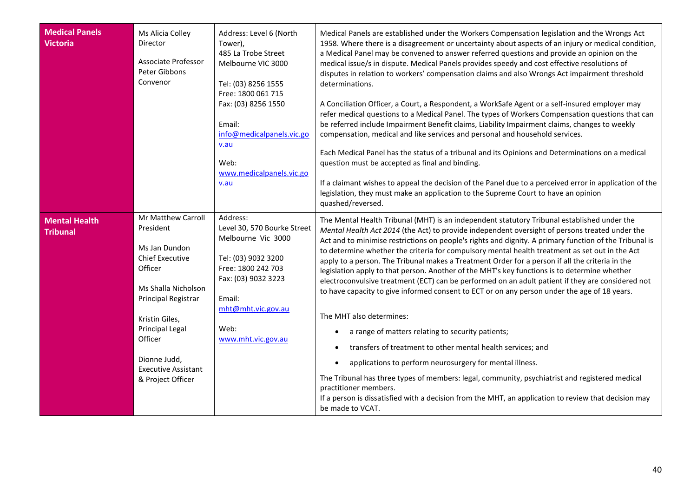<span id="page-39-1"></span><span id="page-39-0"></span>

| <b>Medical Panels</b><br><b>Victoria</b> | Ms Alicia Colley<br>Director<br>Associate Professor<br>Peter Gibbons<br>Convenor                                                                                                                                                                              | Address: Level 6 (North<br>Tower),<br>485 La Trobe Street<br>Melbourne VIC 3000<br>Tel: (03) 8256 1555<br>Free: 1800 061 715<br>Fax: (03) 8256 1550<br>Email:<br>info@medicalpanels.vic.go<br>v.au<br>Web:<br>www.medicalpanels.vic.go<br>v.au | Medical Panels are established under the Workers Compensation legislation and the Wrongs Act<br>1958. Where there is a disagreement or uncertainty about aspects of an injury or medical condition,<br>a Medical Panel may be convened to answer referred questions and provide an opinion on the<br>medical issue/s in dispute. Medical Panels provides speedy and cost effective resolutions of<br>disputes in relation to workers' compensation claims and also Wrongs Act impairment threshold<br>determinations.<br>A Conciliation Officer, a Court, a Respondent, a WorkSafe Agent or a self-insured employer may<br>refer medical questions to a Medical Panel. The types of Workers Compensation questions that can<br>be referred include Impairment Benefit claims, Liability Impairment claims, changes to weekly<br>compensation, medical and like services and personal and household services.<br>Each Medical Panel has the status of a tribunal and its Opinions and Determinations on a medical<br>question must be accepted as final and binding.<br>If a claimant wishes to appeal the decision of the Panel due to a perceived error in application of the<br>legislation, they must make an application to the Supreme Court to have an opinion<br>quashed/reversed. |
|------------------------------------------|---------------------------------------------------------------------------------------------------------------------------------------------------------------------------------------------------------------------------------------------------------------|------------------------------------------------------------------------------------------------------------------------------------------------------------------------------------------------------------------------------------------------|-------------------------------------------------------------------------------------------------------------------------------------------------------------------------------------------------------------------------------------------------------------------------------------------------------------------------------------------------------------------------------------------------------------------------------------------------------------------------------------------------------------------------------------------------------------------------------------------------------------------------------------------------------------------------------------------------------------------------------------------------------------------------------------------------------------------------------------------------------------------------------------------------------------------------------------------------------------------------------------------------------------------------------------------------------------------------------------------------------------------------------------------------------------------------------------------------------------------------------------------------------------------------------------------|
| <b>Mental Health</b><br><b>Tribunal</b>  | Mr Matthew Carroll<br>President<br>Ms Jan Dundon<br><b>Chief Executive</b><br>Officer<br>Ms Shalla Nicholson<br>Principal Registrar<br>Kristin Giles,<br><b>Principal Legal</b><br>Officer<br>Dionne Judd,<br><b>Executive Assistant</b><br>& Project Officer | Address:<br>Level 30, 570 Bourke Street<br>Melbourne Vic 3000<br>Tel: (03) 9032 3200<br>Free: 1800 242 703<br>Fax: (03) 9032 3223<br>Email:<br>mht@mht.vic.gov.au<br>Web:<br>www.mht.vic.gov.au                                                | The Mental Health Tribunal (MHT) is an independent statutory Tribunal established under the<br>Mental Health Act 2014 (the Act) to provide independent oversight of persons treated under the<br>Act and to minimise restrictions on people's rights and dignity. A primary function of the Tribunal is<br>to determine whether the criteria for compulsory mental health treatment as set out in the Act<br>apply to a person. The Tribunal makes a Treatment Order for a person if all the criteria in the<br>legislation apply to that person. Another of the MHT's key functions is to determine whether<br>electroconvulsive treatment (ECT) can be performed on an adult patient if they are considered not<br>to have capacity to give informed consent to ECT or on any person under the age of 18 years.<br>The MHT also determines:<br>a range of matters relating to security patients;<br>transfers of treatment to other mental health services; and<br>applications to perform neurosurgery for mental illness.<br>The Tribunal has three types of members: legal, community, psychiatrist and registered medical<br>practitioner members.<br>If a person is dissatisfied with a decision from the MHT, an application to review that decision may<br>be made to VCAT.      |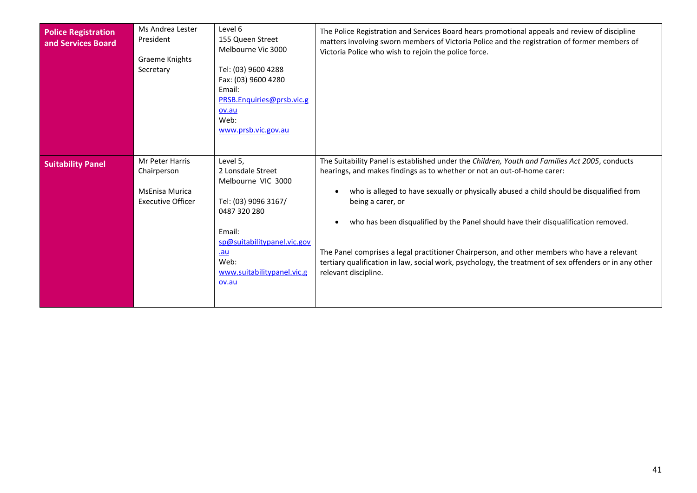<span id="page-40-1"></span><span id="page-40-0"></span>

| <b>Police Registration</b><br>and Services Board | Ms Andrea Lester<br>President<br>Graeme Knights<br>Secretary                        | Level 6<br>155 Queen Street<br>Melbourne Vic 3000<br>Tel: (03) 9600 4288<br>Fax: (03) 9600 4280<br>Email:<br>PRSB.Enquiries@prsb.vic.g<br>ov.au<br>Web:<br>www.prsb.vic.gov.au                    | The Police Registration and Services Board hears promotional appeals and review of discipline<br>matters involving sworn members of Victoria Police and the registration of former members of<br>Victoria Police who wish to rejoin the police force.                                                                                                                                                                                                                                                                                                                                                                                       |
|--------------------------------------------------|-------------------------------------------------------------------------------------|---------------------------------------------------------------------------------------------------------------------------------------------------------------------------------------------------|---------------------------------------------------------------------------------------------------------------------------------------------------------------------------------------------------------------------------------------------------------------------------------------------------------------------------------------------------------------------------------------------------------------------------------------------------------------------------------------------------------------------------------------------------------------------------------------------------------------------------------------------|
| <b>Suitability Panel</b>                         | Mr Peter Harris<br>Chairperson<br><b>MsEnisa Murica</b><br><b>Executive Officer</b> | Level 5,<br>2 Lonsdale Street<br>Melbourne VIC 3000<br>Tel: (03) 9096 3167/<br>0487 320 280<br>Email:<br>sp@suitabilitypanel.vic.gov<br><u>.au</u><br>Web:<br>www.suitabilitypanel.vic.g<br>ov.au | The Suitability Panel is established under the Children, Youth and Families Act 2005, conducts<br>hearings, and makes findings as to whether or not an out-of-home carer:<br>who is alleged to have sexually or physically abused a child should be disqualified from<br>$\bullet$<br>being a carer, or<br>who has been disqualified by the Panel should have their disqualification removed.<br>$\bullet$<br>The Panel comprises a legal practitioner Chairperson, and other members who have a relevant<br>tertiary qualification in law, social work, psychology, the treatment of sex offenders or in any other<br>relevant discipline. |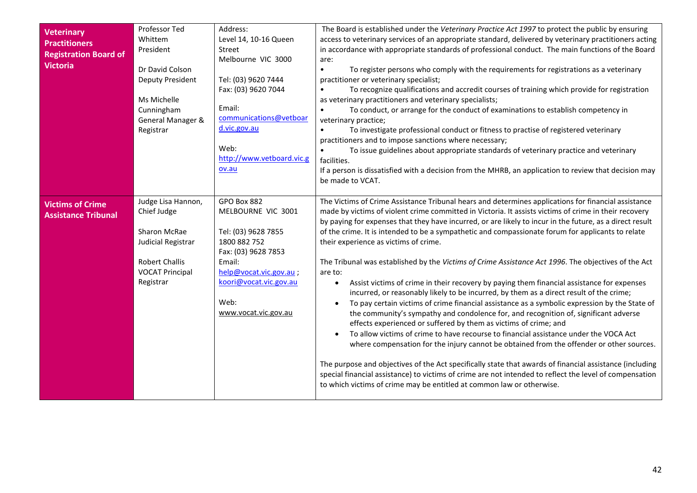<span id="page-41-1"></span><span id="page-41-0"></span>

| <b>Veterinary</b><br><b>Practitioners</b><br><b>Registration Board of</b><br><b>Victoria</b> | Professor Ted<br>Whittem<br>President<br>Dr David Colson<br><b>Deputy President</b><br>Ms Michelle<br>Cunningham<br>General Manager &<br>Registrar | Address:<br>Level 14, 10-16 Queen<br>Street<br>Melbourne VIC 3000<br>Tel: (03) 9620 7444<br>Fax: (03) 9620 7044<br>Email:<br>communications@vetboar<br>d.vic.gov.au<br>Web:<br>http://www.vetboard.vic.g<br>ov.au | The Board is established under the Veterinary Practice Act 1997 to protect the public by ensuring<br>access to veterinary services of an appropriate standard, delivered by veterinary practitioners acting<br>in accordance with appropriate standards of professional conduct. The main functions of the Board<br>are:<br>To register persons who comply with the requirements for registrations as a veterinary<br>$\bullet$<br>practitioner or veterinary specialist;<br>To recognize qualifications and accredit courses of training which provide for registration<br>as veterinary practitioners and veterinary specialists;<br>To conduct, or arrange for the conduct of examinations to establish competency in<br>$\bullet$<br>veterinary practice;<br>To investigate professional conduct or fitness to practise of registered veterinary<br>practitioners and to impose sanctions where necessary;<br>To issue guidelines about appropriate standards of veterinary practice and veterinary<br>$\bullet$<br>facilities.<br>If a person is dissatisfied with a decision from the MHRB, an application to review that decision may<br>be made to VCAT.                                                                                                                                                                                                                                                                                                                                                                                |
|----------------------------------------------------------------------------------------------|----------------------------------------------------------------------------------------------------------------------------------------------------|-------------------------------------------------------------------------------------------------------------------------------------------------------------------------------------------------------------------|-------------------------------------------------------------------------------------------------------------------------------------------------------------------------------------------------------------------------------------------------------------------------------------------------------------------------------------------------------------------------------------------------------------------------------------------------------------------------------------------------------------------------------------------------------------------------------------------------------------------------------------------------------------------------------------------------------------------------------------------------------------------------------------------------------------------------------------------------------------------------------------------------------------------------------------------------------------------------------------------------------------------------------------------------------------------------------------------------------------------------------------------------------------------------------------------------------------------------------------------------------------------------------------------------------------------------------------------------------------------------------------------------------------------------------------------------------------------------------------------------------------------------------------------------|
| <b>Victims of Crime</b><br><b>Assistance Tribunal</b>                                        | Judge Lisa Hannon,<br>Chief Judge<br>Sharon McRae<br>Judicial Registrar<br><b>Robert Challis</b><br><b>VOCAT Principal</b><br>Registrar            | GPO Box 882<br>MELBOURNE VIC 3001<br>Tel: (03) 9628 7855<br>1800 882 752<br>Fax: (03) 9628 7853<br>Email:<br>help@vocat.vic.gov.au;<br>koori@vocat.vic.gov.au<br>Web:<br>www.vocat.vic.gov.au                     | The Victims of Crime Assistance Tribunal hears and determines applications for financial assistance<br>made by victims of violent crime committed in Victoria. It assists victims of crime in their recovery<br>by paying for expenses that they have incurred, or are likely to incur in the future, as a direct result<br>of the crime. It is intended to be a sympathetic and compassionate forum for applicants to relate<br>their experience as victims of crime.<br>The Tribunal was established by the Victims of Crime Assistance Act 1996. The objectives of the Act<br>are to:<br>Assist victims of crime in their recovery by paying them financial assistance for expenses<br>$\bullet$<br>incurred, or reasonably likely to be incurred, by them as a direct result of the crime;<br>To pay certain victims of crime financial assistance as a symbolic expression by the State of<br>the community's sympathy and condolence for, and recognition of, significant adverse<br>effects experienced or suffered by them as victims of crime; and<br>To allow victims of crime to have recourse to financial assistance under the VOCA Act<br>where compensation for the injury cannot be obtained from the offender or other sources.<br>The purpose and objectives of the Act specifically state that awards of financial assistance (including<br>special financial assistance) to victims of crime are not intended to reflect the level of compensation<br>to which victims of crime may be entitled at common law or otherwise. |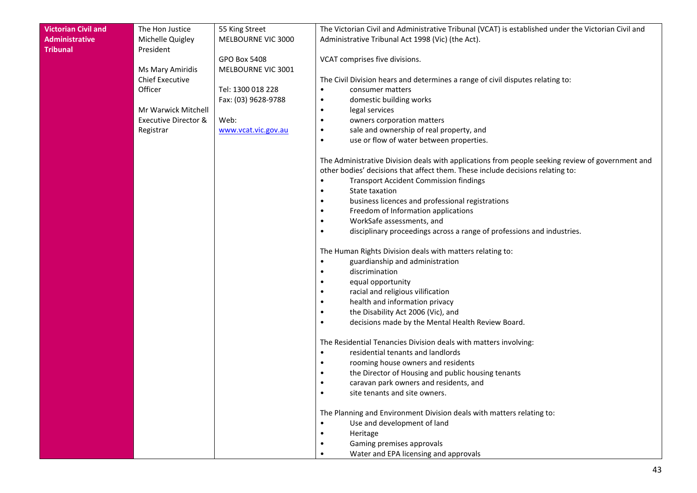| <b>Victorian Civil and</b> | The Hon Justice        | 55 King Street      | The Victorian Civil and Administrative Tribunal (VCAT) is established under the Victorian Civil and |
|----------------------------|------------------------|---------------------|-----------------------------------------------------------------------------------------------------|
| <b>Administrative</b>      | Michelle Quigley       | MELBOURNE VIC 3000  | Administrative Tribunal Act 1998 (Vic) (the Act).                                                   |
| <b>Tribunal</b>            | President              |                     |                                                                                                     |
|                            |                        | <b>GPO Box 5408</b> | VCAT comprises five divisions.                                                                      |
|                            | Ms Mary Amiridis       | MELBOURNE VIC 3001  |                                                                                                     |
|                            | <b>Chief Executive</b> |                     | The Civil Division hears and determines a range of civil disputes relating to:                      |
|                            | Officer                | Tel: 1300 018 228   | consumer matters<br>$\bullet$                                                                       |
|                            |                        | Fax: (03) 9628-9788 | domestic building works<br>$\bullet$                                                                |
|                            | Mr Warwick Mitchell    |                     | legal services<br>$\bullet$                                                                         |
|                            | Executive Director &   | Web:                | owners corporation matters<br>٠                                                                     |
|                            | Registrar              | www.vcat.vic.gov.au | sale and ownership of real property, and<br>$\bullet$                                               |
|                            |                        |                     | use or flow of water between properties.<br>$\bullet$                                               |
|                            |                        |                     | The Administrative Division deals with applications from people seeking review of government and    |
|                            |                        |                     | other bodies' decisions that affect them. These include decisions relating to:                      |
|                            |                        |                     | <b>Transport Accident Commission findings</b><br>$\bullet$                                          |
|                            |                        |                     | State taxation<br>$\bullet$                                                                         |
|                            |                        |                     | business licences and professional registrations<br>$\bullet$                                       |
|                            |                        |                     | Freedom of Information applications<br>$\bullet$<br>WorkSafe assessments, and<br>$\bullet$          |
|                            |                        |                     | disciplinary proceedings across a range of professions and industries.<br>$\bullet$                 |
|                            |                        |                     |                                                                                                     |
|                            |                        |                     | The Human Rights Division deals with matters relating to:                                           |
|                            |                        |                     | guardianship and administration<br>$\bullet$                                                        |
|                            |                        |                     | discrimination                                                                                      |
|                            |                        |                     | equal opportunity                                                                                   |
|                            |                        |                     | racial and religious vilification                                                                   |
|                            |                        |                     | health and information privacy                                                                      |
|                            |                        |                     | the Disability Act 2006 (Vic), and                                                                  |
|                            |                        |                     | decisions made by the Mental Health Review Board.<br>$\bullet$                                      |
|                            |                        |                     | The Residential Tenancies Division deals with matters involving:                                    |
|                            |                        |                     | residential tenants and landlords<br>$\bullet$                                                      |
|                            |                        |                     | rooming house owners and residents                                                                  |
|                            |                        |                     | the Director of Housing and public housing tenants                                                  |
|                            |                        |                     | caravan park owners and residents, and                                                              |
|                            |                        |                     | site tenants and site owners.                                                                       |
|                            |                        |                     | The Planning and Environment Division deals with matters relating to:                               |
|                            |                        |                     | Use and development of land                                                                         |
|                            |                        |                     | Heritage                                                                                            |
|                            |                        |                     | Gaming premises approvals                                                                           |
|                            |                        |                     | Water and EPA licensing and approvals<br>٠                                                          |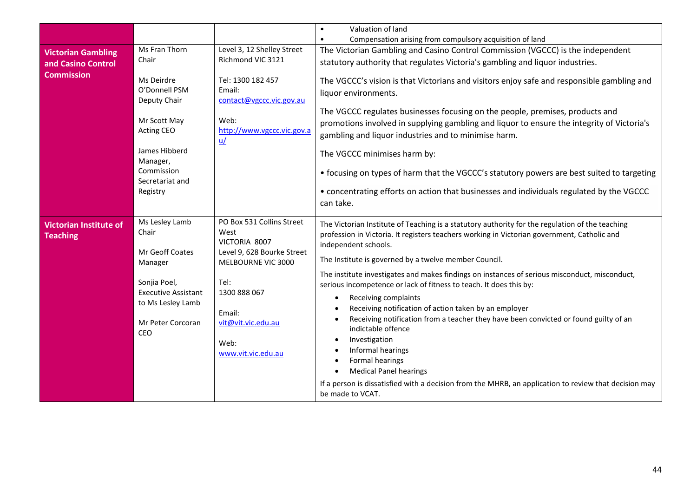<span id="page-43-1"></span><span id="page-43-0"></span>

|                                         |                                                                                                                                                            |                                                                                                                     | Valuation of land<br>$\bullet$                                                                                                                                                                                                                                                                                                                                                                                                                                                                                                                                                                   |
|-----------------------------------------|------------------------------------------------------------------------------------------------------------------------------------------------------------|---------------------------------------------------------------------------------------------------------------------|--------------------------------------------------------------------------------------------------------------------------------------------------------------------------------------------------------------------------------------------------------------------------------------------------------------------------------------------------------------------------------------------------------------------------------------------------------------------------------------------------------------------------------------------------------------------------------------------------|
|                                         |                                                                                                                                                            |                                                                                                                     | Compensation arising from compulsory acquisition of land<br>$\bullet$                                                                                                                                                                                                                                                                                                                                                                                                                                                                                                                            |
| <b>Victorian Gambling</b>               | Ms Fran Thorn                                                                                                                                              | Level 3, 12 Shelley Street                                                                                          | The Victorian Gambling and Casino Control Commission (VGCCC) is the independent                                                                                                                                                                                                                                                                                                                                                                                                                                                                                                                  |
| and Casino Control<br><b>Commission</b> | Chair                                                                                                                                                      | Richmond VIC 3121                                                                                                   | statutory authority that regulates Victoria's gambling and liquor industries.                                                                                                                                                                                                                                                                                                                                                                                                                                                                                                                    |
|                                         | Ms Deirdre<br>O'Donnell PSM<br>Deputy Chair<br>Mr Scott May<br><b>Acting CEO</b><br>James Hibberd<br>Manager,<br>Commission<br>Secretariat and<br>Registry | Tel: 1300 182 457<br>Email:<br>contact@vgccc.vic.gov.au<br>Web:<br>http://www.vgccc.vic.gov.a<br>$u$                | The VGCCC's vision is that Victorians and visitors enjoy safe and responsible gambling and<br>liquor environments.<br>The VGCCC regulates businesses focusing on the people, premises, products and<br>promotions involved in supplying gambling and liquor to ensure the integrity of Victoria's<br>gambling and liquor industries and to minimise harm.<br>The VGCCC minimises harm by:<br>• focusing on types of harm that the VGCCC's statutory powers are best suited to targeting<br>• concentrating efforts on action that businesses and individuals regulated by the VGCCC<br>can take. |
| <b>Victorian Institute of</b>           | Ms Lesley Lamb                                                                                                                                             | PO Box 531 Collins Street                                                                                           | The Victorian Institute of Teaching is a statutory authority for the regulation of the teaching                                                                                                                                                                                                                                                                                                                                                                                                                                                                                                  |
| <b>Teaching</b>                         | Chair<br>West<br>VICTORIA 8007<br>Mr Geoff Coates                                                                                                          | profession in Victoria. It registers teachers working in Victorian government, Catholic and<br>independent schools. |                                                                                                                                                                                                                                                                                                                                                                                                                                                                                                                                                                                                  |
|                                         | Manager                                                                                                                                                    | Level 9, 628 Bourke Street<br>MELBOURNE VIC 3000                                                                    | The Institute is governed by a twelve member Council.                                                                                                                                                                                                                                                                                                                                                                                                                                                                                                                                            |
|                                         | Sonjia Poel,<br><b>Executive Assistant</b>                                                                                                                 | Tel:<br>1300 888 067                                                                                                | The institute investigates and makes findings on instances of serious misconduct, misconduct,<br>serious incompetence or lack of fitness to teach. It does this by:                                                                                                                                                                                                                                                                                                                                                                                                                              |
|                                         | to Ms Lesley Lamb                                                                                                                                          | Email:<br>vit@vit.vic.edu.au                                                                                        | Receiving complaints<br>$\bullet$<br>Receiving notification of action taken by an employer<br>$\bullet$                                                                                                                                                                                                                                                                                                                                                                                                                                                                                          |
|                                         | Mr Peter Corcoran<br>CEO                                                                                                                                   |                                                                                                                     | Receiving notification from a teacher they have been convicted or found guilty of an<br>$\bullet$<br>indictable offence                                                                                                                                                                                                                                                                                                                                                                                                                                                                          |
|                                         |                                                                                                                                                            | Web:                                                                                                                | Investigation<br>$\bullet$<br>Informal hearings<br>$\bullet$                                                                                                                                                                                                                                                                                                                                                                                                                                                                                                                                     |
|                                         |                                                                                                                                                            | www.vit.vic.edu.au                                                                                                  | Formal hearings<br>$\bullet$                                                                                                                                                                                                                                                                                                                                                                                                                                                                                                                                                                     |
|                                         |                                                                                                                                                            |                                                                                                                     | <b>Medical Panel hearings</b><br>$\bullet$                                                                                                                                                                                                                                                                                                                                                                                                                                                                                                                                                       |
|                                         |                                                                                                                                                            |                                                                                                                     | If a person is dissatisfied with a decision from the MHRB, an application to review that decision may<br>be made to VCAT.                                                                                                                                                                                                                                                                                                                                                                                                                                                                        |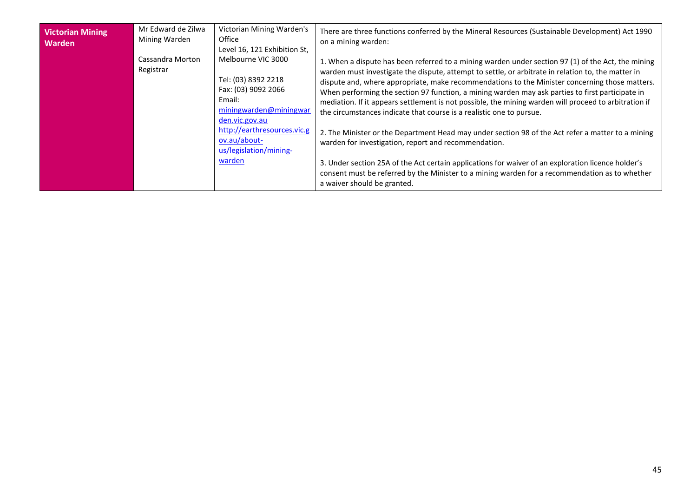<span id="page-44-0"></span>

| <b>Victorian Mining</b><br><b>Warden</b> | Mr Edward de Zilwa<br>Mining Warden<br>Cassandra Morton<br>Registrar | Victorian Mining Warden's<br>Office<br>Level 16, 121 Exhibition St,<br>Melbourne VIC 3000<br>Tel: (03) 8392 2218<br>Fax: (03) 9092 2066<br>Email:<br>miningwarden@miningwar<br>den.vic.gov.au | There are three functions conferred by the Mineral Resources (Sustainable Development) Act 1990<br>on a mining warden:<br>1. When a dispute has been referred to a mining warden under section 97 (1) of the Act, the mining<br>warden must investigate the dispute, attempt to settle, or arbitrate in relation to, the matter in<br>dispute and, where appropriate, make recommendations to the Minister concerning those matters.<br>When performing the section 97 function, a mining warden may ask parties to first participate in<br>mediation. If it appears settlement is not possible, the mining warden will proceed to arbitration if<br>the circumstances indicate that course is a realistic one to pursue. |
|------------------------------------------|----------------------------------------------------------------------|-----------------------------------------------------------------------------------------------------------------------------------------------------------------------------------------------|---------------------------------------------------------------------------------------------------------------------------------------------------------------------------------------------------------------------------------------------------------------------------------------------------------------------------------------------------------------------------------------------------------------------------------------------------------------------------------------------------------------------------------------------------------------------------------------------------------------------------------------------------------------------------------------------------------------------------|
|                                          |                                                                      | http://earthresources.vic.g<br>ov.au/about-<br>us/legislation/mining-                                                                                                                         | 2. The Minister or the Department Head may under section 98 of the Act refer a matter to a mining<br>warden for investigation, report and recommendation.                                                                                                                                                                                                                                                                                                                                                                                                                                                                                                                                                                 |
|                                          |                                                                      | <u>warden</u>                                                                                                                                                                                 | 3. Under section 25A of the Act certain applications for waiver of an exploration licence holder's<br>consent must be referred by the Minister to a mining warden for a recommendation as to whether<br>a waiver should be granted.                                                                                                                                                                                                                                                                                                                                                                                                                                                                                       |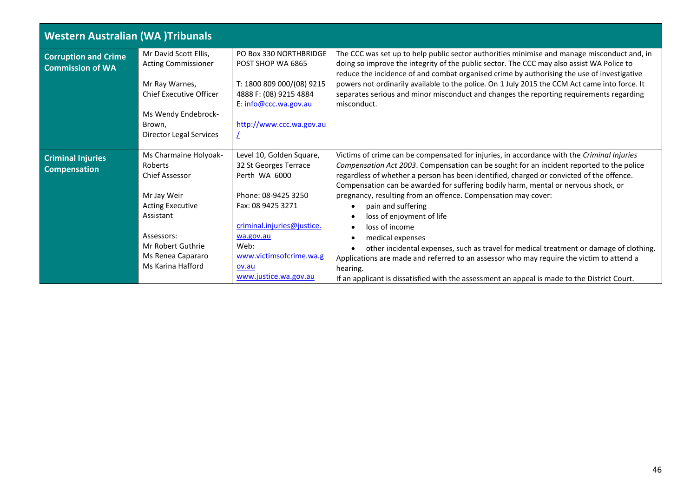<span id="page-45-2"></span><span id="page-45-1"></span><span id="page-45-0"></span>

| <b>Western Australian (WA)Tribunals</b>                |                                                                                                                                                                                               |                                                                                                                                                                                                                                |                                                                                                                                                                                                                                                                                                                                                                                                                                                                                                                                                                                                                                                                                                                                                                                                                                                                                          |
|--------------------------------------------------------|-----------------------------------------------------------------------------------------------------------------------------------------------------------------------------------------------|--------------------------------------------------------------------------------------------------------------------------------------------------------------------------------------------------------------------------------|------------------------------------------------------------------------------------------------------------------------------------------------------------------------------------------------------------------------------------------------------------------------------------------------------------------------------------------------------------------------------------------------------------------------------------------------------------------------------------------------------------------------------------------------------------------------------------------------------------------------------------------------------------------------------------------------------------------------------------------------------------------------------------------------------------------------------------------------------------------------------------------|
| <b>Corruption and Crime</b><br><b>Commission of WA</b> | Mr David Scott Ellis,<br><b>Acting Commissioner</b><br>Mr Ray Warnes,<br><b>Chief Executive Officer</b><br>Ms Wendy Endebrock-<br>Brown,<br><b>Director Legal Services</b>                    | PO Box 330 NORTHBRIDGE<br>POST SHOP WA 6865<br>T: 1800 809 000/(08) 9215<br>4888 F: (08) 9215 4884<br>E: info@ccc.wa.gov.au<br>http://www.ccc.wa.gov.au                                                                        | The CCC was set up to help public sector authorities minimise and manage misconduct and, in<br>doing so improve the integrity of the public sector. The CCC may also assist WA Police to<br>reduce the incidence of and combat organised crime by authorising the use of investigative<br>powers not ordinarily available to the police. On 1 July 2015 the CCM Act came into force. It<br>separates serious and minor misconduct and changes the reporting requirements regarding<br>misconduct.                                                                                                                                                                                                                                                                                                                                                                                        |
| <b>Criminal Injuries</b><br><b>Compensation</b>        | Ms Charmaine Holyoak-<br>Roberts<br><b>Chief Assessor</b><br>Mr Jay Weir<br><b>Acting Executive</b><br>Assistant<br>Assessors:<br>Mr Robert Guthrie<br>Ms Renea Capararo<br>Ms Karina Hafford | Level 10, Golden Square,<br>32 St Georges Terrace<br>Perth WA 6000<br>Phone: 08-9425 3250<br>Fax: 08 9425 3271<br>criminal.injuries@justice.<br>wa.gov.au<br>Web:<br>www.victimsofcrime.wa.g<br>ov.au<br>www.justice.wa.gov.au | Victims of crime can be compensated for injuries, in accordance with the Criminal Injuries<br>Compensation Act 2003. Compensation can be sought for an incident reported to the police<br>regardless of whether a person has been identified, charged or convicted of the offence.<br>Compensation can be awarded for suffering bodily harm, mental or nervous shock, or<br>pregnancy, resulting from an offence. Compensation may cover:<br>pain and suffering<br>$\bullet$<br>loss of enjoyment of life<br>loss of income<br>$\bullet$<br>medical expenses<br>$\bullet$<br>other incidental expenses, such as travel for medical treatment or damage of clothing.<br>$\bullet$<br>Applications are made and referred to an assessor who may require the victim to attend a<br>hearing.<br>If an applicant is dissatisfied with the assessment an appeal is made to the District Court. |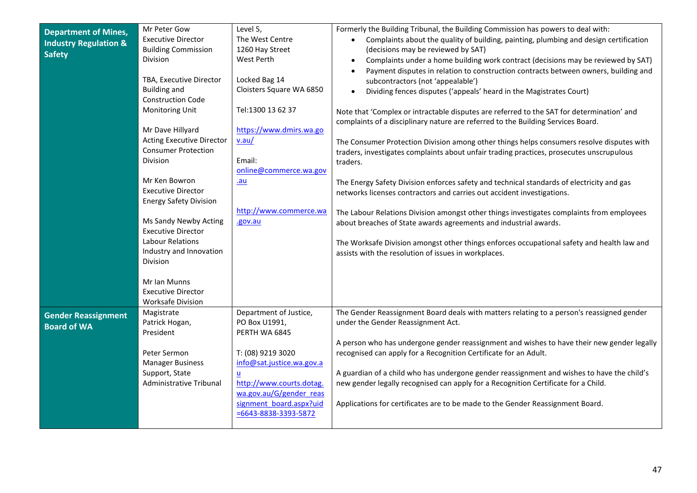<span id="page-46-1"></span><span id="page-46-0"></span>

| <b>Department of Mines,</b><br><b>Industry Regulation &amp;</b><br><b>Safety</b> | Mr Peter Gow<br><b>Executive Director</b><br><b>Building Commission</b><br>Division<br>TBA, Executive Director<br><b>Building and</b><br><b>Construction Code</b><br><b>Monitoring Unit</b><br>Mr Dave Hillyard<br><b>Acting Executive Director</b><br><b>Consumer Protection</b><br>Division<br>Mr Ken Bowron<br><b>Executive Director</b><br><b>Energy Safety Division</b><br>Ms Sandy Newby Acting<br><b>Executive Director</b><br>Labour Relations<br>Industry and Innovation<br><b>Division</b> | Level 5,<br>The West Centre<br>1260 Hay Street<br>West Perth<br>Locked Bag 14<br>Cloisters Square WA 6850<br>Tel:1300 13 62 37<br>https://www.dmirs.wa.go<br>v.au/<br>Email:<br>online@commerce.wa.gov<br>$au$<br>http://www.commerce.wa<br>.gov.au | Formerly the Building Tribunal, the Building Commission has powers to deal with:<br>Complaints about the quality of building, painting, plumbing and design certification<br>(decisions may be reviewed by SAT)<br>Complaints under a home building work contract (decisions may be reviewed by SAT)<br>Payment disputes in relation to construction contracts between owners, building and<br>subcontractors (not 'appealable')<br>Dividing fences disputes ('appeals' heard in the Magistrates Court)<br>Note that 'Complex or intractable disputes are referred to the SAT for determination' and<br>complaints of a disciplinary nature are referred to the Building Services Board.<br>The Consumer Protection Division among other things helps consumers resolve disputes with<br>traders, investigates complaints about unfair trading practices, prosecutes unscrupulous<br>traders.<br>The Energy Safety Division enforces safety and technical standards of electricity and gas<br>networks licenses contractors and carries out accident investigations.<br>The Labour Relations Division amongst other things investigates complaints from employees<br>about breaches of State awards agreements and industrial awards.<br>The Worksafe Division amongst other things enforces occupational safety and health law and<br>assists with the resolution of issues in workplaces. |
|----------------------------------------------------------------------------------|------------------------------------------------------------------------------------------------------------------------------------------------------------------------------------------------------------------------------------------------------------------------------------------------------------------------------------------------------------------------------------------------------------------------------------------------------------------------------------------------------|-----------------------------------------------------------------------------------------------------------------------------------------------------------------------------------------------------------------------------------------------------|---------------------------------------------------------------------------------------------------------------------------------------------------------------------------------------------------------------------------------------------------------------------------------------------------------------------------------------------------------------------------------------------------------------------------------------------------------------------------------------------------------------------------------------------------------------------------------------------------------------------------------------------------------------------------------------------------------------------------------------------------------------------------------------------------------------------------------------------------------------------------------------------------------------------------------------------------------------------------------------------------------------------------------------------------------------------------------------------------------------------------------------------------------------------------------------------------------------------------------------------------------------------------------------------------------------------------------------------------------------------------------------------|
|                                                                                  | Mr Ian Munns<br><b>Executive Director</b><br><b>Worksafe Division</b>                                                                                                                                                                                                                                                                                                                                                                                                                                |                                                                                                                                                                                                                                                     |                                                                                                                                                                                                                                                                                                                                                                                                                                                                                                                                                                                                                                                                                                                                                                                                                                                                                                                                                                                                                                                                                                                                                                                                                                                                                                                                                                                             |
| <b>Gender Reassignment</b><br><b>Board of WA</b>                                 | Magistrate<br>Patrick Hogan,<br>President<br>Peter Sermon<br><b>Manager Business</b><br>Support, State<br>Administrative Tribunal                                                                                                                                                                                                                                                                                                                                                                    | Department of Justice,<br>PO Box U1991,<br>PERTH WA 6845<br>T: (08) 9219 3020<br>info@sat.justice.wa.gov.a<br>$u$<br>http://www.courts.dotag.<br>wa.gov.au/G/gender reas<br>signment board.aspx?uid<br>$= 6643 - 8838 - 3393 - 5872$                | The Gender Reassignment Board deals with matters relating to a person's reassigned gender<br>under the Gender Reassignment Act.<br>A person who has undergone gender reassignment and wishes to have their new gender legally<br>recognised can apply for a Recognition Certificate for an Adult.<br>A guardian of a child who has undergone gender reassignment and wishes to have the child's<br>new gender legally recognised can apply for a Recognition Certificate for a Child.<br>Applications for certificates are to be made to the Gender Reassignment Board.                                                                                                                                                                                                                                                                                                                                                                                                                                                                                                                                                                                                                                                                                                                                                                                                                     |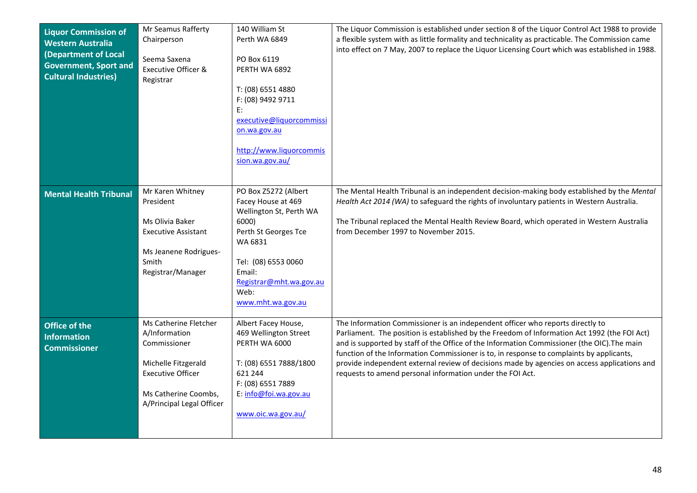<span id="page-47-2"></span><span id="page-47-1"></span><span id="page-47-0"></span>

| <b>Liquor Commission of</b><br><b>Western Australia</b><br>(Department of Local<br><b>Government, Sport and</b><br><b>Cultural Industries)</b> | Mr Seamus Rafferty<br>Chairperson<br>Seema Saxena<br>Executive Officer &<br>Registrar                                                                          | 140 William St<br>Perth WA 6849<br>PO Box 6119<br>PERTH WA 6892<br>T: (08) 6551 4880<br>F: (08) 9492 9711<br>E:<br>executive@liquorcommissi<br>on.wa.gov.au<br>http://www.liquorcommis<br>sion.wa.gov.au/  | The Liquor Commission is established under section 8 of the Liquor Control Act 1988 to provide<br>a flexible system with as little formality and technicality as practicable. The Commission came<br>into effect on 7 May, 2007 to replace the Liquor Licensing Court which was established in 1988.                                                                                                                                                                                                                                   |
|------------------------------------------------------------------------------------------------------------------------------------------------|----------------------------------------------------------------------------------------------------------------------------------------------------------------|------------------------------------------------------------------------------------------------------------------------------------------------------------------------------------------------------------|----------------------------------------------------------------------------------------------------------------------------------------------------------------------------------------------------------------------------------------------------------------------------------------------------------------------------------------------------------------------------------------------------------------------------------------------------------------------------------------------------------------------------------------|
| <b>Mental Health Tribunal</b>                                                                                                                  | Mr Karen Whitney<br>President<br>Ms Olivia Baker<br><b>Executive Assistant</b><br>Ms Jeanene Rodrigues-<br>Smith<br>Registrar/Manager                          | PO Box Z5272 (Albert<br>Facey House at 469<br>Wellington St, Perth WA<br>6000)<br>Perth St Georges Tce<br>WA 6831<br>Tel: (08) 6553 0060<br>Email:<br>Registrar@mht.wa.gov.au<br>Web:<br>www.mht.wa.gov.au | The Mental Health Tribunal is an independent decision-making body established by the Mental<br>Health Act 2014 (WA) to safeguard the rights of involuntary patients in Western Australia.<br>The Tribunal replaced the Mental Health Review Board, which operated in Western Australia<br>from December 1997 to November 2015.                                                                                                                                                                                                         |
| <b>Office of the</b><br><b>Information</b><br><b>Commissioner</b>                                                                              | Ms Catherine Fletcher<br>A/Information<br>Commissioner<br>Michelle Fitzgerald<br><b>Executive Officer</b><br>Ms Catherine Coombs,<br>A/Principal Legal Officer | Albert Facey House,<br>469 Wellington Street<br>PERTH WA 6000<br>T: (08) 6551 7888/1800<br>621 244<br>F: (08) 6551 7889<br>E: info@foi.wa.gov.au<br>www.oic.wa.gov.au/                                     | The Information Commissioner is an independent officer who reports directly to<br>Parliament. The position is established by the Freedom of Information Act 1992 (the FOI Act)<br>and is supported by staff of the Office of the Information Commissioner (the OIC). The main<br>function of the Information Commissioner is to, in response to complaints by applicants,<br>provide independent external review of decisions made by agencies on access applications and<br>requests to amend personal information under the FOI Act. |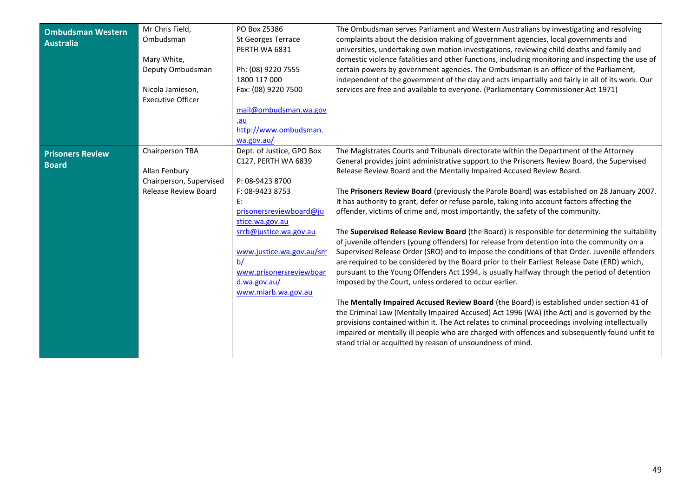<span id="page-48-1"></span><span id="page-48-0"></span>

| <b>Ombudsman Western</b><br><b>Australia</b> | Mr Chris Field,<br>Ombudsman<br>Mary White,<br>Deputy Ombudsman<br>Nicola Jamieson,<br><b>Executive Officer</b> | PO Box Z5386<br><b>St Georges Terrace</b><br>PERTH WA 6831<br>Ph: (08) 9220 7555<br>1800 117 000<br>Fax: (08) 9220 7500                                                                                                                                                   | The Ombudsman serves Parliament and Western Australians by investigating and resolving<br>complaints about the decision making of government agencies, local governments and<br>universities, undertaking own motion investigations, reviewing child deaths and family and<br>domestic violence fatalities and other functions, including monitoring and inspecting the use of<br>certain powers by government agencies. The Ombudsman is an officer of the Parliament,<br>independent of the government of the day and acts impartially and fairly in all of its work. Our<br>services are free and available to everyone. (Parliamentary Commissioner Act 1971)                                                                                                                                                                                                                                                                                                                                                                                                                                                                                                                                                                                                                                                                                                                                                                                                                                                                                                         |
|----------------------------------------------|-----------------------------------------------------------------------------------------------------------------|---------------------------------------------------------------------------------------------------------------------------------------------------------------------------------------------------------------------------------------------------------------------------|---------------------------------------------------------------------------------------------------------------------------------------------------------------------------------------------------------------------------------------------------------------------------------------------------------------------------------------------------------------------------------------------------------------------------------------------------------------------------------------------------------------------------------------------------------------------------------------------------------------------------------------------------------------------------------------------------------------------------------------------------------------------------------------------------------------------------------------------------------------------------------------------------------------------------------------------------------------------------------------------------------------------------------------------------------------------------------------------------------------------------------------------------------------------------------------------------------------------------------------------------------------------------------------------------------------------------------------------------------------------------------------------------------------------------------------------------------------------------------------------------------------------------------------------------------------------------|
|                                              |                                                                                                                 | mail@ombudsman.wa.gov<br>.au<br>http://www.ombudsman.<br>wa.gov.au/                                                                                                                                                                                                       |                                                                                                                                                                                                                                                                                                                                                                                                                                                                                                                                                                                                                                                                                                                                                                                                                                                                                                                                                                                                                                                                                                                                                                                                                                                                                                                                                                                                                                                                                                                                                                           |
| <b>Prisoners Review</b><br><b>Board</b>      | Chairperson TBA<br>Allan Fenbury<br>Chairperson, Supervised<br>Release Review Board                             | Dept. of Justice, GPO Box<br>C127, PERTH WA 6839<br>P: 08-9423 8700<br>F: 08-9423 8753<br>E:<br>prisonersreviewboard@ju<br>stice.wa.gov.au<br>srrb@justice.wa.gov.au<br>www.justice.wa.gov.au/srr<br>b/<br>www.prisonersreviewboar<br>d.wa.gov.au/<br>www.miarb.wa.gov.au | The Magistrates Courts and Tribunals directorate within the Department of the Attorney<br>General provides joint administrative support to the Prisoners Review Board, the Supervised<br>Release Review Board and the Mentally Impaired Accused Review Board.<br>The Prisoners Review Board (previously the Parole Board) was established on 28 January 2007.<br>It has authority to grant, defer or refuse parole, taking into account factors affecting the<br>offender, victims of crime and, most importantly, the safety of the community.<br>The Supervised Release Review Board (the Board) is responsible for determining the suitability<br>of juvenile offenders (young offenders) for release from detention into the community on a<br>Supervised Release Order (SRO) and to impose the conditions of that Order. Juvenile offenders<br>are required to be considered by the Board prior to their Earliest Release Date (ERD) which,<br>pursuant to the Young Offenders Act 1994, is usually halfway through the period of detention<br>imposed by the Court, unless ordered to occur earlier.<br>The Mentally Impaired Accused Review Board (the Board) is established under section 41 of<br>the Criminal Law (Mentally Impaired Accused) Act 1996 (WA) (the Act) and is governed by the<br>provisions contained within it. The Act relates to criminal proceedings involving intellectually<br>impaired or mentally ill people who are charged with offences and subsequently found unfit to<br>stand trial or acquitted by reason of unsoundness of mind. |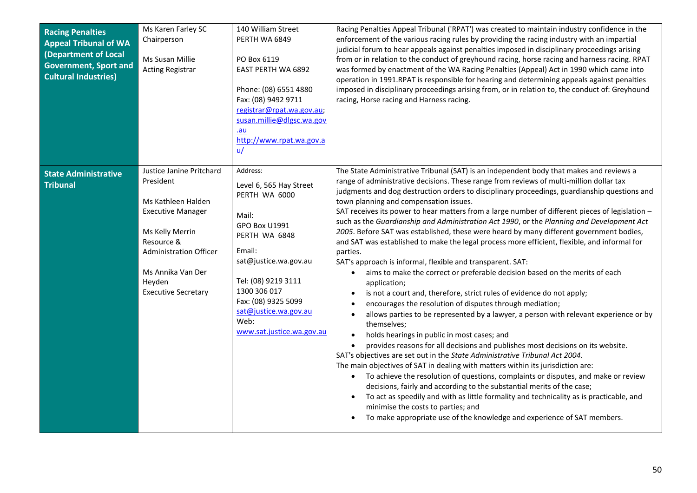<span id="page-49-1"></span><span id="page-49-0"></span>

| <b>Racing Penalties</b><br><b>Appeal Tribunal of WA</b><br>(Department of Local<br><b>Government, Sport and</b><br><b>Cultural Industries)</b> | Ms Karen Farley SC<br>Chairperson<br>Ms Susan Millie<br><b>Acting Registrar</b>                                                                                                                                        | 140 William Street<br>PERTH WA 6849<br>PO Box 6119<br>EAST PERTH WA 6892<br>Phone: (08) 6551 4880<br>Fax: (08) 9492 9711<br>registrar@rpat.wa.gov.au;<br>susan.millie@dlgsc.wa.gov<br><u>.au</u><br>http://www.rpat.wa.gov.a<br>$u$                            | Racing Penalties Appeal Tribunal ('RPAT') was created to maintain industry confidence in the<br>enforcement of the various racing rules by providing the racing industry with an impartial<br>judicial forum to hear appeals against penalties imposed in disciplinary proceedings arising<br>from or in relation to the conduct of greyhound racing, horse racing and harness racing. RPAT<br>was formed by enactment of the WA Racing Penalties (Appeal) Act in 1990 which came into<br>operation in 1991.RPAT is responsible for hearing and determining appeals against penalties<br>imposed in disciplinary proceedings arising from, or in relation to, the conduct of: Greyhound<br>racing, Horse racing and Harness racing.                                                                                                                                                                                                                                                                                                                                                                                                                                                                                                                                                                                                                                                                                                                                                                                                                                                                                                                                                                                                                                                                                                                                    |
|------------------------------------------------------------------------------------------------------------------------------------------------|------------------------------------------------------------------------------------------------------------------------------------------------------------------------------------------------------------------------|----------------------------------------------------------------------------------------------------------------------------------------------------------------------------------------------------------------------------------------------------------------|------------------------------------------------------------------------------------------------------------------------------------------------------------------------------------------------------------------------------------------------------------------------------------------------------------------------------------------------------------------------------------------------------------------------------------------------------------------------------------------------------------------------------------------------------------------------------------------------------------------------------------------------------------------------------------------------------------------------------------------------------------------------------------------------------------------------------------------------------------------------------------------------------------------------------------------------------------------------------------------------------------------------------------------------------------------------------------------------------------------------------------------------------------------------------------------------------------------------------------------------------------------------------------------------------------------------------------------------------------------------------------------------------------------------------------------------------------------------------------------------------------------------------------------------------------------------------------------------------------------------------------------------------------------------------------------------------------------------------------------------------------------------------------------------------------------------------------------------------------------------|
| <b>State Administrative</b><br><b>Tribunal</b>                                                                                                 | Justice Janine Pritchard<br>President<br>Ms Kathleen Halden<br><b>Executive Manager</b><br>Ms Kelly Merrin<br>Resource &<br><b>Administration Officer</b><br>Ms Annika Van Der<br>Heyden<br><b>Executive Secretary</b> | Address:<br>Level 6, 565 Hay Street<br>PERTH WA 6000<br>Mail:<br>GPO Box U1991<br>PERTH WA 6848<br>Email:<br>sat@justice.wa.gov.au<br>Tel: (08) 9219 3111<br>1300 306 017<br>Fax: (08) 9325 5099<br>sat@justice.wa.gov.au<br>Web:<br>www.sat.justice.wa.gov.au | The State Administrative Tribunal (SAT) is an independent body that makes and reviews a<br>range of administrative decisions. These range from reviews of multi-million dollar tax<br>judgments and dog destruction orders to disciplinary proceedings, guardianship questions and<br>town planning and compensation issues.<br>SAT receives its power to hear matters from a large number of different pieces of legislation -<br>such as the Guardianship and Administration Act 1990, or the Planning and Development Act<br>2005. Before SAT was established, these were heard by many different government bodies,<br>and SAT was established to make the legal process more efficient, flexible, and informal for<br>parties.<br>SAT's approach is informal, flexible and transparent. SAT:<br>aims to make the correct or preferable decision based on the merits of each<br>$\bullet$<br>application;<br>is not a court and, therefore, strict rules of evidence do not apply;<br>encourages the resolution of disputes through mediation;<br>allows parties to be represented by a lawyer, a person with relevant experience or by<br>themselves;<br>holds hearings in public in most cases; and<br>$\bullet$<br>provides reasons for all decisions and publishes most decisions on its website.<br>SAT's objectives are set out in the State Administrative Tribunal Act 2004.<br>The main objectives of SAT in dealing with matters within its jurisdiction are:<br>• To achieve the resolution of questions, complaints or disputes, and make or review<br>decisions, fairly and according to the substantial merits of the case;<br>To act as speedily and with as little formality and technicality as is practicable, and<br>$\bullet$<br>minimise the costs to parties; and<br>To make appropriate use of the knowledge and experience of SAT members. |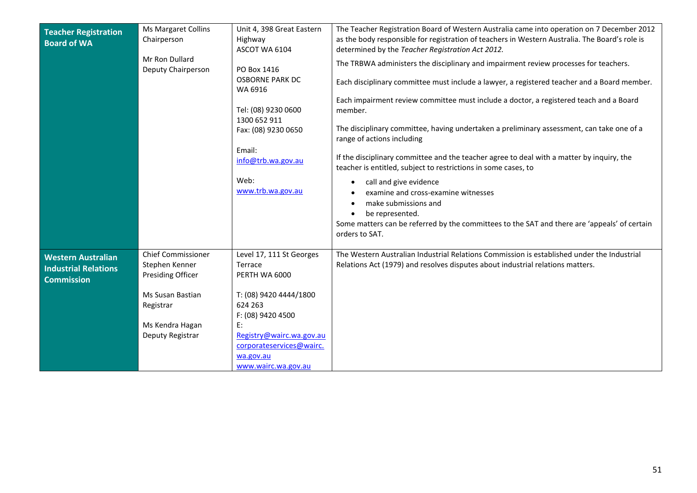<span id="page-50-1"></span><span id="page-50-0"></span>

| <b>Teacher Registration</b><br><b>Board of WA</b>                             | <b>Ms Margaret Collins</b><br>Chairperson<br>Mr Ron Dullard<br>Deputy Chairperson                                                               | Unit 4, 398 Great Eastern<br>Highway<br>ASCOT WA 6104<br>PO Box 1416<br><b>OSBORNE PARK DC</b><br>WA 6916<br>Tel: (08) 9230 0600<br>1300 652 911<br>Fax: (08) 9230 0650<br>Email:<br>info@trb.wa.gov.au<br>Web:<br>www.trb.wa.gov.au | The Teacher Registration Board of Western Australia came into operation on 7 December 2012<br>as the body responsible for registration of teachers in Western Australia. The Board's role is<br>determined by the Teacher Registration Act 2012.<br>The TRBWA administers the disciplinary and impairment review processes for teachers.<br>Each disciplinary committee must include a lawyer, a registered teacher and a Board member.<br>Each impairment review committee must include a doctor, a registered teach and a Board<br>member.<br>The disciplinary committee, having undertaken a preliminary assessment, can take one of a<br>range of actions including<br>If the disciplinary committee and the teacher agree to deal with a matter by inquiry, the<br>teacher is entitled, subject to restrictions in some cases, to<br>call and give evidence<br>examine and cross-examine witnesses<br>make submissions and<br>be represented.<br>Some matters can be referred by the committees to the SAT and there are 'appeals' of certain<br>orders to SAT. |
|-------------------------------------------------------------------------------|-------------------------------------------------------------------------------------------------------------------------------------------------|--------------------------------------------------------------------------------------------------------------------------------------------------------------------------------------------------------------------------------------|----------------------------------------------------------------------------------------------------------------------------------------------------------------------------------------------------------------------------------------------------------------------------------------------------------------------------------------------------------------------------------------------------------------------------------------------------------------------------------------------------------------------------------------------------------------------------------------------------------------------------------------------------------------------------------------------------------------------------------------------------------------------------------------------------------------------------------------------------------------------------------------------------------------------------------------------------------------------------------------------------------------------------------------------------------------------|
| <b>Western Australian</b><br><b>Industrial Relations</b><br><b>Commission</b> | <b>Chief Commissioner</b><br>Stephen Kenner<br><b>Presiding Officer</b><br>Ms Susan Bastian<br>Registrar<br>Ms Kendra Hagan<br>Deputy Registrar | Level 17, 111 St Georges<br>Terrace<br>PERTH WA 6000<br>T: (08) 9420 4444/1800<br>624 263<br>F: (08) 9420 4500<br>E:<br>Registry@wairc.wa.gov.au<br>corporateservices@wairc.<br>wa.gov.au<br>www.wairc.wa.gov.au                     | The Western Australian Industrial Relations Commission is established under the Industrial<br>Relations Act (1979) and resolves disputes about industrial relations matters.                                                                                                                                                                                                                                                                                                                                                                                                                                                                                                                                                                                                                                                                                                                                                                                                                                                                                         |